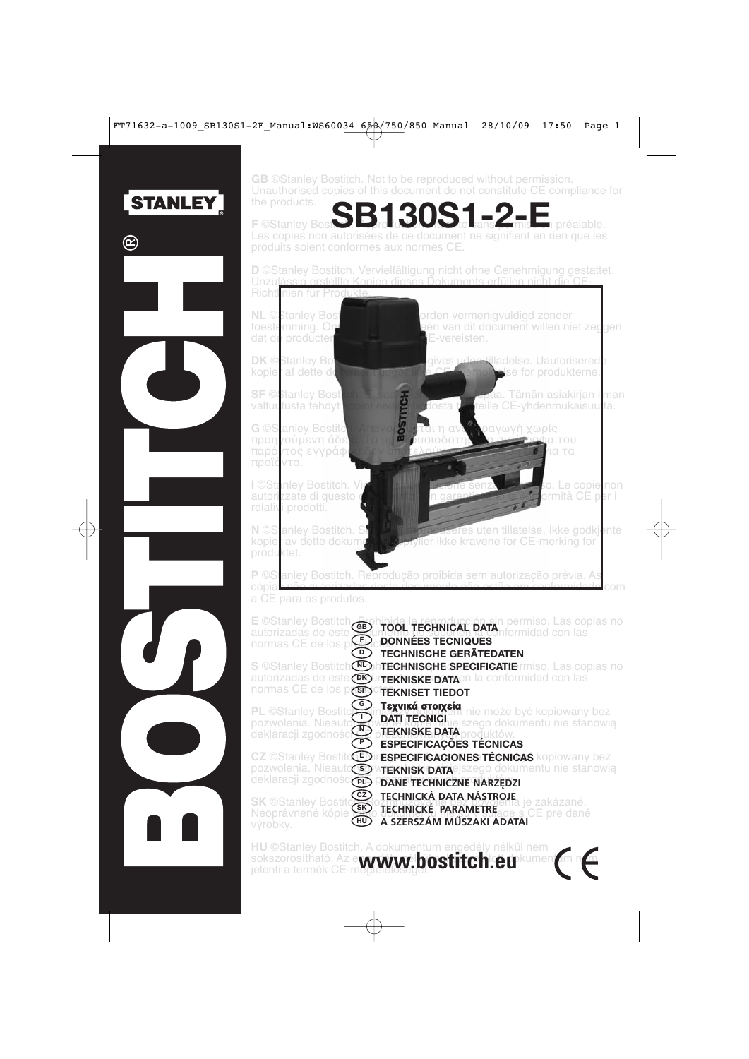

ര

**GB** ©Stanley Bostitch. Not to be reproduced without permission. Unauthorised copies of this document do not constitute CE compliance for

**SB130S1-2-E F** ©Stanley Bosting **n** préalable. Les copies non autorisées de ce document ne signifient en rien que les produits soient conformes au x normes CE .

**D** ©Stanley Bostitch. Vervielfältigung nicht ohne Genehmigung gestattet. Unzul<u>ässig erstellte Kopien dieses Dokuments erfüllen nicht die CE-</u> Richtl nien für Prod

<mark>ς</mark><br>Προστοδοτη

to estemming . dat de producter

**DK**C Stanley Boston kopier af dette dokument

**SF** ©Stanley valtuutusta tehdyt

G ©Stanley Bostitch. Απαγορ<mark>ε</mark>ύτεται προηγούμενη άδε<mark>ια. Τα</mark> παρό *ι* τος εγγράφου δεν απ πρ οϊόντα .

**I** ©Stanle y autorizzate di questo documento de la construcción relativi p rodotti.

N ©S anley Bostitch. Skal ikke reprodusere kopie<sup>r</sup> a produktet.

**NL** © Stanley Bost**itch. Magnetich. Magnetich vermenigvuldigd zonder** On<sup>g</sup> kopieën van dit document willen niet zeggen E-vereisten.

> gives uden tilladelse. Uautorisered **Velse for produkterne.**

 $E_{\rm B}$ is $\Lambda$  saakirjan ilman lupaa. Tämän asiakirjan ilman l teille CE-yhdenmukaisuu<sup>tta.</sup>

αι η αναπαραγωγή χωρίς<br>σιοδοτημές α αντώραφα του οτελούν συμμόρφωση CE για τα

bo. Le copie non n garantiscono la conformità CE per i

eres uten tillatelse. Ikke godkiente v dette dokumentet oppfyller ikke kravene for CE-merking for

**P** ©S anley Bostitch. Reprodução proibida sem autorização prévia. As cópia. o autorizada <u>s docto documento não estã</u> <mark>o em conformidade</mark> com

a C E para os produtos.

| normas CE de los poste ponnées Tecniques                                                      | E ©Stanley Bostitch <b>Bohibida la reproducción sin permiso.</b> Las copias no<br>autorizadas de este <b>exportante de la reproducción sin permiso</b> con las                                       |
|-----------------------------------------------------------------------------------------------|------------------------------------------------------------------------------------------------------------------------------------------------------------------------------------------------------|
| $\bar{D}$<br><b>S</b> ©Stanley Bostitch<br>normas CE de los poses tekniset TIEDOT             | <b>TECHNISCHE GERÄTEDATEN</b><br><b>COMMECHNISCHE SPECIFICATIE</b> rmiso. Las copias no<br>autorizadas de este OKUTEKNISKE DATA en la conformidad con las                                            |
| ⊙ি<br><b>PL ©Stanley Bostito</b>                                                              | <b>Taxylká grolysía</b><br>Taxylvádku helmože być kopiowany bez<br>pozwolenia. Nieauto <b>DATI TECNICI</b> ejszego dokumentu nie stanowią<br>deklaracji zgodnośc <b>op prekniske pata</b> produktów. |
| $\bigodot$<br>Œ<br><b>CZ ©Stanley Bostit</b><br>pozwolenia. Nieauto<br>deklaracji zgodnościcz | <b>ESPECIFICAÇÕES TÉCNICAS</b><br>rESPECIFICACIONES TÉCNICAS kopiowany bez<br>WTEKNISK DATAEJSZego dokumentu nie stanowią<br><b>DANE TECHNICZNE NARZĘDZI</b>                                         |
| (cz)<br><b>SK ©Stanley Bostito</b><br>$\widehat{H}$<br>výrobky.                               | <b>TECHNICKÁ DATA NÁSTROJE</b><br>TECHNICKÁ DATA NÁSTROJE je zakázané.<br>Neoprávnené kópie CO TECHNICKÉ PARAMETRE ade s CE pre dané<br>A SZERSZÁM MŰSZAKI ADATAI                                    |
|                                                                                               | THE QOL-slave Danillah - A-alah menghima anggal (beng 1922) nang                                                                                                                                     |

**HU** ©Stanley Bostitch. A dokumentum engedély nélkül nem<br>sokszorosítható. Az e**www.bostitch.eu**kume<br>ielenti a termék CE-m**ediculos.bostitch.eu**kume sokszorosítható. Az e**wnávné hinstiteli e** rickumentum n<mark>em</mark> termék CE-megfelelőségét.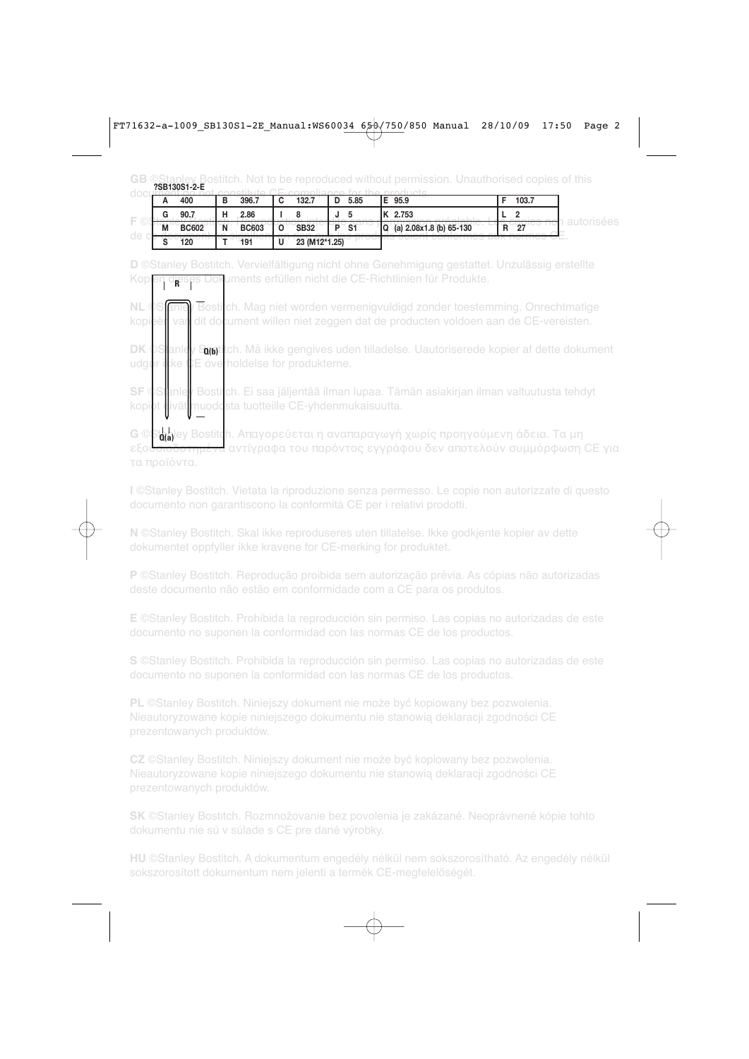**GB** ©Stanley Bostitch. Not to be reproduced without permission. Unauthorised copies of this<br>**CE 288130S1-2-E** 

| n | 400          | в | 396.7        | ุ      | 132.7         | L | 5.85           | Е | 95.9                    | 103.7 |  |
|---|--------------|---|--------------|--------|---------------|---|----------------|---|-------------------------|-------|--|
| G | 90.7         | ц | 2.86         |        |               |   |                |   | 2.753                   |       |  |
| M | <b>BC602</b> | Ñ | <b>BC603</b> |        | <b>SB32</b>   |   | S <sub>1</sub> | Q | (a) 2.08x1.8 (b) 65-130 | 27    |  |
| o | 120          |   | 191          | п<br>υ | 23 (M12*1.25) |   |                |   |                         |       |  |

Kopi<mark>en dieses Dok</mark>uments erfüllen nicht die CE-Richtlinien für Produkte. **D** ©Stanley Bostitch. Vervielfältigung nicht ohne Genehmigung gestattet. Unzulässig erstellte

**NL**  $\oint$ **Stanley Bostich.** Mag niet worden vermenigvuldigd zonder toestemming. Onrechtmatige kopieën van dit document willen niet zeggen dat de producten voldoen aan de CE-vereisten.

**DK** ©S**l**anle<mark>y Emet</mark>tch. Må ikke gengives uden tilladelse. Uautoriserede kopier af dette dokument udgør ikke CE overholdelse for produkterne.

**SF** ©Stanley Bostitch. Ei saa jäljentää ilman lupaa. Tämän asiakirjan ilman valtuutusta tehdyt kopiot divät muodosta tuotteille CE-yhdenmukaisuutta.

**G** ©**βάλ**θεν Bostitch. Απαγορεύεται η αναπαραγωγή χωρίς προηγούμενη άδεια. Τα μη εξου<del>σιοδοτημένα</del> αντίγραφα του παρόντος εγγράφου δεν αποτελούν συμμόρφωση CE για τα προϊόντα.

**I** ©Stanley Bostitch. Vietata la riproduzione senza permesso. Le copie non autorizzate di questo documento non garantiscono la conformità CE per i relativi prodotti.

**N** ©Stanley Bostitch. Skal ikke reproduseres uten tillatelse. Ikke godkjente kopier av dette dokumentet oppfyller ikke kravene for CE-merking for produktet.

**P** ©Stanley Bostitch. Reprodução proibida sem autorização prévia. As cópias não autorizadas

**E** ©Stanley Bostitch. Prohibida la reproducción sin permiso. Las copias no autorizadas de este documento no suponen la conformidad con las normas CE de los productos.

**S** ©Stanley Bostitch. Prohibida la reproducción sin permiso. Las copias no autorizadas de este documento no suponen la conformidad con las normas CE de los productos.

**PL** ©Stanley Bostitch. Niniejszy dokument nie może być kopiowany bez pozwolenia. Nieautoryzowane kopie niniejszego dokumentu nie stanowią deklaracji zgodności CE prezentowanych produktów.

**CZ** ©Stanley Bostitch. Niniejszy dokument nie może być kopiowany bez pozwolenia. Nieautoryzowane kopie niniejszego dokumentu nie stanowią deklaracji zgodności CE

**SK** ©Stanley Bostitch. Rozmnožovanie bez povolenia je zakázané. Neoprávnené kópie tohto dokumentu nie sú v súlade s CE pre dané výrobky.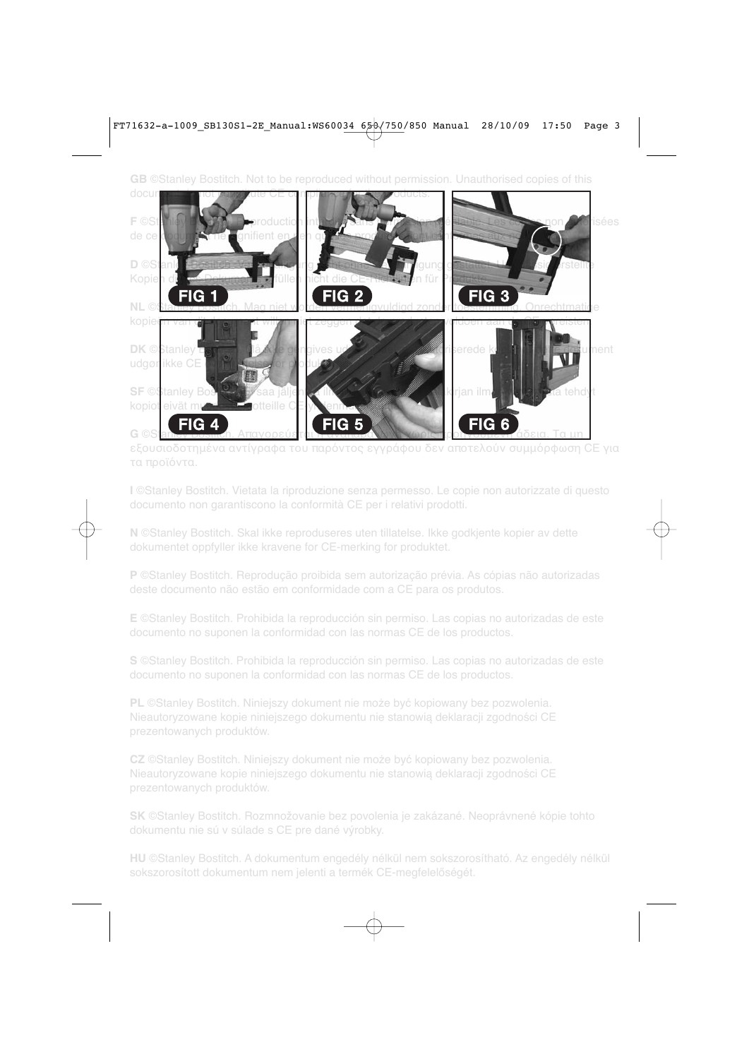**GB** ©Stanley Bostitch. Not to be reproduced without permission. Unauthorised copies of this



εξουσιοδοτημένα αντίγραφα του παρόντος εγγράφου δεν αποτελούν συμμόρφωση CE για τα προϊόντα.

**I** ©Stanley Bostitch. Vietata la riproduzione senza permesso. Le copie non autorizzate di questo documento non garantiscono la conformità CE per i relativi prodotti.

**N** ©Stanley Bostitch. Skal ikke reproduseres uten tillatelse. Ikke godkjente kopier av dette dokumentet oppfyller ikke kravene for CE-merking for produktet.

**P** ©Stanley Bostitch. Reprodução proibida sem autorização prévia. As cópias não autorizadas

**E** ©Stanley Bostitch. Prohibida la reproducción sin permiso. Las copias no autorizadas de este documento no suponen la conformidad con las normas CE de los productos.

**S** ©Stanley Bostitch. Prohibida la reproducción sin permiso. Las copias no autorizadas de este documento no suponen la conformidad con las normas CE de los productos.

**PL** ©Stanley Bostitch. Niniejszy dokument nie może być kopiowany bez pozwolenia. Nieautoryzowane kopie niniejszego dokumentu nie stanowią deklaracji zgodności CE prezentowanych produktów.

**CZ** ©Stanley Bostitch. Niniejszy dokument nie może być kopiowany bez pozwolenia. Nieautoryzowane kopie niniejszego dokumentu nie stanowią deklaracji zgodności CE prezentowanych produktów.

**SK** ©Stanley Bostitch. Rozmnožovanie bez povolenia je zakázané. Neoprávnené kópie tohto dokumentu nie sú v súlade s CE pre dané výrobky.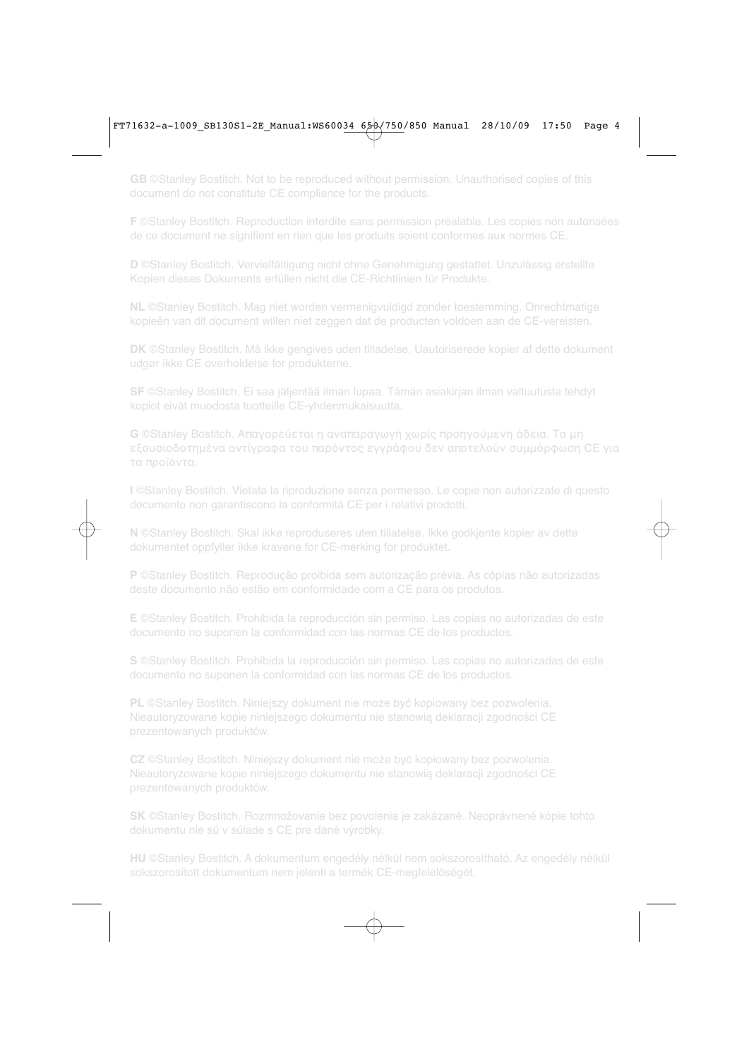**GB** ©Stanley Bostitch. Not to be reproduced without permission. Unauthorised copies of this document do not constitute CE compliance for the products.

**F** ©Stanley Bostitch. Reproduction interdite sans permission préalable. Les copies non autorisées de ce document ne signifient en rien que les produits soient conformes aux normes CE.

**D** ©Stanley Bostitch. Vervielfältigung nicht ohne Genehmigung gestattet. Unzulässig erstellte Kopien dieses Dokuments erfüllen nicht die CE-Richtlinien für Produkte.

**NL** ©Stanley Bostitch. Mag niet worden vermenigvuldigd zonder toestemming. Onrechtmatige kopieën van dit document willen niet zeggen dat de producten voldoen aan de CE-vereisten.

**DK** ©Stanley Bostitch. Må ikke gengives uden tilladelse. Uautoriserede kopier af dette dokument udgør ikke CE overholdelse for produkterne.

**SF** ©Stanley Bostitch. Ei saa jäljentää ilman lupaa. Tämän asiakirjan ilman valtuutusta tehdyt kopiot eivät muodosta tuotteille CE-yhdenmukaisuutta.

**G** ©Stanley Bostitch. Απαγορεύεται η αναπαραγωγή χωρίς προηγούμενη άδεια. Τα μη εξουσιοδοτημένα αντίγραφα του παρόντος εγγράφου δεν αποτελούν συμμόρφωση CE για τα προϊόντα.

**I** ©Stanley Bostitch. Vietata la riproduzione senza permesso. Le copie non autorizzate di questo documento non garantiscono la conformità CE per i relativi prodotti.

**N** ©Stanley Bostitch. Skal ikke reproduseres uten tillatelse. Ikke godkjente kopier av dette dokumentet oppfyller ikke kravene for CE-merking for produktet.

**P** ©Stanley Bostitch. Reprodução proibida sem autorização prévia. As cópias não autorizadas

**E** ©Stanley Bostitch. Prohibida la reproducción sin permiso. Las copias no autorizadas de este documento no suponen la conformidad con las normas CE de los productos.

**S** ©Stanley Bostitch. Prohibida la reproducción sin permiso. Las copias no autorizadas de este documento no suponen la conformidad con las normas CE de los productos.

**PL** ©Stanley Bostitch. Niniejszy dokument nie może być kopiowany bez pozwolenia. Nieautoryzowane kopie niniejszego dokumentu nie stanowią deklaracji zgodności CE prezentowanych produktów.

**CZ** ©Stanley Bostitch. Niniejszy dokument nie może być kopiowany bez pozwolenia. Nieautoryzowane kopie niniejszego dokumentu nie stanowią deklaracji zgodności CE prezentowanych produktów.

**SK** ©Stanley Bostitch. Rozmnožovanie bez povolenia je zakázané. Neoprávnené kópie tohto dokumentu nie sú v súlade s CE pre dané výrobky.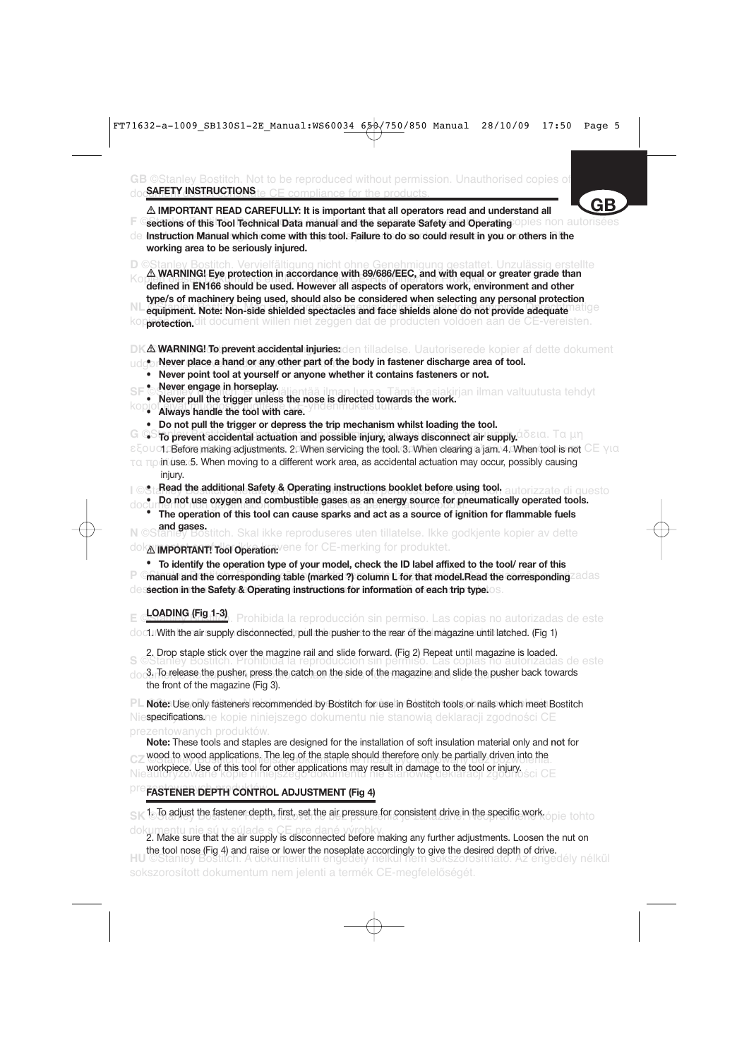GB ©Stanley Bostitch. Not to be reproduced without permission. Unauthorised copies of doc<mark>SAFETY INSTRUCTIONS</mark> te CE compliance for the products.

**F** Gections of this Tool Technical Data manual and the separate Safety and Operating Opies non autorisées de Instruction Manual which come with this tool. Failure to do so could result in you or others in the  $\triangle$  IMPORTANT READ CAREFULLY: It is important that all operators read and understand all **working area to be seriously injured. GB**

**D** ©Stanley Bostitch. Vervielfältigung nicht ohne Genehmigung gestattet. Unzulässig erstellte - **WARNING! Eye protection in accordance with 89/686/EEC, and with equal or greater grade than** defined in EN166 should be used. However all aspects of operators work, environment and other<br>defined in EN166 should be used. However all aspects of operators work, environment and other **NL equipment. Note: Non-side shielded spectacles and face shields alone do not provide adequate natige** kop**protection.**dit document willen niet zeggen dat de producten voldoen aan de CE-vereisten. **type/s of machinery being used, should also be considered when selecting any personal protection**

#### **DKA WARNING! To prevent accidental injuries:**den tilladelse. Uautoriserede kopier af dette dokument

- udg**or Never place a hand or any other part of the body in fastener discharge area of tool.** 
	- **Never point tool at yourself or anyone whether it contains fasteners or not.**
	- **Never engage in horseplay.**
- **SF © Wever eingage in norseplay.** Supertaa ilman lupaa. Tämän asiakirjan ilman valtuutusta tehdyt<br>• Never pull the trigger unless the nose is directed towards the work.
- kopiot eivät muodosta tuotteille CE-yhdenmukaisuutta.  **Always handle the tool with care.**
	- **Do not pull the trigger or depress the trip mechanism whilst loading the tool.**
- **G** GStro prevent accidental actuation and possible injury, always disconnect air supply. **Δδεια. Τα μη**

εξουσιο**Before making adjustments. 2. When servicing the tool. 3. When clearing a jam. 4. When tool is not** CE για τα πρ in use. 5. When moving to a different work area, as accidental actuation may occur, possibly causing injury.

- **I** ©Sta<mark>Read the additional Safety & Operating instructions booklet before using tool. autorizzate di questo</mark>
- documento not use oxygen and combustible gases as an energy source for pneumatically operated tools.<br>documento in the second tools.
	- **• The operation of this tool can cause sparks and act as a source of ignition for flammable fuels and gases.**

**N** ©Stanley Bostitch. Skal ikke reproduseres uten tillatelse. Ikke godkjente kopier av dette dok**A'important! Tool Operation:**vene for CE-merking for produktet.

**• To identify the operation type of your model, check the ID label affixed to the tool/ rear of this**

**P** Gmanual and the corresponding table (marked ?) column L for that model.Read the corresponding adas dessection in the Safety & Operating instructions for information of each trip type.

**E** ©<mark>LOADING (Fig 1-3)</mark>. Prohibida la reproducción sin permiso. Las copias no autorizadas de este

document the air supply disconnected, pull the pusher to the rear of the magazine until latched. (Fig 1)

2. Drop staple stick over the magzine rail and slide forward. (Fig 2) Repeat until magazine is loaded.

**S** ©Stanley Bostitch. Prohibida la reproducción sin permiso. Las copias no autorizadas de este  $d_{\text{O}}$ . To release the pusher, press the catch on the side of the magazine and slide the pusher back towards the front of the magazine (Fig 3).

PL Note: Use only fasteners recommended by Bostitch for use in Bostitch tools or nails which meet Bostitch Nie**specifications.n**e kopie niniejszego dokumentu nie stanowią deklaracji zgodności CE

**CZ** WOOD to wood applications. The leg of the staple should therefore only be partially direct filto the workpiece. Use of this tool for other applications may result in damage to the tool or injury.<br>Nie software kopie of this tool for other applications may result in damage to the tool or injury. **Note:** These tools and staples are designed for the installation of soft insulation material only and **not** for wood to wood applications. The leg of the staple should therefore only be partially driven into the

# **PFE FASTENER DEPTH CONTROL ADJUSTMENT (Fig 4)**

**SK <sup>1</sup>. To adjust the fastener depth, first, set the air pressure for consistent drive in the specific work. opie tohto** 

dokumentu nie sú v súlade s CE pre dané výrobky. 2. Make sure that the air supply is disconnected before making any further adjustments. Loosen the nut on **HU** ©Stanley Bostitch. A dokumentum engedély nélkül nem sokszorosítható. Az engedély nélkül sokszorosított dokumentum nem jelenti a termék CE-megfelelőségét. the tool nose (Fig 4) and raise or lower the noseplate accordingly to give the desired depth of drive.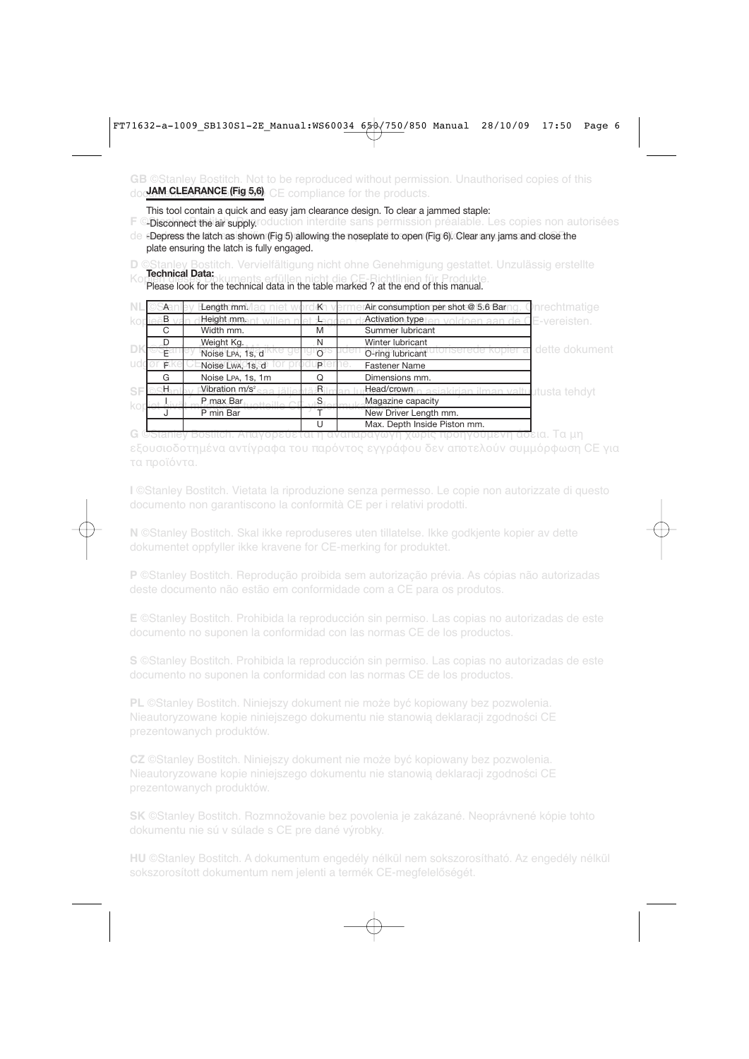### **GB** ©Stanley Bostitch. Not to be reproduced without permission. Unauthorised copies of this doc<mark>JAM CLEARANCE (Fig 5,6)</mark> CE compliance for the products.

This tool contain a quick and easy jam clearance design. To clear a jammed staple:

**F © Disconnect the air supply**.roduction interdite sans permission préalable. Les copies non autorisées

 $d$ e $\,$  -Depress the latch as shown (Fig 5) allowing the noseplate to open (Fig 6). Clear any jams and close the plate ensuring the latch is fully engaged.

**D** ©Stanley Bostitch. Vervielfältigung nicht ohne Genehmigung gestattet. Unzulässig erstellte Please look for the technical data in the table marked ? at the end of this manual. **Technical Data:**

|   | A          | Length mm.                 | $K^-$ | Air consumption per shot @ 5.6 Bar                           | <b>J</b> nrechtmatige |
|---|------------|----------------------------|-------|--------------------------------------------------------------|-----------------------|
|   | $_{\rm B}$ | Height mm.                 |       | Activation type<br>voldoen aan de CE-vereisten.              |                       |
|   | C.         | Width mm.                  | M     | Summer lubricant                                             |                       |
|   | D          | Weight Kg.                 | N     | Winter lubricant                                             |                       |
|   |            | Noise LPA, 1s, d           |       | O-ring lubricant                                             | dette dokument        |
|   | F.         | Noise Lwa, 1s, d           | P     | <b>Fastener Name</b>                                         |                       |
|   | G          | Noise LPA, 1s, 1m          |       | Dimensions mm.                                               |                       |
| s | ж.         | Vibration m/s <sup>2</sup> | :R    | Head/crown <sub>in</sub> asiakirian ilman valtuutusta tehdyt |                       |
|   |            | P max Bar                  | S     | Magazine capacity                                            |                       |
|   |            | P min Bar                  |       | New Driver Length mm.                                        |                       |
|   |            |                            |       | Max. Depth Inside Piston mm.                                 |                       |
|   |            |                            |       |                                                              | <u>ασεια. Τα un</u>   |

εξουσιοδοτημένα αντίγραφα του παρόντος εγγράφου δεν αποτελούν συμμόρφωση CE για τα προϊόντα.

**I** ©Stanley Bostitch. Vietata la riproduzione senza permesso. Le copie non autorizzate di questo documento non garantiscono la conformità CE per i relativi prodotti.

**N** ©Stanley Bostitch. Skal ikke reproduseres uten tillatelse. Ikke godkjente kopier av dette dokumentet oppfyller ikke kravene for CE-merking for produktet.

**P** ©Stanley Bostitch. Reprodução proibida sem autorização prévia. As cópias não autorizadas

**E** ©Stanley Bostitch. Prohibida la reproducción sin permiso. Las copias no autorizadas de este documento no suponen la conformidad con las normas CE de los productos.

**S** ©Stanley Bostitch. Prohibida la reproducción sin permiso. Las copias no autorizadas de este

**PL** ©Stanley Bostitch. Niniejszy dokument nie może być kopiowany bez pozwolenia. Nieautoryzowane kopie niniejszego dokumentu nie stanowią deklaracji zgodności CE prezentowanych produktów.

**CZ** ©Stanley Bostitch. Niniejszy dokument nie może być kopiowany bez pozwolenia. Nieautoryzowane kopie niniejszego dokumentu nie stanowią deklaracji zgodności CE

**SK** ©Stanley Bostitch. Rozmnožovanie bez povolenia je zakázané. Neoprávnené kópie tohto dokumentu nie sú v súlade s CE pre dané výrobky.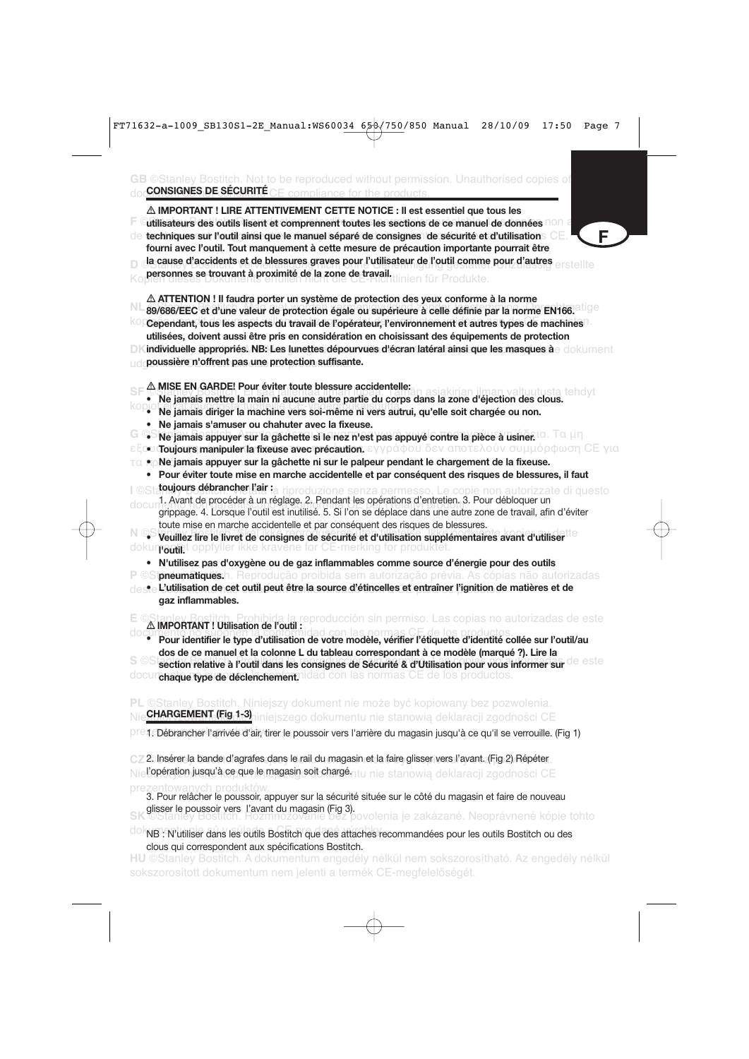GB ©Stanley Bostitch. Not to be reproduced without permission. Unauthorised copies of doc<mark>CONSIGNES DE SECURITE</mark> CE compliance for the products.



prezentowanych produktów. 3. Pour relâcher le poussoir, appuyer sur la sécurité située sur le côté du magasin et faire de nouveau

**SK ©stanley Boussoir vers l'avant du magasin (Fig 3).**<br>SK ©Stanley Bostitch. Rozmnožovanie bez povolenia je zakázané. Neoprávnené kópie tohto

do NB : N'utiliser dans les outils Bostitch que des attaches recommandées pour les outils Bostitch ou des clous qui correspondent aux spécifications Bostitch.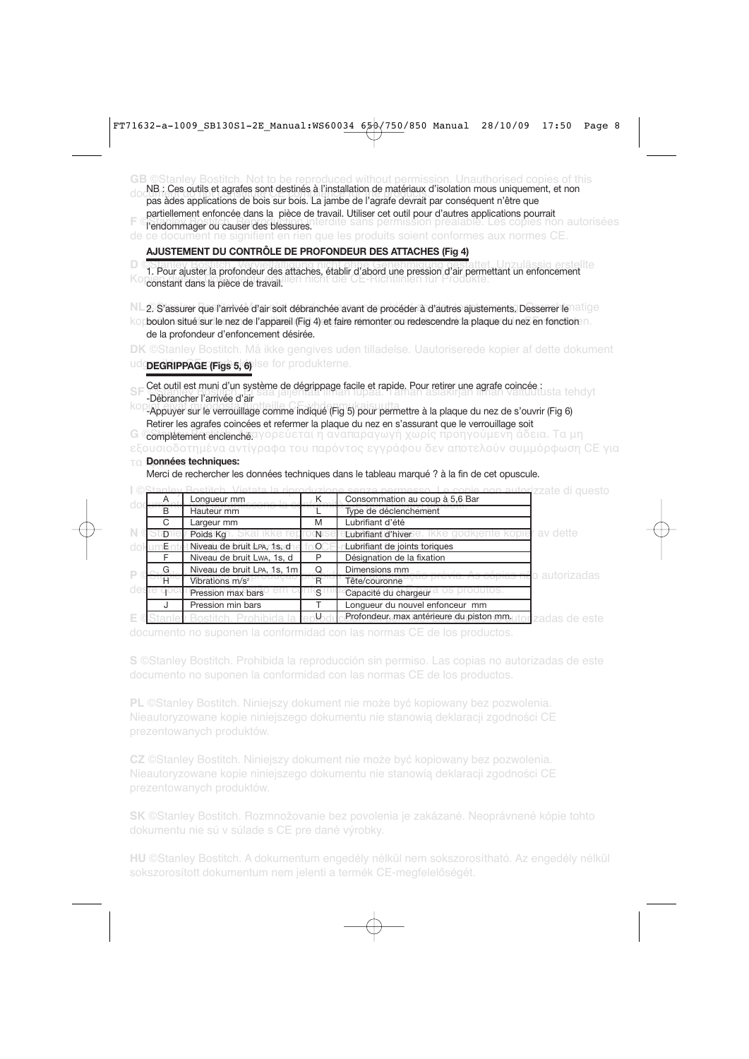|                |                | l'endommager ou causer des blessures.          |                | <b>GB</b> ©Stanley Bostitch. Not to be reproduced without permission. Unauthorised copies of this<br>NB : Ces outils et agrafes sont destinés à l'installation de matériaux d'isolation mous uniquement, et non<br>pas àdes applications de bois sur bois. La jambe de l'agrafe devrait par conséquent n'être que<br>partiellement enfoncée dans la pièce de travail. Utiliser cet outil pour d'autres applications pourrait<br>dite sans permission préalable. Les copies non autorisées<br>de ce document ne signifient en rien que les produits soient conformes aux normes CE.                              |
|----------------|----------------|------------------------------------------------|----------------|-----------------------------------------------------------------------------------------------------------------------------------------------------------------------------------------------------------------------------------------------------------------------------------------------------------------------------------------------------------------------------------------------------------------------------------------------------------------------------------------------------------------------------------------------------------------------------------------------------------------|
|                |                |                                                |                | AJUSTEMENT DU CONTRÔLE DE PROFONDEUR DES ATTACHES (Fig 4)                                                                                                                                                                                                                                                                                                                                                                                                                                                                                                                                                       |
|                |                | constant dans la pièce de travail.             |                | 1. Pour ajuster la profondeur des attaches, établir d'abord une pression d'air permettant un enfoncement                                                                                                                                                                                                                                                                                                                                                                                                                                                                                                        |
|                |                | de la profondeur d'enfoncement désirée.        |                | 2. S'assurer que l'arrivée d'air soit débranchée avant de procéder à d'autres ajustements. Desserrer le atige<br>kopboulon situé sur le nez de l'appareil (Fig 4) et faire remonter ou redescendre la plaque du nez en fonction n                                                                                                                                                                                                                                                                                                                                                                               |
|                |                |                                                |                | <b>DK</b> ©Stanley Bostitch. Må ikke gengives uden tilladelse. Uautoriserede kopier af dette dokument                                                                                                                                                                                                                                                                                                                                                                                                                                                                                                           |
|                |                | udopedrippAGE (rigs 5, 6) lse for produkterne. |                |                                                                                                                                                                                                                                                                                                                                                                                                                                                                                                                                                                                                                 |
|                |                |                                                |                |                                                                                                                                                                                                                                                                                                                                                                                                                                                                                                                                                                                                                 |
| G              |                | -Débrancher l'arrivée d'air                    |                | Cet outil est muni d'un système de dégrippage facile et rapide. Pour retirer une agrafe coincée :<br>Des contrats de la production de la production de la production de la production de la production de la produc<br>-Appuyer sur le verrouillage comme indiqué (Fig 5) pour permettre à la plaque du nez de s'ouvrir (Fig 6)<br>Retirer les agrafes coincées et refermer la plaque du nez en s'assurant que le verrouillage soit<br><b>completement enclenchg</b> αγορεύεται η αναπαραγωγή χωρίς προηγούμενη άδεια. Τα μη<br>εξουσιοδοτημένα αντίγραφα του παρόντος εγγράφου δεν αποτελούν συμμόρφωση CE για |
| T.CL           |                | Données techniques:                            |                |                                                                                                                                                                                                                                                                                                                                                                                                                                                                                                                                                                                                                 |
|                |                |                                                |                | Merci de rechercher les données techniques dans le tableau marqué ? à la fin de cet opuscule.                                                                                                                                                                                                                                                                                                                                                                                                                                                                                                                   |
|                |                |                                                |                |                                                                                                                                                                                                                                                                                                                                                                                                                                                                                                                                                                                                                 |
|                | A              | Longueur mm                                    | K              | <del>utor</del> izzate di questo<br>Consommation au coup à 5,6 Bar                                                                                                                                                                                                                                                                                                                                                                                                                                                                                                                                              |
| 0 <sup>o</sup> | $\overline{B}$ | Hauteur mm                                     |                | Type de déclenchement                                                                                                                                                                                                                                                                                                                                                                                                                                                                                                                                                                                           |
|                | $\overline{C}$ | Largeur mm                                     | M              | Lubrifiant d'été                                                                                                                                                                                                                                                                                                                                                                                                                                                                                                                                                                                                |
|                | Đ              | Poids Kg                                       | N              | av dette<br>Lubrifiant d'hiver e.<br>kopie                                                                                                                                                                                                                                                                                                                                                                                                                                                                                                                                                                      |
| do             | Е              | Niveau de bruit LPA, 1s, d                     | $\circ$        | Lubrifiant de joints toriques                                                                                                                                                                                                                                                                                                                                                                                                                                                                                                                                                                                   |
|                | F              | Niveau de bruit Lwa, 1s, d                     | P              | Désignation de la fixation                                                                                                                                                                                                                                                                                                                                                                                                                                                                                                                                                                                      |
| P              | G              | Niveau de bruit LPA, 1s, 1m                    | Q              | Dimensions mm                                                                                                                                                                                                                                                                                                                                                                                                                                                                                                                                                                                                   |
|                | $\overline{H}$ | Vibrations m/s <sup>2</sup>                    | $\overline{R}$ | o autorizadas<br>Tête/couronne                                                                                                                                                                                                                                                                                                                                                                                                                                                                                                                                                                                  |
| de:            |                | Pression max bars                              | S              | Capacité du chargeur                                                                                                                                                                                                                                                                                                                                                                                                                                                                                                                                                                                            |
|                | J              | Pression min bars                              | T              | Longueur du nouvel enfonceur mm                                                                                                                                                                                                                                                                                                                                                                                                                                                                                                                                                                                 |

E © <u>Stanley Bostitch. Prohibida la reploduc **Profondeur. max antérieure du piston mm**utori</u>zadas de este documento no suponen la conformidad con las normas CE de los productos.

**S** ©Stanley Bostitch. Prohibida la reproducción sin permiso. Las copias no autorizadas de este documento no suponen la conformidad con las normas CE de los productos.

**PL** ©Stanley Bostitch. Niniejszy dokument nie może być kopiowany bez pozwolenia. Nieautoryzowane kopie niniejszego dokumentu nie stanowią deklaracji zgodności CE prezentowanych produktów.

**CZ** ©Stanley Bostitch. Niniejszy dokument nie może być kopiowany bez pozwolenia. Nieautoryzowane kopie niniejszego dokumentu nie stanowią deklaracji zgodności CE prezentowanych produktów.

**SK** ©Stanley Bostitch. Rozmnožovanie bez povolenia je zakázané. Neoprávnené kópie tohto dokumentu nie sú v súlade s CE pre dané výrobky.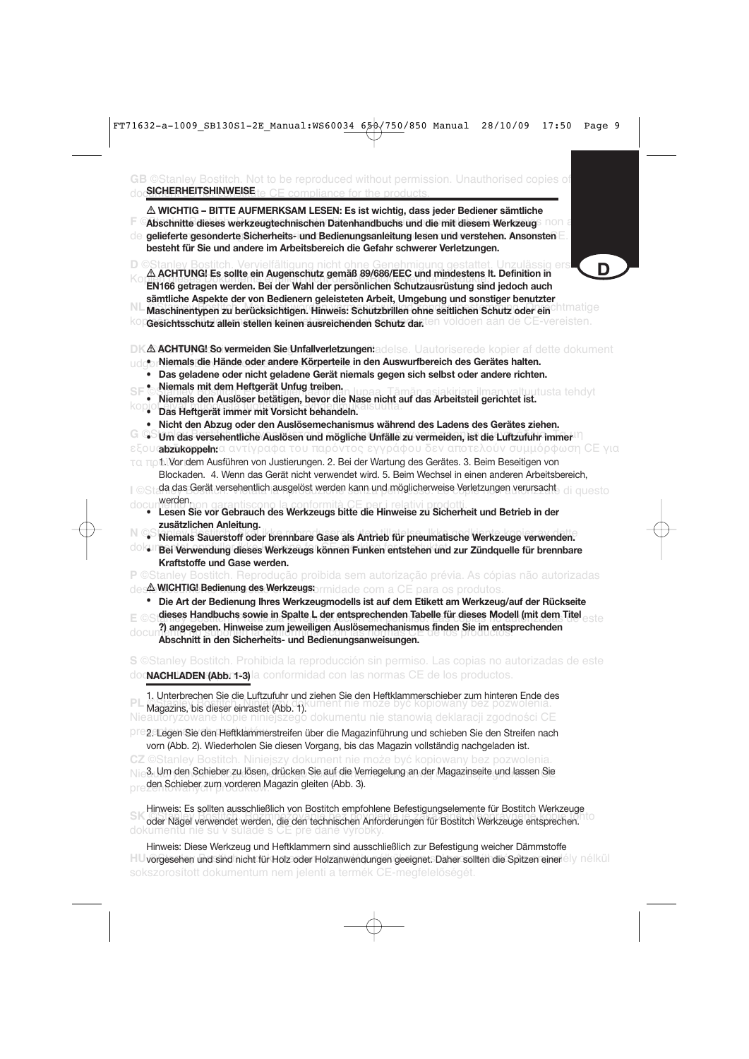- **WICHTIG BITTE AUFMERKSAM LESEN: Es ist wichtig, dass jeder Bediener sämtliche**
- **F ©Abschnitte dieses werkzeugtechnischen Datenhandbuchs und die mit diesem Werkzeug auch autoriséen bereigte. Der a**
- de gelieferte gesonderte Sicherheits- und Bedienungsanleitung lesen und verstehen. Ansonsten E **besteht für Sie und andere im Arbeitsbereich die Gefahr schwerer Verletzungen.**

D ©Stanley Bostitch. Vervielfältigung nicht ohne Genehmigung gestattet. Unzulässig ers**tellte**<br><sub>Ko</sub> **A ACHTUNG! Es sollte ein Augenschutz gemäß 89/686/EEC und mindestens lt. Definition in** EN166 getragen werden. Bei der Wahl der persönlichen Schutzausrüstung sind jedoch auch **EN166 getragen werden. Bei der Wahl der persönlichen Schutzausrüstung sind jedoch auch sämtliche Aspekte der von Bedienern geleisteten Arbeit, Umgebung und sonstiger benutzter** 

- ML Maschinentypen zu berücksichtigen. Hinweis: Schutzbrillen ohne seitlichen Schutz oder ein<sup>chtmatige</sup>
- kop**Gesichtsschutz allein stellen keinen ausreichenden Schutz dar.** <sup>ten</sup> voldoen aan de CE-vereisten.
- **DK** $\Delta$ **ACHTUNG! So vermeiden Sie Unfallverletzungen:**adelse. Uautoriserede kopier af dette dokument

**D**

- udg**or Niemals die Hände oder andere Körperteile in den Auswurfbereich des Gerätes halten.** 
	- **Das geladene oder nicht geladene Gerät niemals gegen sich selbst oder andere richten.**
- **Niemals mit dem Heftgerät Unfug treiben.**
- **Niemals hin dem nengerat omag dementation asiatischer Properties in den neueronale valtuurusta tehdyt**
- kopiot eivät muodosta tuotteille CE-yhdenmukaisuutta.  **Das Heftgerät immer mit Vorsicht behandeln.**
	- **Nicht den Abzug oder den Auslösemechanismus während des Ladens des Gerätes ziehen.**
- **G** C Um das versehentliche Auslösen und mögliche Unfälle zu vermeiden, ist die Luftzufuhr immer
- **εξουαbzukoppeln:**α αντίγραφα του παρόντος εγγράφου δεν αποτελούν συμμόρφωση CE για
- τα πρ ${\tt ti}$ Worldem Ausführen von Justierungen. 2. Bei der Wartung des Gerätes. 3. Beim Beseitigen von Blockaden. 4. Wenn das Gerät nicht verwendet wird. 5. Beim Wechsel in einen anderen Arbeitsbereich,
- l ©Sta**da das Gerät versehentlich ausgelöst werden kann und möglicherweise Verletzungen verursacht<sub>e di questo**</sub> doouwerden.
- documento non garantiscono la conformità CE per i relativi prodotti.  **Lesen Sie vor Gebrauch des Werkzeugs bitte die Hinweise zu Sicherheit und Betrieb in der zusätzlichen Anleitung.**
- Niemals Sauerstoff oder brennbare Gase als Antrieb für pneumatische Werkzeuge verwenden.
- dokum Bei Verwendung dieses Werkzeugs können Funken entstehen und zur Zündquelle für brennbare **Kraftstoffe und Gase werden.**
- **P** ©Stanley Bostitch. Reprodução proibida sem autorização prévia. As cópias não autorizadas de**s WICHTIG! Bedienung des Werkzeugs** brmidade com a CE para os produtos.
	- **• Die Art der Bedienung Ihres Werkzeugmodells ist auf dem Etikett am Werkzeug/auf der Rückseite**
- **E** ©Si**dieses Handbuchs sowie in Spalte L der entsprechenden Tabelle für dieses Modell (mit dem Titel este** documento no suponen la conformidad con las normas CE de los productos. **Abschnitt in den Sicherheits- und Bedienungsanweisungen. ?) angegeben. Hinweise zum jeweiligen Auslösemechanismus finden Sie im entsprechenden**

**S** ©Stanley Bostitch. Prohibida la reproducción sin permiso. Las copias no autorizadas de este do**gnachLaden (Abb. 1-3)** la conformidad con las normas CE de los productos.

PL Magazins, bis dieser einrastet (Abb. 1). Nieautoryzowane kopie niniejszego dokumentu nie stanowią deklaracji zgodności CE 1. Unterbrechen Sie die Luftzufuhr und ziehen Sie den Heftklammerschieber zum hinteren Ende des

PrezeLegen Sie den Heftklammerstreifen über die Magazinführung und schieben Sie den Streifen nach vorn (Abb. 2). Wiederholen Sie diesen Vorgang, bis das Magazin vollständig nachgeladen ist.

**CZ** ©Stanley Bostitch. Niniejszy dokument nie może być kopiowany bez pozwolenia. Nie3. Um den Schieber zu lösen, drücken Sie auf die Verriegelung an der Magazinseite und lassen Sie pre den Schieber zum vorderen Magazin gleiten (Abb. 3).

SK Frances Le Schen alseenmenen ferr Leenen emprenené Lendergangeenheime her Leenen für Bostitch.<br>Oder Nägel verwendet werden, die den technischen Anforderungen für Bostitch Werkzeuge entsprechen. dokumentu nie sú v súlade s CE pre dané výrobky. Hinweis: Es sollten ausschließlich von Bostitch empfohlene Befestigungselemente für Bostitch Werkzeuge

HU vorgesehen und sind nicht für Holz oder Holzanwendungen geeignet. Daher sollten die Spitzen einer ely nélkül sokszorosított dokumentum nem jelenti a termék CE-megfelelőségét. Hinweis: Diese Werkzeug und Heftklammern sind ausschließlich zur Befestigung weicher Dämmstoffe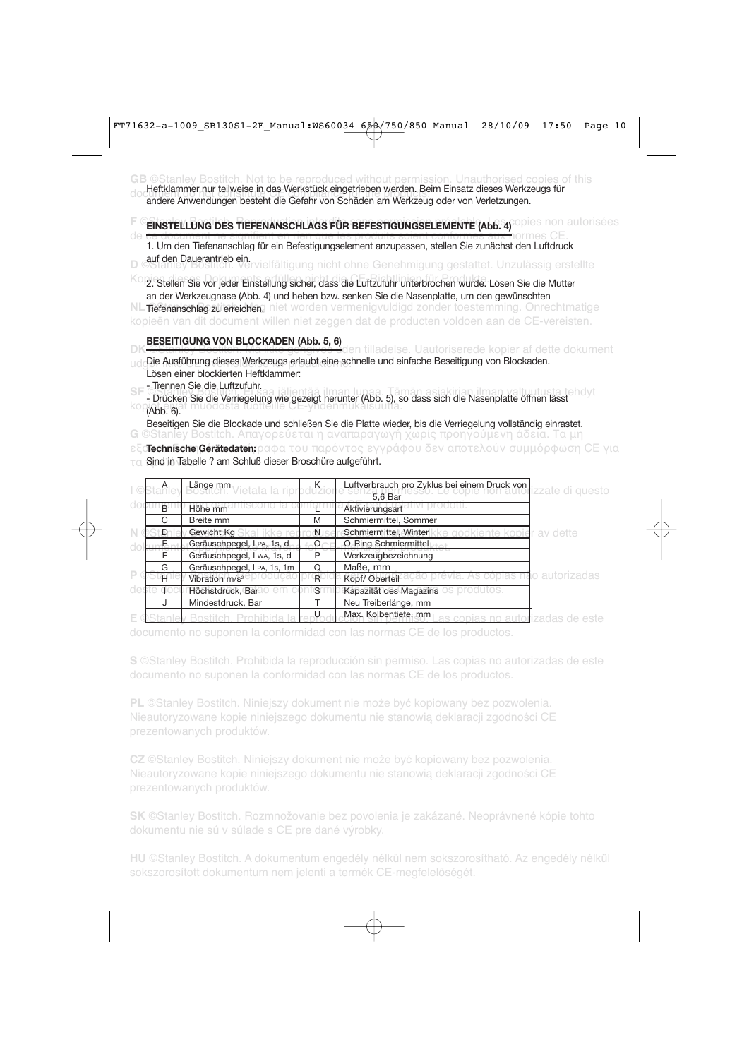**GB** ©Stanley Bostitch. Not to be reproduced without permission. Unauthorised copies of this document do not compliance in das werkstack eingelieben werden. Beim Einsatz dieses werkz<br>andere Anwendungen besteht die Gefahr von Schäden am Werkzeug oder von Verletzungen. Heftklammer nur teilweise in das Werkstück eingetrieben werden. Beim Einsatz dieses Werkzeugs für

## **F** CEINSTELLUNG DES TIEFENANSCHLAGS FÜR BEFESTIGUNGSELEMENTE (Abb. 4)<sup>opies</sup> non autorisées

de ce document ne signifient en rien que les produits soient conformes aux normes CE. 1. Um den Tiefenanschlag für ein Befestigungselement anzupassen, stellen Sie zunächst den Luftdruck **D** ©Stanley Bostitch. Vervielfältigung nicht ohne Genehmigung gestattet. Unzulässig erstellte auf den Dauerantrieb ein.

Kopien die vor jeder Einstellung sicher, dass die Luftzufuhr unterbrochen wurde. Lösen Sie die Mutter an der Werkzeugnase (Abb. 4) und heben bzw. senken Sie die Nasenplatte, um den gewünschten

**NL Tiefenanschlag zu erreichen.** Niet worden vermenigvuldigd zonder toestemming. Onrechtmatige kopieën van dit document willen niet zeggen dat de producten voldoen aan de CE-vereisten.

#### **BESEITIGUNG VON BLOCKADEN (Abb. 5, 6)**

**DK** ©Stanley Bostitch. Må ikke gengives uden tilladelse. Uautoriserede kopier af dette dokument udg**Die Ausführung dieses Werkzeugs erlaubt eine schnelle und einfache Beseitigung von Blockaden.** Lösen einer blockierten Heftklammer:

- Trennen Sie die Luftzufuhr.

SF Christian Stanley Bosting Bosting. Eine saakunde valtuutusta tehdyt paa. Tämän asiakirjan lupaa. Tämän lupaa<br>Drinkaa Sia din Variaanlupa vila asiakirjan valtuutusta tehdyt kuulusta tehdyttään järgi linna tehdyt kuulusta - Drücken Sie die Verriegelung wie gezeigt herunter (Abb. 5), so dass sich die Nasenplatte öffnen lässt<br>KO (Abb. 6) (Abb. 6).

**G** ©Stanley Bostitch. Απαγορεύεται η αναπαραγωγή χωρίς προηγούμενη άδεια. Τα μη Beseitigen Sie die Blockade und schließen Sie die Platte wieder, bis die Verriegelung vollständig einrastet.

**εξο<b>Technische Gerätedaten:** ραφα του παρόντος εγγράφου δεν αποτελούν συμμόρφωση CE για

 $\tau$ α Sind in Tabelle ? am Schluß dieser Broschüre aufgeführt.

|   | A            | <b>Länge mm</b> Vietata la ripr <mark>pdužior</mark> |    | Luftverbrauch pro Zyklus bei einem Druck von<br>izzate di questo |
|---|--------------|------------------------------------------------------|----|------------------------------------------------------------------|
|   |              |                                                      |    | 5,6 Bar                                                          |
|   | <sub>R</sub> | Höhe mm                                              |    | Aktivierungsart                                                  |
|   | C            | Breite mm                                            | M  | Schmiermittel, Sommer                                            |
|   | Ð            | Gewicht Kg                                           | N. | Schmiermittel, Winter<br>r av dette                              |
|   |              | Geräuschpegel, LPA, 1s, d                            | O  | O-Ring Schmiermittel                                             |
|   |              | Geräuschpegel, Lwa, 1s, d                            |    | Werkzeugbezeichnung                                              |
|   | G            | Geräuschpegel, LPA, 1s, 1m                           | O  | Maße, mm                                                         |
| P | н            | Vibration m/s <sup>2</sup>                           | R  | io autorizadas<br>Kopf/ Oberteil                                 |
|   |              | Höchstdruck, Bar                                     | S  | Kapazität des Magazins                                           |
|   |              | Mindestdruck, Bar                                    |    | Neu Treiberlänge, mm                                             |
|   |              |                                                      |    | Max. Kolbentiefe, mm<br>as copias no autorizadas de este         |

documento no suponen la conformidad con las normas CE de los productos.

**S** ©Stanley Bostitch. Prohibida la reproducción sin permiso. Las copias no autorizadas de este

**PL** ©Stanley Bostitch. Niniejszy dokument nie może być kopiowany bez pozwolenia. Nieautoryzowane kopie niniejszego dokumentu nie stanowią deklaracji zgodności CE prezentowanych produktów.

**CZ** ©Stanley Bostitch. Niniejszy dokument nie może być kopiowany bez pozwolenia. Nieautoryzowane kopie niniejszego dokumentu nie stanowią deklaracji zgodności CE

**SK** ©Stanley Bostitch. Rozmnožovanie bez povolenia je zakázané. Neoprávnené kópie tohto dokumentu nie sú v súlade s CE pre dané výrobky.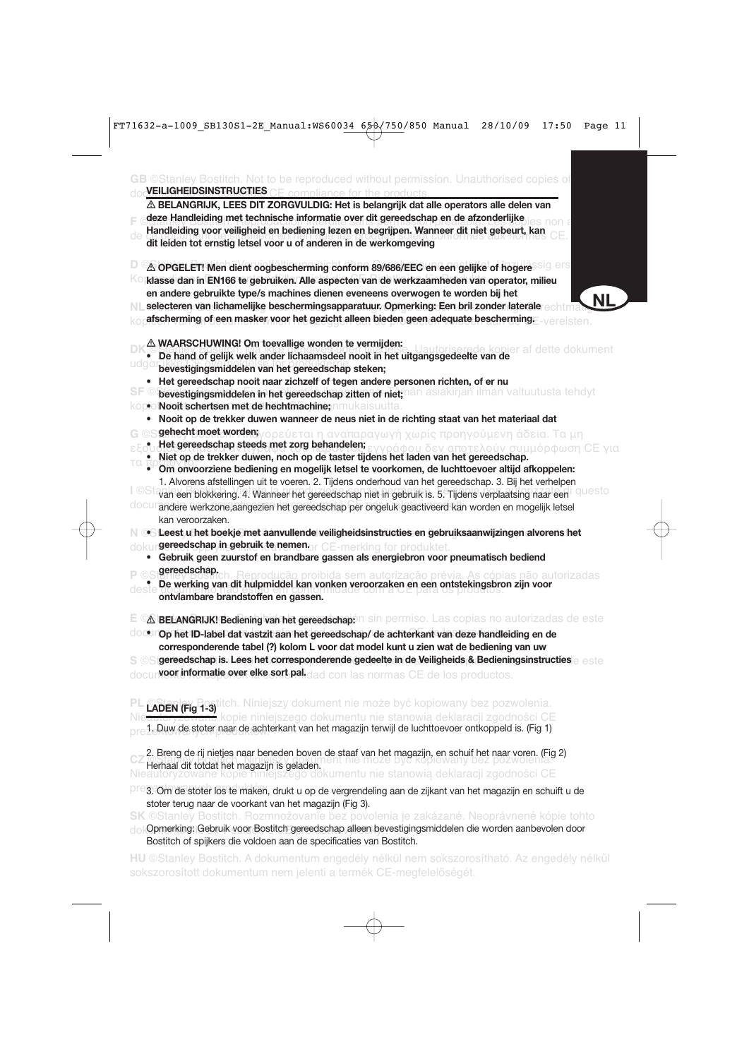**GB** ©Stanley Bostitch. Not to be reproduced without permission. Unauthorised copies of doc<mark>VEILIGHEIDSINSTRUCTIES</mark> CE compliance for the products. **Frank Bostitch. Reproduction interdite sans permission préferable sans permission préferable. Les commences non a<br>Handleiding voor veiligheid en bediening lezen en begrijpen. Wanneer dit niet gebeurt, kan** de ce document ne signifient en rien que les produits soient conformes aux normes CE. **dit leiden tot ernstig letsel voor u of anderen in de werkomgeving D**  $\infty$  OPGELET! Men dient oogbescherming conform 89/686/EEC en een gelijke of hogere<sup>ssigers</sup> **Ko klasse dan in EN166 te gebruiken. Alle aspecten van de werkzaamheden van operator, milieu** NL selecteren van lichamelijke beschermingsapparatuur. Opmerking: Een bril zonder laterale echtmatischer in 199 kop**afscherming of een masker voor het gezicht alleen bieden geen adequate bescherming. Evereisten. PK Stand of gelijk welk ander lichaamsdeel nooit in het uitgangsgedeelte van de**<br>• De hand of gelijk welk ander lichaamsdeel nooit in het uitgangsgedeelte van de udgør ikke Certon overheelse for produkterne.  $\textbf{S}\textsf{F}$  © bevestigingsmiddelen in het gereedschap zitten of niet;nän asiakirjan ilman valtuutusta tehdyt kopioi**Nooit schertsen met de hechtmachine;** nmukaisuutta. **G** ©S**gehecht moet worden;**γορεύεται η αναπαραγωγή χωρίς προηγούμενη άδεια. Τα μη εξου Het gereedschap steeds met zorg behandelen;<br>• Εταιρίας εγγράφα του παράλλου του παρόντου του παράλλου δεν αποτελούν συμμόρφωση CE για τα προϊόντα. **• Om onvoorziene bediening en mogelijk letsel te voorkomen, de luchttoevoer altijd afkoppelen:** I ©Stavan een blokkering. 4. Wanneer het gereedschap niet in gebruik is. 5. Tijdens verplaatsing naar een I QUesto docurandere werkzone,aangezien het gereedschap per ongeluk geactiveerd kan worden en mogelijk letsel N ⊙StLeest u het boekje met aanvullende veiligheidsinstructies en gebruiksaanwijzingen alvorens het dokur**gereedschap in gebruik te nemen** or CE-merking for produktet. **• De werking van dit hulpmiddel kan vonken veroorzaken en een ontstekingsbron zijn voor**<br>• **De werking van dit hulpmiddel kan vonken veroorzaken en een ontstekingsbron zijn voor** deste do unha **primeira não em conformado em conformidade** com a CE para os produtos. **E ©∆ BELANGRIJK! Bediening van het gereedschap:** n sin permiso. Las copias no autorizadas de este **<b>***OOUPODER 1D-label dat vastzit aan het gereedschap/ de achterkant van deze handleiding en de*  ${\bf S}$  © Si**gereedschap is. Lees het corresponderende gedeelte in de Veiligheids & Bedieningsinstructies en aste** docun**veor informatie over elke sort pal.**dad con las normas CE de los productos. **PL** ©Stanley Bostitch. Niniejszy dokument nie może być kopiowany bez pozwolenia. **LADEN (Fig 1-3)** kopie niniejszego dokumentu nie stanowią deklaracji zgodności CE  $\mathsf{prele}_\mathsf{P}$ luw de stoter naar de achterkant van het magazijn terwijl de luchttoevoer ontkoppeld is. (Fig 1) ent nie może być kopiowany bez pozwole Nieautoryzowane kopie niniejszego dokumentu nie stanowią deklaracji zgodności CE - **BELANGRIJK, LEES DIT ZORGVULDIG: Het is belangrijk dat alle operators alle delen van deze Handleiding met technische informatie over dit gereedschap en de afzonderlijke en andere gebruikte type/s machines dienen eveneens overwogen te worden bij het** - **WAARSCHUWING! Om toevallige wonden te vermijden: • Het gereedschap nooit naar zichzelf of tegen andere personen richten, of er nu • Nooit op de trekker duwen wanneer de neus niet in de richting staat van het materiaal dat • Niet op de trekker duwen, noch op de taster tijdens het laden van het gereedschap.** 1. Alvorens afstellingen uit te voeren. 2. Tijdens onderhoud van het gereedschap. 3. Bij het verhelpen kan veroorzaken. **• Gebruik geen zuurstof en brandbare gassen als energiebron voor pneumatisch bediend gereedschap. corresponderende tabel (?) kolom L voor dat model kunt u zien wat de bediening van uw**  2. Breng de rij nietjes naar beneden boven de staaf van het magazijn, en schuif het naar voren. (Fig 2) Herhaal dit totdat het magazijn is geladen. **NL**

preg. Om de stoter los te maken, drukt u op de vergrendeling aan de zijkant van het magazijn en schuift u de stoter terug naar de voorkant van het magazijn (Fig 3).

**SK** ©Stanley Bostitch. Rozmnožovanie bez povolenia je zakázané. Neoprávnené kópie tohto

dokOpmerking: Gebruik voor Bostitch gereedschap alleen bevestigingsmiddelen die worden aanbevolen door Bostitch of spijkers die voldoen aan de specificaties van Bostitch.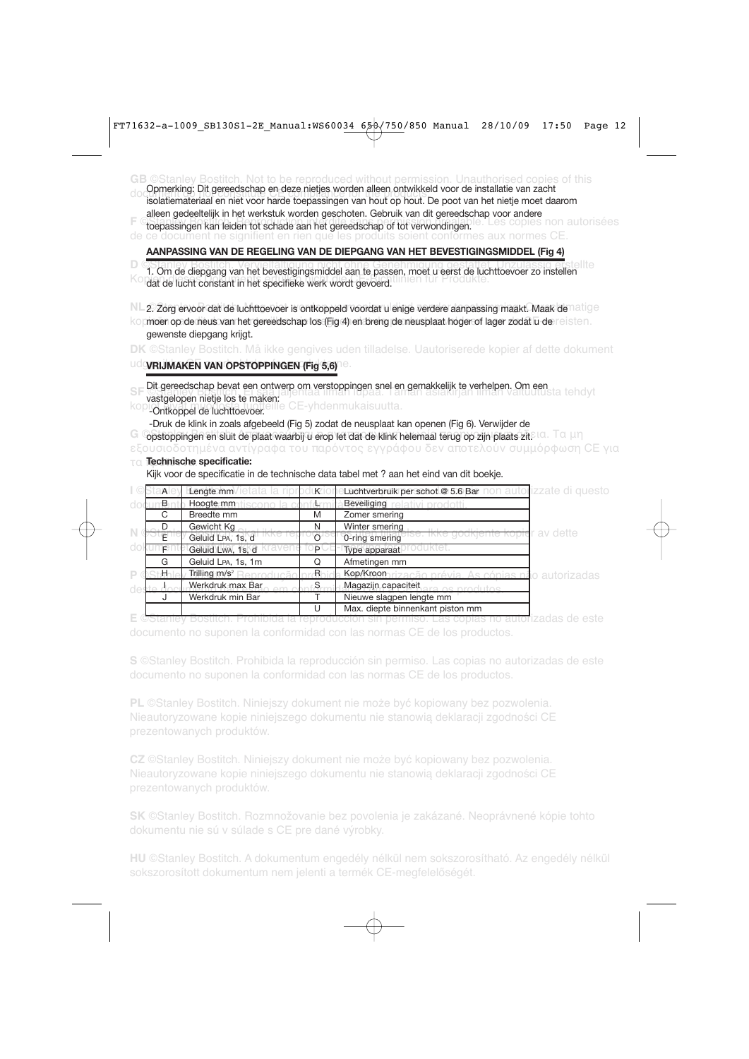**GB** ©Stanley Bostitch. Not to be reproduced without permission. Unauthorised copies of this document do not constitute CE compliance for the products. isolatiemateriaal en niet voor harde toepassingen van hout op hout. De poot van het nietje moet daarom F Ctoepassingen kan leiden tot schade aan het gereedschap of tot verwondingen.<sup>Ie. Les copies non autorisées</sup> de ce document ne signifient en rien que les produits soient conformes aux normes CE. 1. Om de diepgang van het bevestigingsmiddel aan te passen, moet u eerst de luchttoevoer zo instellen Kopien die Dokuments erfülliging gemeen die Produkte.<br>Gat de lucht constant in het specifieke werk wordt gevoerd. NL 2. Zorg ervoor dat de luchttoevoer is ontkoppeld voordat u enige verdere aanpassing maakt. Maak de<sup>matige</sup> kop**moer op de neus van het gereedschap los (Fig 4) en breng de neusplaat hoger of lager zodat u de** reisten. **DK** ©Stanley Bostitch. Må ikke gengives uden tilladelse. Uautoriserede kopier af dette dokument **Udgyrijmaken van Opstoppingen (Fig 5,6)<sup>10</sup>.** SF Dit gereedschap bevat een ontwerp om verstoppingen snel en gemakkelijk te verhelpen. Om een statte hdyt<br>Dit gereedschap bevat een ontwerp om verstoppingen snel en gemakkelijk te verhelpen. Om een statte hdyt kopiot ei vät muodosta tuotteille CE-yhdenmukaisuutta. **G** ©opstoppingen en sluit de plaat waarbij u erop let dat de klink helemaal terug op zijn plaats zit.810. Tα μη εξουσιοδοτημένα αντίγραφα του παρόντος εγγράφου δεν αποτελούν συμμόρφωση CE για τα προϊόντα. **Technische specificatie:** I ©<u>Sta**n**ley Eengte mm</u>Vietata la riproduzion e**Luchtverbruik per schot @ 5.6 Bar** non autor<mark>izzate di questo</mark> doc<u>umento **Hoogte mm**atiscono la conformità Beveiliging relativi prodotti.</u> **N** ©St $\frac{1}{\epsilon}$ nto Geluid I as its at tikke reprodusere o-the smering ise. Ikke godkjente kopier av dette dokument<mark>et Geluid Lwa, 1s, d</mark> Kravene fo**p** CE-mype apparaat produktet. **P** ©Stanley Trilling m/s<sup>2</sup> Reprodução pro<sup>n</sup>ibida Kop/Kroon rização prévia. As cópias não autorizadas<br>de la desdevementaria da componenta de la Magazin capaciteit deste documento não em conformidade com a Cesa es produtos.<br>J Werkdruk min Bar T Nieuwe slagpen lengte mm Opmerking: Dit gereedschap en deze nietjes worden alleen ontwikkeld voor de installatie van zacht alleen gedeeltelijk in het werkstuk worden geschoten. Gebruik van dit gereedschap voor andere<br>toenassingen kan leiden tot schade aan het gereedschap of tot blaueddraaklijk. Les copies non autorisées **AANPASSING VAN DE REGELING VAN DE DIEPGANG VAN HET BEVESTIGINGSMIDDEL (Fig 4)** gewenste diepgang krijgt. vastgelopen nietje los te maken.<br>Le CE-vhdenmukaisuutta. -Druk de klink in zoals afgebeeld (Fig 5) zodat de neusplaat kan openen (Fig 6). Verwijder de Kijk voor de specificatie in de technische data tabel met ? aan het eind van dit boekje. B nth Hoogte mm tiscono la conformità Beveiliging C Breedte mm M Zomer smering D Gewicht Kg N N Winter smering  $E^{10}$  Geluid LPA, 1s, d  $100$  error of  $\sigma$ -ring smering<br> $E^{11}$  Geluid LwA. 1s, d  $K$  avenue to p C E-T whe apparaat G Geluid LPA, 1s, 1m G Afmetingen mm Trilling  $m/s<sup>2</sup>$ S<sub>am in</sub> Magazijn capaciteit<br>Termine slagnen len U Max. diepte binnenkant piston mm

**E** ©Stanley Bostitch. Prohibida la reproducción sin permiso. Las copias no autorizadas de este documento no suponen la conformidad con las normas CE de los productos.

**S** ©Stanley Bostitch. Prohibida la reproducción sin permiso. Las copias no autorizadas de este documento no suponen la conformidad con las normas CE de los productos.

**PL** ©Stanley Bostitch. Niniejszy dokument nie może być kopiowany bez pozwolenia. Nieautoryzowane kopie niniejszego dokumentu nie stanowią deklaracji zgodności CE prezentowanych produktów.

**CZ** ©Stanley Bostitch. Niniejszy dokument nie może być kopiowany bez pozwolenia. Nieautoryzowane kopie niniejszego dokumentu nie stanowią deklaracji zgodności CE

**SK** ©Stanley Bostitch. Rozmnožovanie bez povolenia je zakázané. Neoprávnené kópie tohto dokumentu nie sú v súlade s CE pre dané výrobky.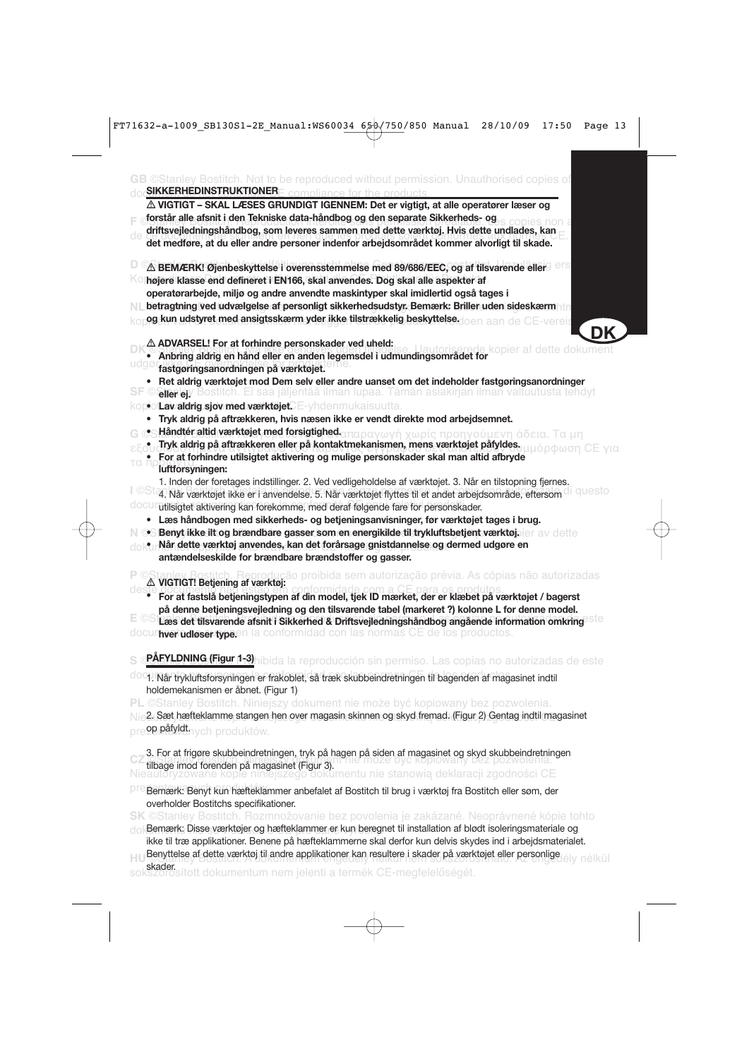| $\triangle$ VIGTIGT – SKAL LÆSES GRUNDIGT IGENNEM: Det er vigtigt, at alle operatører læser og                                                                                                                         |                           |
|------------------------------------------------------------------------------------------------------------------------------------------------------------------------------------------------------------------------|---------------------------|
| forstår alle afsnit i den Tekniske data-håndbog og den separate Sikkerheds- og                                                                                                                                         |                           |
| driftsvejledningshåndbog, som leveres sammen med dette værktøj. Hvis dette undlades, kan                                                                                                                               |                           |
| de<br>det medføre, at du eller andre personer indenfor arbejdsområdet kommer alvorligt til skade.                                                                                                                      |                           |
| $\triangle$ BEMÆRK! Øjenbeskyttelse i overensstemmelse med 89/686/EEC, og af tilsvarende eller                                                                                                                         |                           |
| KΟ<br>højere klasse end defineret i EN166, skal anvendes. Dog skal alle aspekter af                                                                                                                                    |                           |
| operatørarbejde, miljø og andre anvendte maskintyper skal imidlertid også tages i                                                                                                                                      |                           |
| betragtning ved udvælgelse af personligt sikkerhedsudstyr. Bemærk: Briller uden sideskærmmtn<br>N L                                                                                                                    |                           |
| og kun udstyret med ansigtsskærm yder ikke tilstrækkelig beskyttelsedoen aan de CE-vereis                                                                                                                              |                           |
| A ADVARSEL! For at forhindre personskader ved uheld:                                                                                                                                                                   |                           |
| Anbring aldrig en hånd eller en anden legemsdel i udmundingsområdet for                                                                                                                                                | de kopier af dette dokume |
| uagø<br>fastgøringsanordningen på værktøjet.                                                                                                                                                                           |                           |
| Ret aldrig værktøjet mod Dem selv eller andre uanset om det indeholder fastgøringsanordninger                                                                                                                          |                           |
| Silerlejv Bostitch. Ei saa jäljentää ilman lupaa. Tämän asiakirjan ilman valtuutusta tehdyt                                                                                                                            |                           |
| kopio' <b>Lav aldrig sjov med værktøjet</b> CE-yhdenmukaisuutta.                                                                                                                                                       |                           |
| Tryk aldrig på aftrækkeren, hvis næsen ikke er vendt direkte mod arbejdsemnet.<br>٠                                                                                                                                    |                           |
| Håndtér altid værktøjet med forsigtighed απαραγωγή χωρίς προηγούμενη άδεια. Τα μη                                                                                                                                      |                           |
| Tryk aldrig på aftrækkeren eller på kontaktmekanismen, mens værktøjet påfyldes.                                                                                                                                        | μόρφωση CE νια            |
| For at forhindre utilsigtet aktivering og mulige personskader skal man altid afbryde<br>τα πρ                                                                                                                          |                           |
| luftforsyningen:                                                                                                                                                                                                       |                           |
| 1. Inden der foretages indstillinger. 2. Ved vedligeholdelse af værktøjet. 3. Når en tilstopning fjernes.<br>l ©Sta1 Når værktøjet ikke er i anvendelse. 5. Når værktøjet flyttes til et andet arbejdsområde, eftersom | I questo                  |
| docum tilsigtet aktivering kan forekomme, med deraf følgende fare for personskader.                                                                                                                                    |                           |
| • Læs håndbogen med sikkerheds- og betjeningsanvisninger, før værktøjet tages i brug.                                                                                                                                  |                           |
| N @S Benyt ikke ilt og brændbare gasser som en energikilde til trykluftsbetjent værktøjsjer av dette<br>· Når dette værktøj anvendes, kan det forårsage gnistdannelse og dermed udgøre en                              |                           |
| antændelseskilde for brændbare brændstoffer og gasser.                                                                                                                                                                 |                           |
| A VIGTIGT! Bețiening af værktøj:<br>A VIGTIGT! Bețiening af værktøj:                                                                                                                                                   |                           |
|                                                                                                                                                                                                                        |                           |
| For at fastslå betjeningstypen af din model, tjek ID mærket, der er klæbet på værktøjet / bagerst<br>på denne betjeningsvejledning og den tilsvarende tabel (markeret ?) kolonne L for denne model.                    |                           |
| Læs det tilsvarende afsnit i Sikkerhed & Driftsvejledningshåndbog angående information omkring                                                                                                                         |                           |
| documicer udløser typeen la conformidad con las normas CE de los productos.                                                                                                                                            |                           |
| PÅEYLDNING (Figur 1-3) hibida la reproducción sin permiso. Las copias no autorizadas de este                                                                                                                           |                           |
|                                                                                                                                                                                                                        |                           |
| doc1. Når trykluftsforsyningen er frakoblet, så træk skubbeindretningen til bagenden af magasinet indtil<br>holdemekanismen er åbnet. (Figur 1)                                                                        |                           |
| <b>PL</b> ©Stanley Bostitch. Niniejszy dokument nie może być kopiowany bez pozwolenia.                                                                                                                                 |                           |
| 2. Sæt hæfteklamme stangen hen over magasin skinnen og skyd fremad. (Figur 2) Gentag indtil magasinet                                                                                                                  |                           |
| pre <b>ºɐ påfyldt.</b> nych produktów.                                                                                                                                                                                 |                           |
| 3. For at friggre skubbeindretningen, tryk på hagen på siden af magasinet og skyd skubbeindretningen                                                                                                                   |                           |
| <b>University of the participal magasinet (Figur 3).</b> If the moze byc kopiowany bez pozwoierna.<br>Nieautoryzowane kopie niniejszego dokumentu nie stanowią deklaracji zgodności CE                                 |                           |
|                                                                                                                                                                                                                        |                           |
| PF Bemærk: Benyt kun hæfteklammer anbefalet af Bostitch til brug i værktøj fra Bostitch eller søm, der                                                                                                                 |                           |
| overholder Bostitchs specifikationer.<br><b>SK</b> ©Stanley Bostitch. Rozmnožovanie bez povolenia je zakázané. Neoprávnené kópie tohto                                                                                 |                           |
| do Bemærk: Disse værktøjer og hæfteklammer er kun beregnet til installation af blødt isoleringsmateriale og                                                                                                            |                           |
| ikke til træ applikationer. Benene på hæfteklammerne skal derfor kun delvis skydes ind i arbejdsmaterialet.                                                                                                            |                           |

HU Denyumber al deue værkug ul andre applikationer kan resulter i skader på værkuget eller personlige lély nélkül Benyttelse af dette værktøj til andre applikationer kan resultere i skader på værktøjet eller personlige

sokszorosított dokumentum nem jelenti a termék CE-megfelelőségét.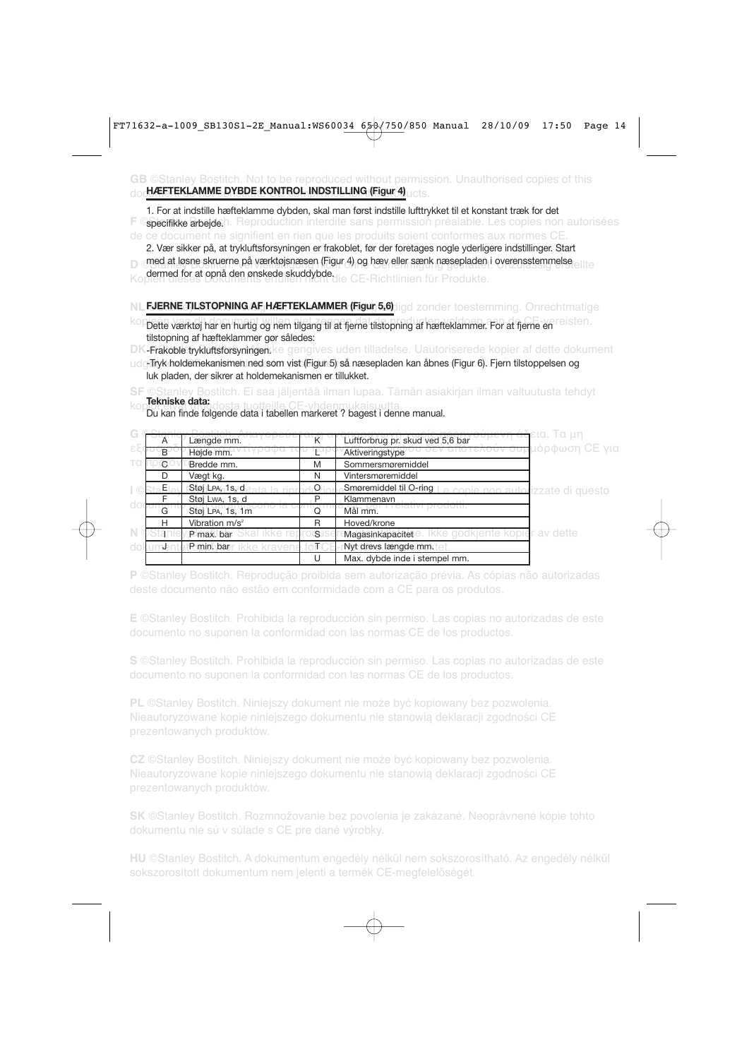#### **GB** ©Stanley Bostitch. Not to be reproduced without permission. Unauthorised copies of this doc<mark>hÆFTEKLAMME DYBDE KONTROL INDSTILLING (Figur 4)</mark> ucts.

**F ©specifikke arbejde.**h. Reproduction interdite sans permission préalable. Les copies non autorisées de ce document ne signifient en rien que les produits soient conformes aux normes CE. 1. For at indstille hæfteklamme dybden, skal man først indstille lufttrykket til et konstant træk for det

D Qued at lestie skruetlie ba værkingsliæsen (Figur 4) og liæv eller særik tiæsebladen i overerissiertitigise ellte Ko**dermed for at opnå den ønskede skuddybde**<sub>die</sub> CE-Richtlinien für Produkte. 2. Vær sikker på, at trykluftsforsyningen er frakoblet, før der foretages nogle yderligere indstillinger. Start med at løsne skruerne på værktøjsnæsen (Figur 4) og hæv eller sænk næsepladen i overensstemmelse

### NL FJERNE TILSTOPNING AF HÆFTEKLAMMER (Figur 5,6) ligd zonder toestemming. Onrechtmatige

koppette værktøj har en hurtig og nem tilgang til at fjerne tilstopning af hæfteklammer. For at fjerne en reisten. tilstopning af hæfteklammer gør således:

**DK-Frakoble trykluftsforsyningen.**ke gengives uden tilladelse. Uautoriserede kopier af dette dokument

udg<sub>r</sub>Tryk holdemekanismen ned som vist (Figur 5) så næsepladen kan åbnes (Figur 6). Fjern tilstoppelsen og luk pladen, der sikrer at holdemekanismen er tillukket.

#### **SF** ©Stanley Bostitch. Ei saa jäljentää ilman lupaa. Tämän asiakirjan ilman valtuutusta tehdyt **Tekniske data:**

kopiot muodosta tuotteille CE-yhdenmukaisuutta.<br>Du kan finde følgende data i tabellen markeret ? bagest i denne manual.

|    |                |                            |    |                                                                 | εια. Τα μη                    |
|----|----------------|----------------------------|----|-----------------------------------------------------------------|-------------------------------|
|    | $\overline{A}$ | Længde mm.                 | Κ  | Luftforbrug pr. skud ved 5,6 bar                                |                               |
| εF | <sub>R</sub>   | Højde mm.                  |    | Aktiveringstype                                                 | π <mark>μόρφωση CE για</mark> |
|    | $\mathbf{C}$   | Bredde mm.                 | M  | Sommersmøremiddel                                               |                               |
|    | D              | Vægt kg.                   | N  | Vintersmøremiddel                                               |                               |
|    | Eι             | Støj LPA, 1s, d            | O  | Smoremiddel til O-ring I e copie non autorizzate di questo      |                               |
|    |                | Støj Lwa, 1s, d            | D  | Klammenavn                                                      |                               |
|    | G              | Støj LPA, 1s, 1m           | Ω  | TUUTU LLI.<br>Mål mm.                                           |                               |
|    | н              | Vibration m/s <sup>2</sup> | R  | Hoved/krone                                                     |                               |
|    | istan          | P max. bar                 | S. | lkke godkiente kopier av dette<br>Magasinkapacitet <sup>e</sup> |                               |
|    |                | P min. bar                 |    | Nyt drevs længde mm.                                            |                               |
|    |                |                            | U  | Max. dybde inde i stempel mm.                                   |                               |

**P** ©Stanley Bostitch. Reprodução proibida sem autorização prévia. As cópias não autorizadas

**E** ©Stanley Bostitch. Prohibida la reproducción sin permiso. Las copias no autorizadas de este documento no suponen la conformidad con las normas CE de los productos.

**S** ©Stanley Bostitch. Prohibida la reproducción sin permiso. Las copias no autorizadas de este

**PL** ©Stanley Bostitch. Niniejszy dokument nie może być kopiowany bez pozwolenia. Nieautoryzowane kopie niniejszego dokumentu nie stanowią deklaracji zgodności CE prezentowanych produktów.

**CZ** ©Stanley Bostitch. Niniejszy dokument nie może być kopiowany bez pozwolenia. Nieautoryzowane kopie niniejszego dokumentu nie stanowią deklaracji zgodności CE

**SK** ©Stanley Bostitch. Rozmnožovanie bez povolenia je zakázané. Neoprávnené kópie tohto dokumentu nie sú v súlade s CE pre dané výrobky.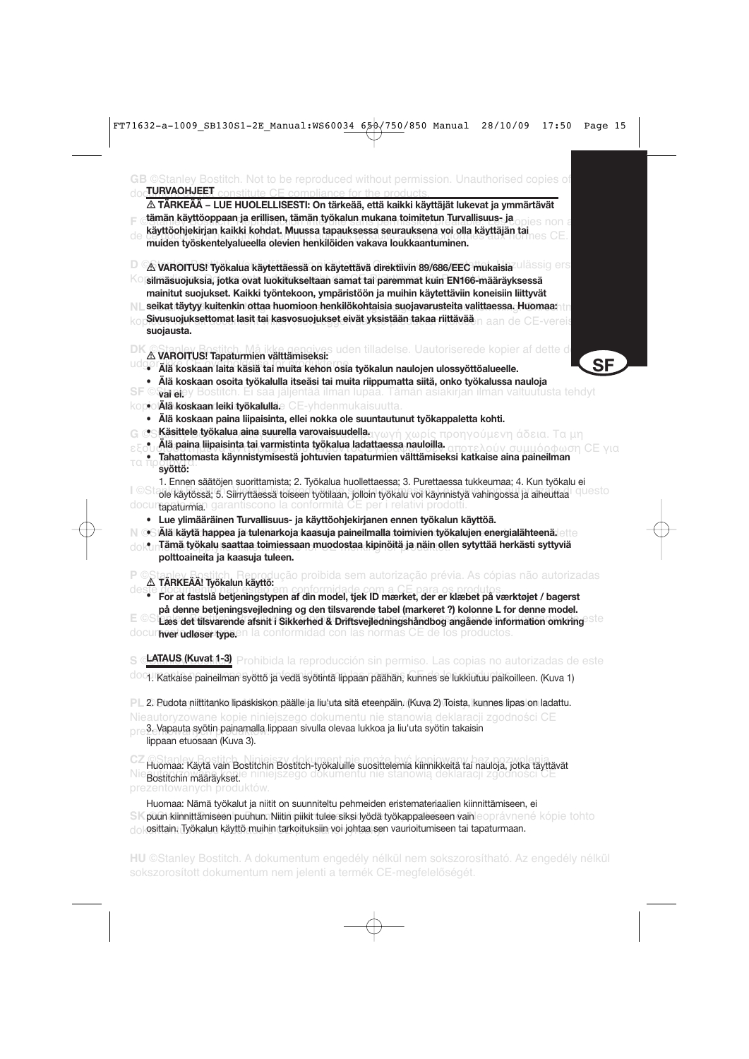| ∆ TÄRKEÄÄ – LUE HUOLELLISESTI: On tärkeää, että kaikki käyttäjät lukevat ja ymmärtävät                                                                                                                              |
|---------------------------------------------------------------------------------------------------------------------------------------------------------------------------------------------------------------------|
| tämän käyttöoppaan ja erillisen, tämän työkalun mukana toimitetun Turvallisuus- ja                                                                                                                                  |
| käyttöohjekirjan kaikki kohdat. Muussa tapauksessa seurauksena voi olla käyttäjän tai                                                                                                                               |
| muiden työskentelyalueella olevien henkilöiden vakava loukkaantuminen.                                                                                                                                              |
| △ VAROITUS! Työkalua käytettäessä on käytettävä direktiivin 89/686/EEC mukaisia Ulassig ers                                                                                                                         |
| silmäsuojuksia, jotka ovat luokitukseltaan samat tai paremmat kuin EN166-määräyksessä                                                                                                                               |
| mainitut suojukset. Kaikki työntekoon, ympäristöön ja muihin käytettäviin koneisiin liittyvät                                                                                                                       |
| seikat täytyy kuitenkin ottaa huomioon henkilökohtaisia suojavarusteita valittaessa. Huomaa:<br>Sivusuojuksettomat lasit tai kasvosuojukset eivät yksistään takaa riittävää<br>n aan de CE-vereis                   |
| suojausta.                                                                                                                                                                                                          |
| es uden tilladelse. Uautoriserede kopier af dette d<br>△ VAROITUS! Tapaturmien välttämiseksi:                                                                                                                       |
| <b>SF</b><br>· Älä koskaan laita käsiä tai muita kehon osia työkalun naulojen ulossyöttöalueelle.                                                                                                                   |
| • Älä koskaan osoita työkalulla itseäsi tai muita riippumatta siitä, onko työkalussa nauloja                                                                                                                        |
| ©Stareiey Bostitch. Ei saa jäljentää ilman lupaa. Tämän asiakirjan ilman valtuutusta tehdyt<br>ot <b>älä koskaandeiki työkalulla</b> e CE-yhdenmukaisuutta.                                                         |
| Älä koskaan paina liipaisinta, ellei nokka ole suuntautunut työkappaletta kohti.<br>$\bullet$                                                                                                                       |
| Käsittele työkalua aina suurella varovaisuudella ανωνή χωρίς προηγούμενη άδεια. Τα μη                                                                                                                               |
| Älä paina liipaisinta tai varmistinta työkalua ladattaessa nauloilla.<br>οτελούν συμμόρφωση CE                                                                                                                      |
| Tahattomasta käynnistymisestä johtuvien tapaturmien välttämiseksi katkaise aina paineilman<br>га.<br>ш<br>syöttö:                                                                                                   |
| 1. Ennen säätöjen suorittamista; 2. Työkalua huollettaessa; 3. Purettaessa tukkeumaa; 4. Kun työkalu ei<br>ole käytössä; 5. Siirryttäessä toiseen työtilaan, jolloin työkalu voi käynnistyä vahingossa ja aiheuttaa |
| docurtapaturman garantiscono la conformità CE per i relativi prodotti.<br>Lue ylimääräinen Turvallisuus- ja käyttöohjekirjanen ennen työkalun käyttöä.                                                              |
| $\bullet$ Alä käytä happea ja tulenarkoja kaasuja paineilmalla toimivien työkalujen energialähteenä. $_{\rm eff}$                                                                                                   |
| $\bullet$ nTämä työkalu saattaa toimiessaan muodostaa kipinöitä ja näin ollen sytyttää herkästi syttyviä                                                                                                            |
| polttoaineita ja kaasuja tuleen.                                                                                                                                                                                    |
| cão proibida sem autorização prévia. As cópias não autorizadas<br>△ TÄRKEÄÄ! Työkalun käyttö:                                                                                                                       |
| For at fastslå betjeningstypen af din model, tjek ID mærket, der er klæbet på værktøjet / bagerst                                                                                                                   |
| på denne betjeningsvejledning og den tilsvarende tabel (markeret?) kolonne L for denne model.                                                                                                                       |
| Læs det tilsvarende afsnit i Sikkerhed & Driftsvejledningshåndbog angående information omkring<br>docur <b>nver udløser type.</b> en la conformidad con las normas CE de los productos.                             |
|                                                                                                                                                                                                                     |
| LATAUS (Kuvatit-3). Prohibida la reproducción sin permiso. Las copias no autorizadas de este                                                                                                                        |
| 1. Katkaise paineilman syöttö ja vedä syötintä lippaan päähän, kunnes se lukkiutuu paikoilleen. (Kuva 1)                                                                                                            |
| PL 2. Pudota niittitanko lipaskiskon päälle ja liu'uta sitä eteenpäin. (Kuva 2) Toista, kunnes lipas on ladattu.                                                                                                    |
| Nieautoryzowane kopie niniejszego dokumentu nie stanowia deklaracji zgodności CE                                                                                                                                    |
| 3. Vapauta syötin painamalla lippaan sivulla olevaa lukkoa ja liu'uta syötin takaisin<br>lippaan etuosaan (Kuva 3).                                                                                                 |
| Huomaa: Käytä vain Bostitchin Bostitch-työkaluille suosittelemia kiinnikkeitä tai nauloja, jotka täyttävät<br>iiniejszego dokumentu nie stanowią<br>deklaracji zgodności                                            |
| Bostitchin määräykset.                                                                                                                                                                                              |

SK puun kiinnittämiseen puuhun. Niitin piikit tulee siksi lyödä työkappaleeseen vainleoprávnené kópie tohto dok**osittain. Työkalun käyttö muihin tarkoituksiin voi johtaa sen vaurioitumiseen tai tapaturmaan.** Huomaa: Nämä työkalut ja niitit on suunniteltu pehmeiden eristemateriaalien kiinnittämiseen, ei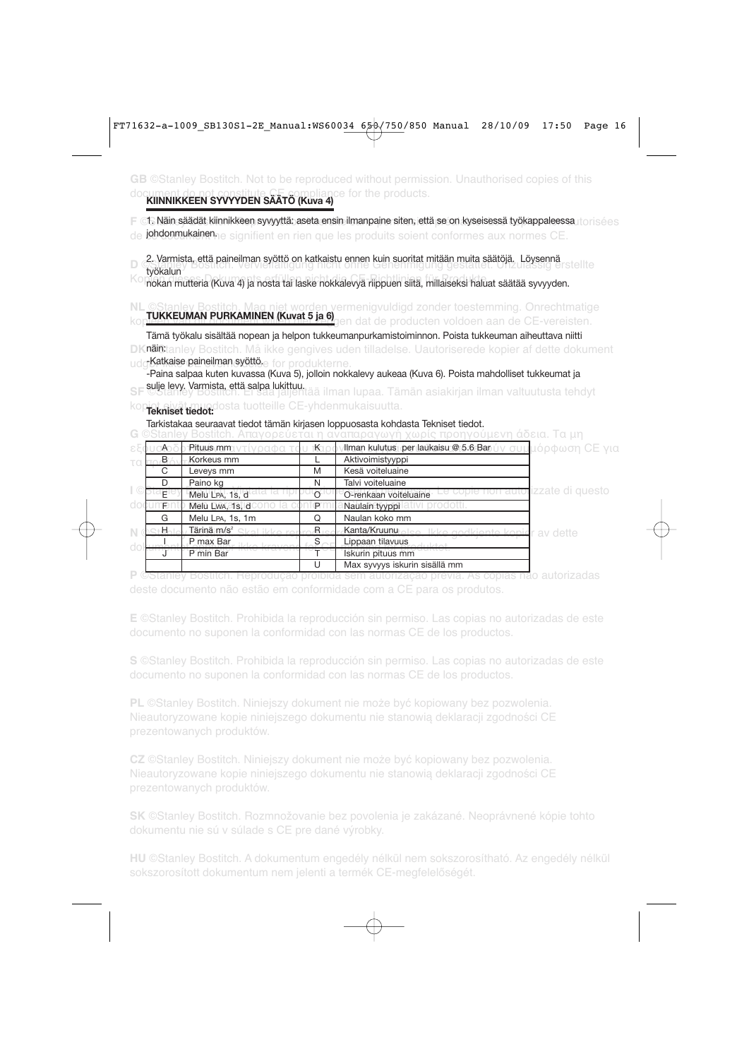**GB** ©Stanley Bostitch. Not to be reproduced without permission. Unauthorised copies of this document de not constitute CE compliance for the products.<br>**KIINNIKKEEN SYVYYDEN SÄÄTÖ (Kuva 4)** 

**F ©1. Näin säädät kiinnikkeen syvyyttä: aseta ensin ilmanpaine siten, että se on kyseisessä työkappaleessa torisées** 

de **jobdonnukainen**ne signifient en rien que les produits soient conformes aux normes CE.

2. Varmista, että paineilman syöttö on katkaistu ennen kuin suoritat mitään muita säätöjä. Löysennä<br>Läätöjä Kopisuuman<br>nokan mutteria (Kuva 4) ja nosta tai laske nokkalevyä riippuen siitä, millaiseksi haluat säätää syvyyden. työkalun

**NL** ©Stanley Bostitch. Mag niet worden vermenigvuldigd zonder toestemming. Onrechtmatige kop**tukkeuman Purkaminen (Kuvat 5 ja 6)** en dat de producten voldoen aan de CE-vereisten.

**DKnäin:**tanley Bostitch. Må ikke gengives uden tilladelse. Uautoriserede kopier af dette dokument udg**Katkaise paineilman syöttö.**<br>. Tämä työkalu sisältää nopean ja helpon tukkeumanpurkamistoiminnon. Poista tukkeuman aiheuttava niitti

SF <sup>sulje</sup> levy. Varmista, että salpa lukittuu.<br>SF ©Stanley Bostitch. Ei sala jäljentää ilman lupaa. Tämän asiakirjan ilman valtuutusta tehdyt -Paina salpaa kuten kuvassa (Kuva 5), jolloin nokkalevy aukeaa (Kuva 6). Poista mahdolliset tukkeumat ja

kopiot eivät muodosta tuotteille CE-yhdenmukaisuutta. **Tekniset tiedot:**

Tarkistakaa seuraavat tiedot tämän kirjasen loppuosasta kohdasta Tekniset tiedot.

**G** ©Stanley Bostitch. Απαγορεύεται η αναπαραγωγή χωρίς προηγούμενη άδεια. Τα μη

| ∩    | νοαφα τ<br>Pituus mm    | ҡ | Ilman kulutus per laukaisu @ 5.6 Bar                        | ιν συμ <mark>μόρφωση CE για</mark> |
|------|-------------------------|---|-------------------------------------------------------------|------------------------------------|
| B.   | Korkeus mm              |   | Aktivoimistyyppi                                            |                                    |
| C    | Leveys mm               | M | Kesä voiteluaine                                            |                                    |
|      | Paino kg                | N | Talvi voiteluaine                                           |                                    |
| Ε    | Melu LPA, 1s, d         |   | Le copie non autorizzate di questo<br>O-renkaan voiteluaine |                                    |
| F.   | Melu Lwa, 1s, d         | P | Naulain tyyppi                                              |                                    |
| G    | Melu LPA, 1s, 1m        | Q | Naulan koko mm                                              |                                    |
| ⊹H≂i | Tärinä m/s <sup>2</sup> | R | Kanta/Kruunu<br>Ikke godkjente konjer av dette              |                                    |
|      | P max Bar               | S | Lippaan tilavuus                                            |                                    |
|      | P min Bar               |   | Iskurin pituus mm                                           |                                    |
|      |                         | U | Max syvyys iskurin sisällä mm                               |                                    |

**P** ©Stanley Bostitch. Reprodução proibida sem autorização prévia. As cópias não autorizadas

**E** ©Stanley Bostitch. Prohibida la reproducción sin permiso. Las copias no autorizadas de este documento no suponen la conformidad con las normas CE de los productos.

**S** ©Stanley Bostitch. Prohibida la reproducción sin permiso. Las copias no autorizadas de este

**PL** ©Stanley Bostitch. Niniejszy dokument nie może być kopiowany bez pozwolenia. Nieautoryzowane kopie niniejszego dokumentu nie stanowią deklaracji zgodności CE prezentowanych produktów.

**CZ** ©Stanley Bostitch. Niniejszy dokument nie może być kopiowany bez pozwolenia. Nieautoryzowane kopie niniejszego dokumentu nie stanowią deklaracji zgodności CE

**SK** ©Stanley Bostitch. Rozmnožovanie bez povolenia je zakázané. Neoprávnené kópie tohto dokumentu nie sú v súlade s CE pre dané výrobky.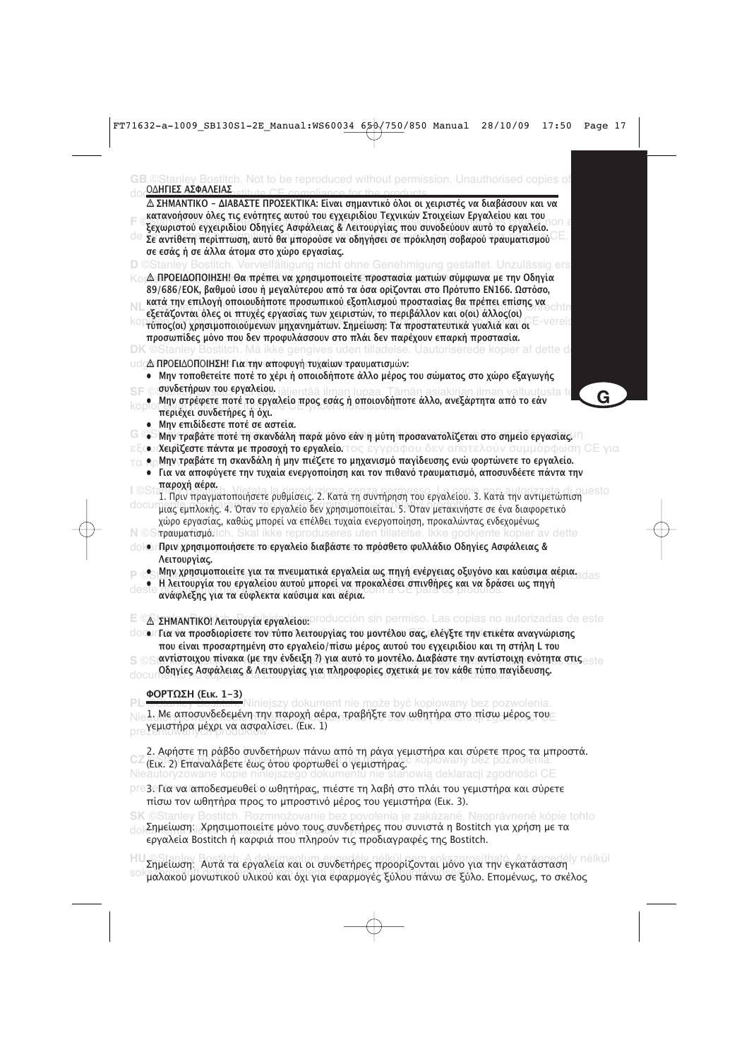| ©Stanley Bostitch.<br>to be reproduced without permission. Unauthorised copies of<br>ΟΔΗΓΙΕΣ ΑΣΦΑΛΕΙΑΣ                                                                                                                                                                                                                                                                                                                                                                                                                                                                                                                                                                                                                                    |   |
|-------------------------------------------------------------------------------------------------------------------------------------------------------------------------------------------------------------------------------------------------------------------------------------------------------------------------------------------------------------------------------------------------------------------------------------------------------------------------------------------------------------------------------------------------------------------------------------------------------------------------------------------------------------------------------------------------------------------------------------------|---|
| Δ ΣΗΜΑΝΤΙΚΟ - ΔΙΑΒΑΣΤΕ ΠΡΟΣΕΚΤΙΚΑ: Είναι σημαντικό όλοι οι χειριστές να διαβάσουν και να<br>κατανοήσουν όλες τις ενότητες αυτού του εγχειριδίου Τεχνικών Στοιχείων Εργαλείου και του<br>ξεχωριστού εγχειριδίου Οδηγίες Ασφάλειας & Λειτουργίας που συνοδεύουν αυτό το εργαλείο.<br><sup>de</sup> Σε αντίθετη περίπτωση, αυτό θα μπορούσε να οδηγήσει σε πρόκληση σοβαρού τραυματισμού                                                                                                                                                                                                                                                                                                                                                     |   |
| σε εσάς ή σε άλλα άτομα στο χώρο εργασίας.                                                                                                                                                                                                                                                                                                                                                                                                                                                                                                                                                                                                                                                                                                |   |
| D ©Stanley Bostitch. Vervielfältigung nicht ohne Genehmigung gestattet. Unzulässig ers<br>Δ-ΠΡΟΕΙΔΟΠΟΙΗΣΗ! Θα πρέπει να χρησιμοποιείτε προστασία ματιών σύμφωνα με την Οδηγία<br>89/686/ΕΟΚ, βαθμού ίσου ή μεγαλύτερου από τα όσα ορίζονται στο Πρότυπο ΕΝ166. Ωστόσο,<br>κατά την επιλογή οποιουδήποτε προσωπικού εξοπλισμού προστασίας θα πρέπει επίσης να<br>εξετάζονται όλες οι πτυχές εργασίας των χειριστών, το περιβάλλον και ο(οι) άλλος(οι)<br><sup>ΚΟ</sup> Τΰπος(οι) χρησιμοποιούμενων μηχανημάτων. Σημείωση: Τα προστατευτικά γυαλιά και οι<br>προσωπίδες μόνο που δεν προφυλάσσουν στο πλάι δεν παρέχουν επαρκή προστασία.<br><b>DK</b> ©Stanley Bostitch. Må ikke gengives uden tilladelse. Uautoriserede kopier af dette d |   |
| υ dcΔ ΠΡΟΕΙΔΟΠΟΙΗΣΗ! Για την αποφυγή τυχαίων τραυματισμών:                                                                                                                                                                                                                                                                                                                                                                                                                                                                                                                                                                                                                                                                                |   |
| • Μην τοποθετείτε ποτέ το χέρι ή οποιοδήποτε άλλο μέρος του σώματος στο χώρο εξαγωγής<br>© συνδετήρων του εργαλείου, <sub>lälientää ilman lupaa. Tämän asiakirjan ilman valtuutusta te<br/>●   Mην στρέφετε ποτέ το εργαλείο προς εσάς ή οποιονδήποτε άλλο, ανεξάρτητα από το εάν</sub><br>περιέχει συνδετήρες ή όχι.<br>• Μην επιδίδεστε ποτέ σε αστεία.                                                                                                                                                                                                                                                                                                                                                                                 | G |
| G @ Mην τραβάτε ποτέ τη σκανδάλη παρά μόνο εάν η μύτη προσανατολίζεται στο σημείο εργασίας. Π<br><b>ω χειρίζεστε πάντα με προσοχή το εργαλείο</b> ντος εγγράφου δεν αποτελούν συμμόρφωση CE.                                                                                                                                                                                                                                                                                                                                                                                                                                                                                                                                              |   |
| • οΜην τραβάτε τη σκανδάλη ή μην πιέζετε το μηχανισμό παγίδευσης ενώ φορτώνετε το εργαλείο.<br>· Για να αποφύγετε την τυχαία ενεργοποίηση και τον πιθανό τραυματισμό, αποσυνδέετε πάντα την<br>παροχή αέρα.                                                                                                                                                                                                                                                                                                                                                                                                                                                                                                                               |   |
| 1. Πριν πραγματοποιήσετε ρυθμίσεις. 2. Κατά τη συντήρηση του εργαλείου. 3. Κατά την αντιμετώπιση<br>μιας εμπλοκής. 4. Όταν το εργαλείο δεν χρησιμοποιείται. 5. Όταν μετακινήστε σε ένα διαφορετικό<br>χώρο εργασίας, καθώς μπορεί να επέλθει τυχαία ενεργοποίηση, προκαλώντας ενδεχομένως<br>N ©Strpaupation of the ikke reproduseres uten tillatelse. Ikke godkjente kopier av dette                                                                                                                                                                                                                                                                                                                                                     |   |
| clokerΠριν χρησιμοποιήσετε το εργαλείο διαβάστε το πρόσθετο φυλλάδιο Οδηγίες Ασφάλειας &<br>Λειτουργίας.                                                                                                                                                                                                                                                                                                                                                                                                                                                                                                                                                                                                                                  |   |
| • Μην χρησιμοποιείτε για τα πνευματικά εργαλεία ως πηγή ενέργειας οξυγόνο και καύσιμα αέρια.<br>Η λειτουργία του εργαλείου αυτού μπορεί να προκαλέσει σπινθήρες και να δράσει ως πηγή<br>ανάφλεξης για τα εύφλεκτα καύσιμα και αέρια.                                                                                                                                                                                                                                                                                                                                                                                                                                                                                                     |   |
| E CA <b>ΣΗΜΑΝΤΙΚΟ! Λειτουργία εργαλειση:</b> producción sin permiso. Las copias no autorizadas de este<br><u>ΟΟΟΙΠΙα να προσδιορίσετε τον τύπο λειτουργίας του μοντέλου σας, ελέγξτε την ετικέτα αναγνώρισης</u><br>που είναι προσαρτημένη στο εργαλείο/πίσω μέρος αυτού του εγχειριδίου και τη στήλη L του<br>ιαντίστοιχου πίνακα (με την ένδειξη ?) για αυτό το μοντέλο. Διαβάστε την αντίστοιχη ενότητα στις<br>Οδηγίες Ασφάλειας & Λειτουργίας για πληροφορίες σχετικά με τον κάθε τύπο παγίδευσης.<br>doc                                                                                                                                                                                                                            |   |
| ΦΟΡΤΩΣΗ (Εικ. 1-3)<br>niejszy dokument nie może być kopiowany bez pozwolenia.                                                                                                                                                                                                                                                                                                                                                                                                                                                                                                                                                                                                                                                             |   |
| 1. Με αποσυνδεδεμένη την παροχή αέρα, τραβήξτε τον ωθητήρα στο πίσω μέρος του<br>γεμιστήρα μέχρι να ασφαλίσει. (Εικ. 1)                                                                                                                                                                                                                                                                                                                                                                                                                                                                                                                                                                                                                   |   |
| 2. Αφήστε τη ράβδο συνδετήρων πάνω από τη ράγα γεμιστήρα και σύρετε προς τα μπροστά.<br><sup>UL</sup> (Εικ. 2) Επαναλάβετε εως ότου φορτωθεί ο γεμίστηρας. Kopiowany bez pozwolenia<br>Nieautoryzowane kopie niniejszego dokumentu nie stanowią deklaracji zgodności CE                                                                                                                                                                                                                                                                                                                                                                                                                                                                   |   |
| pre3eΓια να αποδεσμευθεύο ωθητήρας, πιέστε τη λαβή στο πλάι του γεμιστήρα και σύρετε<br>πίσω τον ωθητήρα προς το μπροστινό μέρος του γεμιστήρα (Εικ. 3).                                                                                                                                                                                                                                                                                                                                                                                                                                                                                                                                                                                  |   |
| SK ©Stanley Bostitch. Rozmnožovanie bez povolenia je zakázané. Neoprávnené kópie tohto<br>Σημείωση; Χρησιμοποιείτε μόνο τους συνδετήρες που συνιστά η Bostitch για χρήση με τα                                                                                                                                                                                                                                                                                                                                                                                                                                                                                                                                                            |   |

εργαλεία Bostitch ή καρφιά που πληρούν τις προδιαγραφές της Bostitch.

Η Σημείωση: Αυτά τα εργαλεία και οι συνδετήρες προορίζονται μόνο για την εγκατάσταση <sup>η nélkül</sup> <sup>SO</sup> μαλακού μονωτικού υλικού και όχι για εφαρμογές ξύλου πάνω σε ξύλο. Επομένως, το σκέλος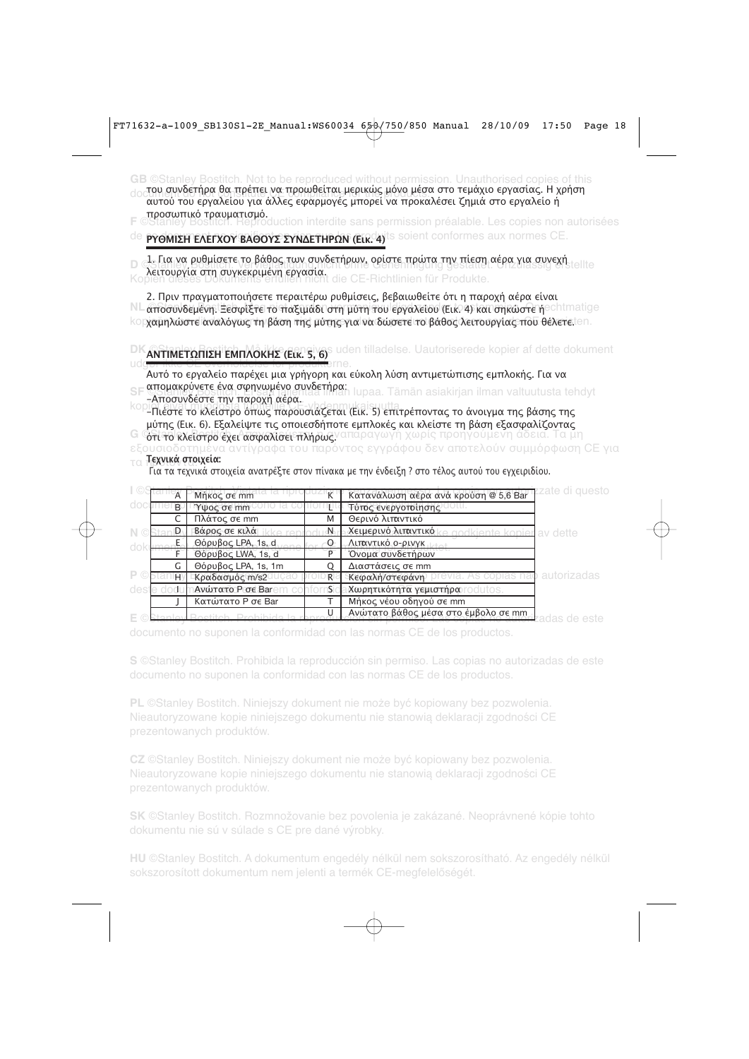**GB** ©Stanley Bostitch. Not to be reproduced without permission. Unauthorised copies of this document ματού του εργασιάς. Τη συνετική προϊόντα του προσωπικό του προσωπικό της προσωπικός.<br>«αυτού του εργαλείου για άλλες εφαρμογές μπορεί να προκαλέσει ζημιά στο εργαλείο ή του συνδετήρα θα πρέπει να προωθείται μερικώς μόνο μέσα στο τεμάχιο εργασίας. Η χρήση ροσωικό τραυµατισµό.

**F** ©Stanley Bostitch. Reproduction interdite sans permission préalable. Les copies non autorisées

<sup>de</sup> PYΘΜΙΣΗ ΕΛΕΓΧΟΥ ΒΑΘΟΥΣ ΣΥΝΔΕΤΗΡΩΝ (Είκ. 4)<sup>is soient conformes aux normes CE.</sup>

D -1. Για να ρυθµίσετε το βάθος των συνδετήρων, ορίστε πρώτα την πίεση αέρα για συνεχή.<br>Ο ελευτονία στη συνερχομόνη εργασία Ko**nen die von dorkerpte in erfüllen.** die CE-Richtlinien für Produkte. λειτουργία στη συγκεκριµένη εργασία.

NL αποσυνδεμένη. Ξεσφίξτε το παξιµάδι στη µύτη του εργαλείου (Εικ. 4) και σηκώστε ή<sup>e chimatige</sup> korχαμηλώστε αναλόγως τη βάση της μύτης για να δώσετε το βάθος λειτουργίας που θέλετε.ten. 2. Πριν πραγματοποιήσετε περαιτέρω ρυθμίσεις, βεβαιωθείτε ότι η παροχή αέρα είναι

**DK ANTIMETΩΠΙΣΗ ΕΜΠΛΟΚΗΣ (Εικ. 5, 6)** uden tilladelse. Uautoriserede kopier af dette dokument

udg<del>ør ikke CE overholdelse for produkt</del>erne.<br>Αυτό το εργαλείο παρέχει μια γρήγορη και εύκολη λύση αντιμετώπισης εμπλοκής. Για να SF απομακρύνετε ένα σφηνωμένο συνδετήρα:<br>Απομιώδεσες την παρδύδιασ<sup>χη μ</sup>άλλου με τους Παραλλάνου σε αλλιτισμοποιητής τους απομιτισμοποιητής τους προσφ

-Αποσυνδέστε την παροχή αέρα.

κορίτιες του κλείστρο όπως παρουσιάζεται (Εικ. 5) επιτρέποντας το άνοιγμα της βάσης της μύτης (Εικ. 6). Εξαλείψτε τις οποιεσδήποτε εμπλοκές και κλείστε τη βάση εξασφαλίζοντας

**G 'Gτί το κλείστρο έχει ασφαλίσει πλήρως.** απαραγωγή χωρίς προηγούμενη άδεια. Τα μη

εξουσιοδοτημένα αντίγραφα του παρόντος εγγράφου δεν αποτελούν συμμόρφωση CE για τα προϊόντα. **Τεχνικά στοιχεία:**

Για τα τεχνικά στοιχεία ανατρέξτε στον πίνακα με την ένδειξη ? στο τέλος αυτού του εγχειριδίου.

|    | $\overline{A}$ | Μήκος σε mm          |   | Κατανάλωση αέρα ανά κρούση @ 5,6 Bar    | zate di questo: |
|----|----------------|----------------------|---|-----------------------------------------|-----------------|
|    | <sub>R</sub>   | Ύψος σε mm           |   | Τύτος ενεργοτοίησης                     |                 |
|    |                | Πλάτος σε mm         | M | Θερινό λιπαντικό                        |                 |
|    |                | <b>Βάρος σε κιλά</b> |   | Χειμερινό λιπαντικό<br>andkiente konier | ∕ dette         |
|    |                | Θόρυβος LPA, 1s, d   |   | Λιπαντικό ο-ρινγκ                       |                 |
|    |                | Θόρυβος LWA, 1s, d   |   | Όνομα συνδετήρων                        |                 |
|    |                | Θόρυβος LPA, 1s, 1m  |   | Διαστάσεις σε mm                        |                 |
| P. | ΗV             | Κραδασμός m/s2       |   | Κεφαλή/στεφάνη                          | autorizadas     |
|    |                | Ανώτατο P σε Bar     |   | Χωρητικότητα γεμιστήρα                  |                 |
|    |                | Κατώτατο P σε Bar    |   | Μήκος νέου οδηγού σε mm                 |                 |
|    |                |                      |   | Ανώτατο βάθος μέσα στο έμβολο σε mm     |                 |

documento no suponen la conformidad con las normas CE de los productos.

**S** ©Stanley Bostitch. Prohibida la reproducción sin permiso. Las copias no autorizadas de este

**PL** ©Stanley Bostitch. Niniejszy dokument nie może być kopiowany bez pozwolenia. Nieautoryzowane kopie niniejszego dokumentu nie stanowią deklaracji zgodności CE prezentowanych produktów.

**CZ** ©Stanley Bostitch. Niniejszy dokument nie może być kopiowany bez pozwolenia. Nieautoryzowane kopie niniejszego dokumentu nie stanowią deklaracji zgodności CE

**SK** ©Stanley Bostitch. Rozmnožovanie bez povolenia je zakázané. Neoprávnené kópie tohto dokumentu nie sú v súlade s CE pre dané výrobky.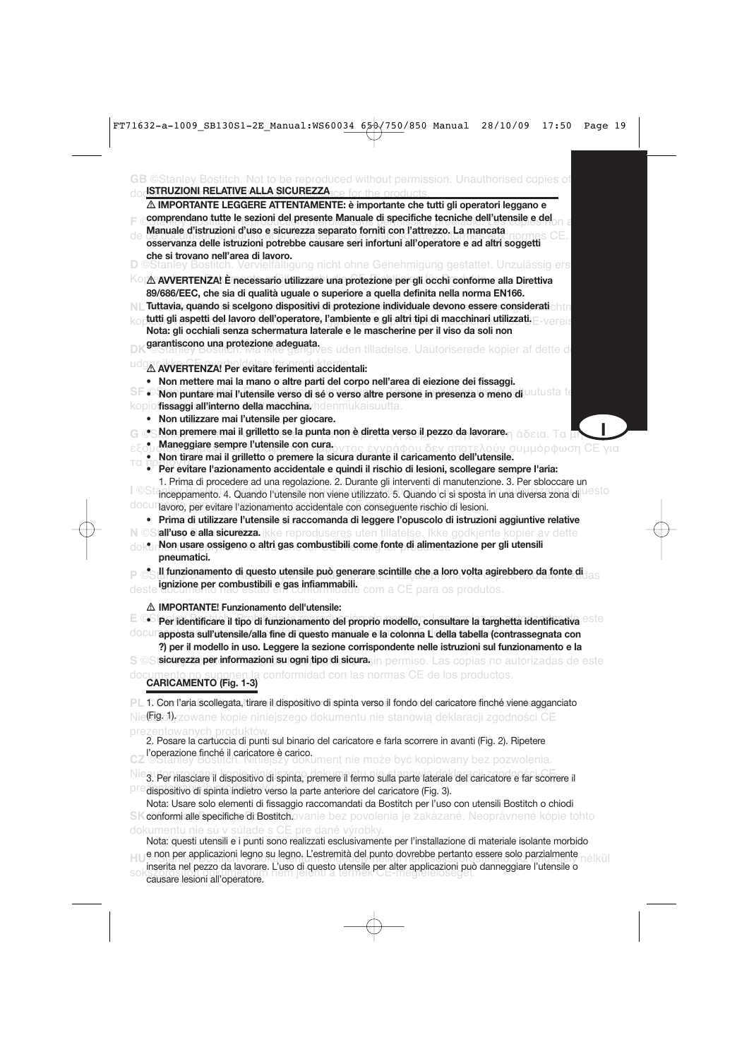| © Stanley Bostitch. Not to be reproduced without permission. Unauthorised copies of<br><b>ISTRUZIONI RELATIVE ALLA SICUREZZA</b>                                                                                                                                                                                                                                                                                                                                                                                                                                                                                                                                                                                                                                                                                                                                                                                                                                                                                                                                                                                                                                                                                                                                                                                                                                                                                                                                                                                                                                                                                                                                                                                                                                                                                                                                                                                                                                                                                                                                                                    |
|-----------------------------------------------------------------------------------------------------------------------------------------------------------------------------------------------------------------------------------------------------------------------------------------------------------------------------------------------------------------------------------------------------------------------------------------------------------------------------------------------------------------------------------------------------------------------------------------------------------------------------------------------------------------------------------------------------------------------------------------------------------------------------------------------------------------------------------------------------------------------------------------------------------------------------------------------------------------------------------------------------------------------------------------------------------------------------------------------------------------------------------------------------------------------------------------------------------------------------------------------------------------------------------------------------------------------------------------------------------------------------------------------------------------------------------------------------------------------------------------------------------------------------------------------------------------------------------------------------------------------------------------------------------------------------------------------------------------------------------------------------------------------------------------------------------------------------------------------------------------------------------------------------------------------------------------------------------------------------------------------------------------------------------------------------------------------------------------------------|
| $\triangle$ IMPORTANTE LEGGERE ATTENTAMENTE: è importante che tutti gli operatori leggano e<br>comprendano tutte le sezioni del presente Manuale di specifiche tecniche dell'utensile e del<br>Manuale d'istruzioni d'uso e sicurezza separato forniti con l'attrezzo. La mancata<br>de<br>osservanza delle istruzioni potrebbe causare seri infortuni all'operatore e ad altri soggetti<br>che si trovano nell'area di lavoro.<br>D ©Stanley Bostitch. Vervielfältigung nicht ohne Genehmigung gestattet. Unzulässig ers                                                                                                                                                                                                                                                                                                                                                                                                                                                                                                                                                                                                                                                                                                                                                                                                                                                                                                                                                                                                                                                                                                                                                                                                                                                                                                                                                                                                                                                                                                                                                                           |
| <b>KOM AVVERTENZA! È necessario utilizzare una protezione per gli occhi conforme alla Direttiva</b><br>89/686/EEC, che sia di qualità uguale o superiore a quella definita nella norma EN166.<br>NIL Tuttavia, quando si scelgono dispositivi di protezione individuale devono essere considerati chin<br>tutti gli aspetti del lavoro dell'operatore, l'ambiente e gli altri tipi di macchinari utilizzati. E<br>Nota: gli occhiali senza schermatura laterale e le mascherine per il viso da soli non<br>garantiscono una protezione adeguata.<br>gerantiscono una protezione adeguata.                                                                                                                                                                                                                                                                                                                                                                                                                                                                                                                                                                                                                                                                                                                                                                                                                                                                                                                                                                                                                                                                                                                                                                                                                                                                                                                                                                                                                                                                                                           |
| A AVVERTENZA! Per evitare ferimenti accidentali:<br>• Non mettere mai la mano o altre parti del corpo nell'area di eiezione dei fissaggi.<br>SIF oD Non puntare mai l'utensile verso di sé o verso altre persone in presenza o meno di UUIUSIA IG<br>kopioi <b>fissaggi all'interno della macchina</b> , hdenmukaisuutta.<br>Non utilizzare mai l'utensile per giocare.<br>٠<br>G @S Non premere mai il grilletto se la punta non è diretta verso il pezzo da lavorare η άδεια. Τα <b>u</b> i<br>Maneggiare sempre l'utensile con cura.<br>ν αποτελούν συμμόρφωση CE νια<br>Non tirare mai il grilletto o premere la sicura durante il caricamento dell'utensile.<br>τα<br>• Per evitare l'azionamento accidentale e quindi il rischio di lesioni, scollegare sempre l'aria:<br>1. Prima di procedere ad una regolazione. 2. Durante gli interventi di manutenzione. 3. Per sbloccare un<br>l ©Sta<br>inceppamento. 4. Quando l'utensile non viene utilizzato. 5. Quando ci si sposta in una diversa zona di<br>documavoro, per evitare l'azionamento accidentale con conseguente rischio di lesioni.<br>Prima di utilizzare l'utensile si raccomanda di leggere l'opuscolo di istruzioni aggiuntive relative<br>N ©Sall'uso e alla sicurezza ikke reproduseres uten tillatelse. Ikke godkjente kopier av dette<br>e plon usare ossigeno o altri gas combustibili come fonte di alimentazione per gli utensili<br>pneumatici.<br>Il funzionamento di questo utensile può generare scintille che a loro volta agirebbero da fonte di<br>ignizione per combustibili e gas infiammabili.<br>om a CE para os produtos.<br>△ IMPORTANTE! Funzionamento dell'utensile:<br>Per identificare il tipo di funzionamento del proprio modello, consultare la targhetta identificativa<br>docurapposta sull'utensile/alla fine di questo manuale e la colonna L della tabella (contrassegnata con<br>?) per il modello in uso. Leggere la sezione corrispondente nelle istruzioni sul funzionamento e la<br>S ©Sisicurezza per informazioni sulogni tipo di sicurasin permiso. Las copias no autorizadas de este |
| documento no suponen la conformidad con las normas CE de los productos.<br>CARICAMENTO (Fig. 1-3)                                                                                                                                                                                                                                                                                                                                                                                                                                                                                                                                                                                                                                                                                                                                                                                                                                                                                                                                                                                                                                                                                                                                                                                                                                                                                                                                                                                                                                                                                                                                                                                                                                                                                                                                                                                                                                                                                                                                                                                                   |
| PL 1. Con l'aria scollegata, tirare il dispositivo di spinta verso il fondo del caricatore finché viene agganciato<br>Nietigot), zowane kopie niniejszego dokumentu nie stanowią deklaracji zgodności CE                                                                                                                                                                                                                                                                                                                                                                                                                                                                                                                                                                                                                                                                                                                                                                                                                                                                                                                                                                                                                                                                                                                                                                                                                                                                                                                                                                                                                                                                                                                                                                                                                                                                                                                                                                                                                                                                                            |
| prezentowanych produktów.<br>2. Posare la cartuccia di punti sul binario del caricatore e farla scorrere in avanti (Fig. 2). Ripetere<br>l'operazione finché il caricatore è carico.<br>L'operazione finché il caricatore è carico.                                                                                                                                                                                                                                                                                                                                                                                                                                                                                                                                                                                                                                                                                                                                                                                                                                                                                                                                                                                                                                                                                                                                                                                                                                                                                                                                                                                                                                                                                                                                                                                                                                                                                                                                                                                                                                                                 |
| 3. Per rilasciare il dispositivo di spinta, premere il fermo sulla parte laterale del caricatore e far scorrere il<br>dispositivo di spinta indietro verso la parte anteriore del caricatore (Fig. 3).<br>Nota: Usare solo elementi di fissaggio raccomandati da Bostitch per l'uso con utensili Bostitch o chiodi<br>SKconformi alle specifiche di Bostitchovanie bez povolenia je zakázané. Neoprávnené kópie tohto<br>dokumentu nie sú v súlade s CE pre dané výrobky.                                                                                                                                                                                                                                                                                                                                                                                                                                                                                                                                                                                                                                                                                                                                                                                                                                                                                                                                                                                                                                                                                                                                                                                                                                                                                                                                                                                                                                                                                                                                                                                                                           |
| Nota: questi utensili e i punti sono realizzati esclusivamente per l'installazione di materiale isolante morbido<br>e non per applicazioni legno su legno. L'estremità del punto dovrebbe pertanto essere solo parzialmente<br>inserita nel pezzo da lavorare. L'uso di questo utensile per alter applicazioni può danneggiare l'utensile o<br>causare lesioni all'operatore.                                                                                                                                                                                                                                                                                                                                                                                                                                                                                                                                                                                                                                                                                                                                                                                                                                                                                                                                                                                                                                                                                                                                                                                                                                                                                                                                                                                                                                                                                                                                                                                                                                                                                                                       |

causare lesioni all'operatore.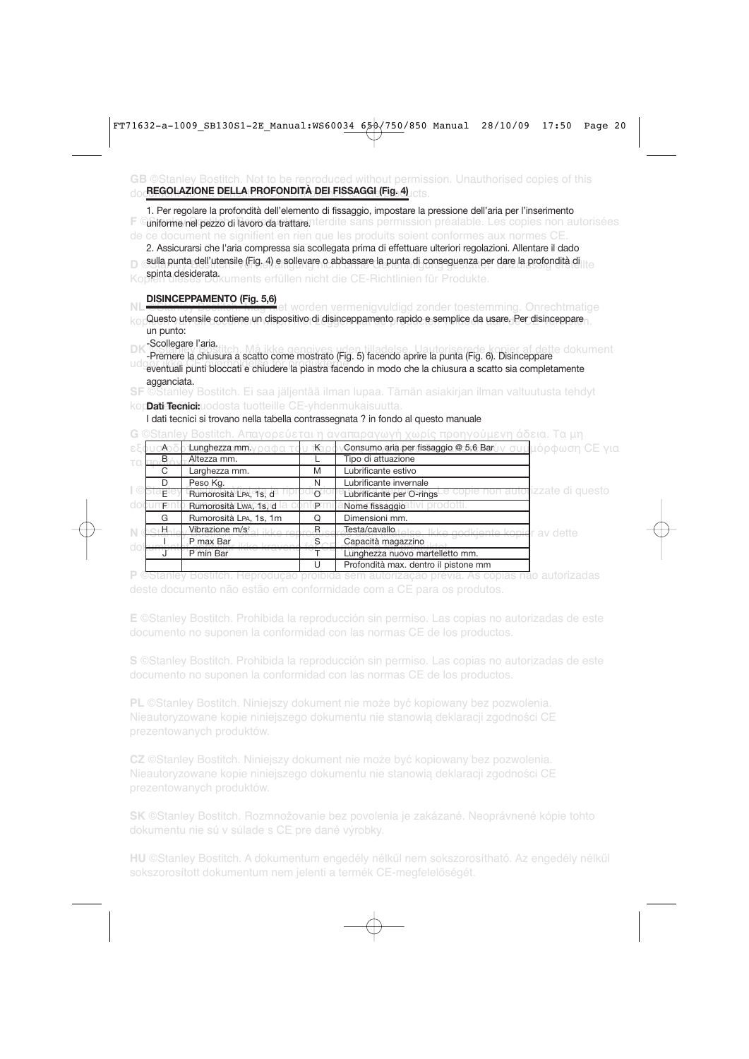#### **GB** ©Stanley Bostitch. Not to be reproduced without permission. Unauthorised copies of this doc<mark>REGOLAZIONE DELLA PROFONDITÀ DEI FISSAGGI (Fig. 4)</mark> ets.

| 1. Per regolare la profondità dell'elemento di fissaggio, impostare la pressione dell'aria per l'inserimento |  |  |
|--------------------------------------------------------------------------------------------------------------|--|--|
| Cuniforme nel pezzo di lavoro da trattarenterdite sans permission préalable. Les copies non autorisées       |  |  |
| de ce document ne signifient en rien que les produits soient conformes aux normes CE.                        |  |  |

2. Assicurarsi che l'aria compressa sia scollegata prima di effettuare ulteriori regolazioni. Allentare il dado

**D** esulla punta dell'utensile (Fig. 4) e sollevare o abbassare la punta di conseguenza per dare la profondità di

Kopien diesiderata.<br>Kopien dieses Dokuments erfüllen nicht die CE-Richtlinien für Produkte.

#### **DISINCEPPAMENTO (Fig. 5,6)**

 $\kappa_\mathrm{O}$  Questo utensile contiene un dispositivo di disinceppamento rapido e semplice da usare. Per disinceppare un punto:

Scollegare l'aria.

**Desembaro Fundamento Má ikke generalego (Fig. 5) facendo aprire la punta (Fig. 6). Disinceppare**<br>-Premere la chiusura a scatto come mostrato (Fig. 5) facendo aprire la punta (Fig. 6). Disinceppare udgør ikke CE overholdelse for produkterne. Eventuali punkterne i punti de punkterne.<br>Eventuali punti bloccati e chiudere la piastra facendo in modo che la chiusura a scatto sia completamente agganciata.

**SF** ©Stanley Bostitch. Ei saa jäljentää ilman lupaa. Tämän asiakirjan ilman valtuutusta tehdyt

#### kop**bati Tecnici:**uodosta tuotteille CE-yhdenmukaisuutta.

I dati tecnici si trovano nella tabella contrassegnata ? in fondo al questo manuale

**G** ©Stanley Bostitch. Απαγορεύεται η αναπαραγωγή χωρίς προηγούμενη άδεια. Τα μη

|    | Lunghezza mm.<br>T ndon     | ่K  | <b>,Consumo aria per fissaggio @ 5.6 Bar</b> úν συμ <mark>μόρφωση CE για</mark> |                                 |
|----|-----------------------------|-----|---------------------------------------------------------------------------------|---------------------------------|
| В. | Altezza mm.                 |     | Tipo di attuazione                                                              |                                 |
| C. | Larghezza mm.               | M   | Lubrificante estivo                                                             |                                 |
|    | Peso Kg.                    | N   | Lubrificante invernale                                                          |                                 |
| F  | Rumorosità LPA, 1s, d       |     | Lubrificante per O-rings                                                        | copie non autorizzate di questo |
|    | Rumorosità LwA, 1s, d       | TP. | Nome fissaggio<br>∵r <u>o</u> dotti.                                            |                                 |
| G  | Rumorosità LPA, 1s, 1m      |     | Dimensioni mm.                                                                  |                                 |
| Н. | Vibrazione m/s <sup>2</sup> | R   | Testa/cavallo<br>Ikke godkiente kopier av dette                                 |                                 |
|    | P max Bar                   |     | Capacità magazzino                                                              |                                 |
|    | P min Bar                   |     | Lunghezza nuovo martelletto mm.                                                 |                                 |
|    |                             |     | Profondità max. dentro il pistone mm                                            |                                 |

**P** ©Stanley Bostitch. Reprodução proibida sem autorização prévia. As cópias não autorizadas

**E** ©Stanley Bostitch. Prohibida la reproducción sin permiso. Las copias no autorizadas de este documento no suponen la conformidad con las normas CE de los productos.

**S** ©Stanley Bostitch. Prohibida la reproducción sin permiso. Las copias no autorizadas de este

**PL** ©Stanley Bostitch. Niniejszy dokument nie może być kopiowany bez pozwolenia. Nieautoryzowane kopie niniejszego dokumentu nie stanowią deklaracji zgodności CE prezentowanych produktów.

**CZ** ©Stanley Bostitch. Niniejszy dokument nie może być kopiowany bez pozwolenia. Nieautoryzowane kopie niniejszego dokumentu nie stanowią deklaracji zgodności CE

**SK** ©Stanley Bostitch. Rozmnožovanie bez povolenia je zakázané. Neoprávnené kópie tohto dokumentu nie sú v súlade s CE pre dané výrobky.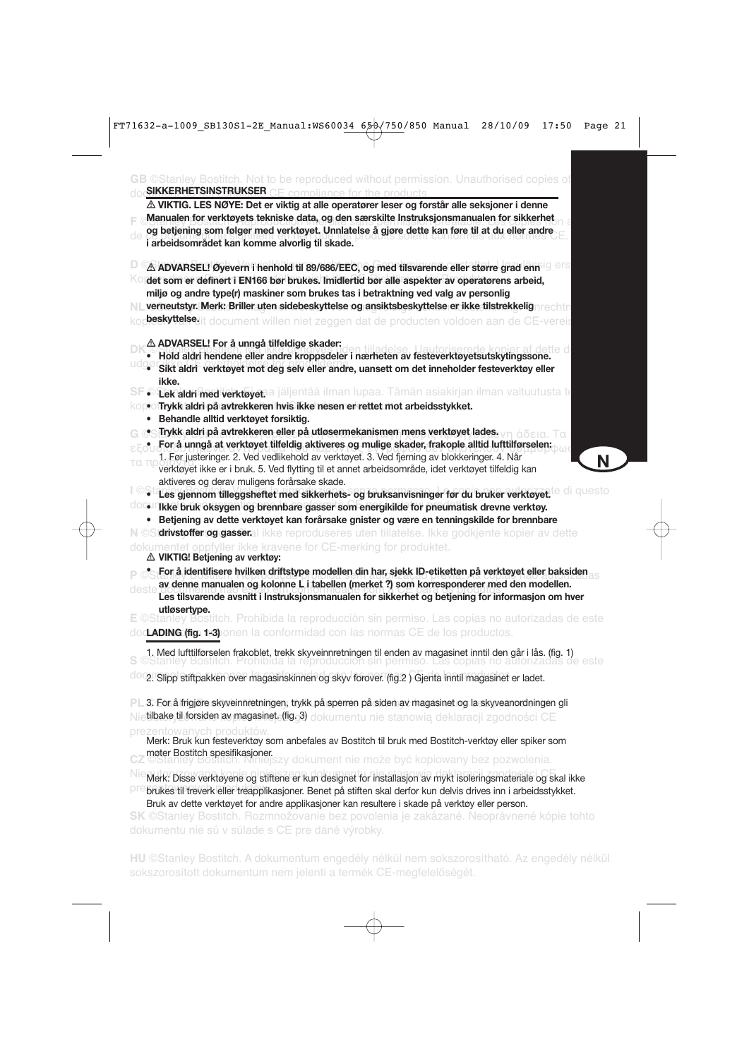| △ VIKTIG. LES NØYE: Det er viktig at alle operatører leser og forstår alle seksjoner i denne                                                                                                                                                                                                                                              |   |
|-------------------------------------------------------------------------------------------------------------------------------------------------------------------------------------------------------------------------------------------------------------------------------------------------------------------------------------------|---|
| Manualen for verktøyets tekniske data, og den særskilte Instruksjonsmanualen for sikkerhet                                                                                                                                                                                                                                                |   |
| og betjening som følger med verktøyet. Unnlatelse å gjøre dette kan føre til at du eller andre                                                                                                                                                                                                                                            |   |
| i arbeidsområdet kan komme alvorlig til skade.                                                                                                                                                                                                                                                                                            |   |
| $\triangle$ ADVARSEL! Øyevern i henhold til 89/686/EEC, og med tilsvarende eller større grad enn                                                                                                                                                                                                                                          |   |
| det som er definert i EN166 bør brukes. Imidlertid bør alle aspekter av operatørens arbeid,                                                                                                                                                                                                                                               |   |
| miljø og andre type(r) maskiner som brukes tas i betraktning ved valg av personlig                                                                                                                                                                                                                                                        |   |
| verneutstyr. Merk: Briller uten sidebeskyttelse og ansiktsbeskyttelse er ikke tilstrekkelignrechtn<br>N L                                                                                                                                                                                                                                 |   |
| <b>beskyttelse</b> lit document willen niet zeggen dat de producten voldoen aan de CE-vereis                                                                                                                                                                                                                                              |   |
| ∆ ADVARSEL! For å unngå tilfeldige skader:                                                                                                                                                                                                                                                                                                |   |
| Hold aldri hendene eller andre kroppsdeler i nærheten av festeverktøyetsutskytingssone.                                                                                                                                                                                                                                                   |   |
| • Sikt aldri verktøyet mot deg selv eller andre, uansett om det inneholder festeverktøy eller<br>ikke.                                                                                                                                                                                                                                    |   |
| SF OLekaldri med verktøyetaa jäljentää ilman lupaa. Tämän asiakirjan ilman valtuutusta te                                                                                                                                                                                                                                                 |   |
| kopo Trykk aldri på avtrekkeren hvis ikke nesen er rettet mot arbeidsstykket.                                                                                                                                                                                                                                                             |   |
| Behandle alltid verktøyet forsiktig.<br>$\bullet$<br>G∏rykk aldri på avtrekkeren eller på utløsermekanismen mens verktøyet lades.                                                                                                                                                                                                         |   |
| For å unngå at verktøyet tilfeldig aktiveres og mulige skader, frakople alltid lufttilførselen:                                                                                                                                                                                                                                           |   |
| 1. Før justeringer. 2. Ved vedlikehold av verktøyet. 3. Ved fjerning av blokkeringer. 4. Når                                                                                                                                                                                                                                              |   |
| τα π<br>verktøyet ikke er i bruk. 5. Ved flytting til et annet arbeidsområde, idet verktøyet tilfeldig kan                                                                                                                                                                                                                                | N |
| aktiveres og derav muligens forårsake skade.                                                                                                                                                                                                                                                                                              |   |
| · Les gjennom tilleggsheftet med sikkerhets- og bruksanvisninger før du bruker verktøyet. <sup>te di</sup> questo                                                                                                                                                                                                                         |   |
| <b>COGLITIKKe bruk oksygen og brennbare gasser som energikilde for pneumatisk drevne verktøy.</b>                                                                                                                                                                                                                                         |   |
| • Betjening av dette verktøyet kan forårsake gnister og være en tenningskilde for brennbare                                                                                                                                                                                                                                               |   |
| N ©S'drivstoffer og gasseral ikke reproduseres uten tillatelse. Ikke godkjente kopier av dette                                                                                                                                                                                                                                            |   |
| dokumentet oppfyller ikke kravene for CE-merking for produktet.                                                                                                                                                                                                                                                                           |   |
| ∆ VIKTIG! Betjening av verktøy:                                                                                                                                                                                                                                                                                                           |   |
| . For å identifisere hvilken driftstype modellen din har, sjekk ID-etiketten på verktøyet eller baksiden<br>av denne manualen og kolonne L i tabellen (merket ?) som korresponderer med den modellen.<br>deste<br>Les tilsvarende avsnitt i Instruksjonsmanualen for sikkerhet og betjening for informasjon om hver                       |   |
| utløsertype.                                                                                                                                                                                                                                                                                                                              |   |
| <b>E</b> ©Stanley Bostitch. Prohibida la reproducción sin permiso. Las copias no autorizadas de este                                                                                                                                                                                                                                      |   |
| doc <b>LADING (fig. 1+3)</b> onen la conformidad con las normas CE de los productos.                                                                                                                                                                                                                                                      |   |
| 1. Med lufttilførselen frakoblet, trekk skyveinnretningen til enden av magasinet inntil den går i lås. (fig. 1)<br>S ©Stanley Bostitch. Prohibida la reproduccion sin permiso. Las copias no autorizadas de<br>zadas de este                                                                                                              |   |
| 0002. Slipp stiftpakken over magasinskinnen og skyv forover. (fig.2) Gjenta inntil magasinet er ladet.                                                                                                                                                                                                                                    |   |
| PL 3. For å frigjøre skyveinnretningen, trykk på sperren på siden av magasinet og la skyveanordningen gli                                                                                                                                                                                                                                 |   |
| Nietilbake,til forsiden av magasinet <sub>e</sub> (figg) dokumentu nie stanowią deklaracji zgodności CE                                                                                                                                                                                                                                   |   |
| prezentowanych produktów.                                                                                                                                                                                                                                                                                                                 |   |
| Merk: Bruk kun festeverktøy som anbefales av Bostitch til bruk med Bostitch-verktøy eller spiker som                                                                                                                                                                                                                                      |   |
| møter Bostitch spesifikasjoner.<br>szy dokument nie może być kopiowany bez pozwolenia.                                                                                                                                                                                                                                                    |   |
| Nie Merk: Disse verktøyene og stiftene er kun designet for installasjon av mykt isoleringsmateriale og skal ikke<br>Dre brukes til treverk eller treapplikasjoner. Benet på stiften skal derfor kun delvis drives inn i arbeidsstykket.<br>Bruk av dette verktøyet for andre applikasjoner kan resultere i skade på verktøy eller person. |   |
| SK ©Stanley Bostitch. Rozmnožovanie bez povolenia je zakázané. Neoprávnené kópie tohto<br>dokumentu nie sú v súlade s CE pre dané výrobky.                                                                                                                                                                                                |   |
|                                                                                                                                                                                                                                                                                                                                           |   |

sokszorosított dokumentum nem jelenti a termék CE-megfelelőségét.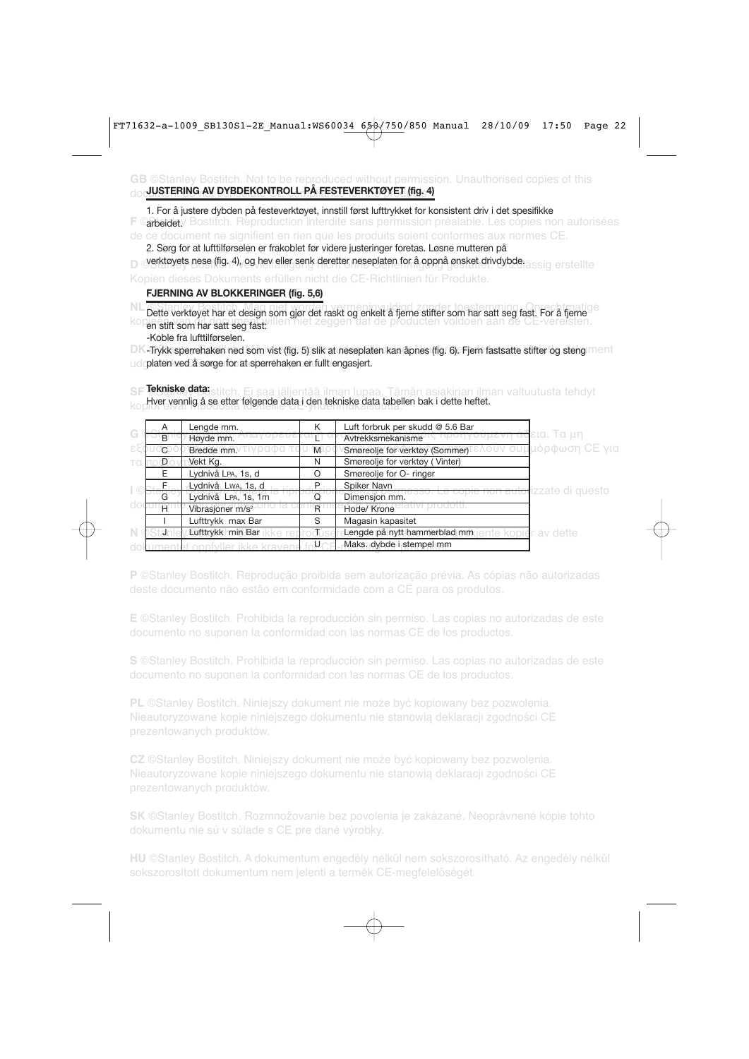#### **GB** ©Stanley Bostitch. Not to be reproduced without permission. Unauthorised copies of this doc<mark>uUSTERING AV DYBDEKONTROLL PÅ FESTEVERKTØYET (fig. 4)</mark>

**F ©arbeidet**y Bostitch. Reproduction interdite sans permission préalable. Les copies non autorisées de ce document ne signifient en rien que les produits soient conformes aux normes CE. 1. For å justere dybden på festeverktøyet, innstill først lufttrykket for konsistent driv i det spesifikke

2. Sørg for at lufttilførselen er frakoblet før videre justeringer foretas. Løsne mutteren på

**D** Ø**verktøyets nese (fig. 4), og hev eller senk deretter neseplaten for å oppnå ønsket drivdybde. <sub>å SSIG</sub> erstellte** 

#### **FJERNING AV BLOKKERINGER (fig. 5,6)**

Dette verktøyet har et design som gjør det raskt og enkelt å fjerne stifter som har satt seg fast. For å fjerne kopieën van dit doe ment willen niet zeggen dat de producten voldoen aan de CE-vereisten.<br>En stift som har satt seg fast: -Koble fra lufttilførselen.

DK-Trykk sperrehaken ned som vist (fig. 5) slik at neseplaten kan åpnes (fig. 6). Fjern fastsatte stifter og steng ment udgølaten ved å sørge for at sperrehaken er fullt engasjert.

**SF** ©Stanley Bostitch. Ei saa jäljentää ilman lupaa. Tämän asiakirjan ilman valtuutusta tehdyt **Tekniske data:** Hver vennlig å se etter følgende data i den tekniske data tabellen bak i dette heftet.<br>Kopiser

|     | A              | Lengde mm.                   | K | Luft forbruk per skudd @ 5.6 Bar                                |
|-----|----------------|------------------------------|---|-----------------------------------------------------------------|
| G   | B              | Høyde mm.                    |   | εια. Τα μη<br>Avtrekksmekanisme                                 |
| ع ع | $\mathbb{C}^2$ | Bredde mm.                   | M | Ι <mark>μόρφωση CE για</mark><br>Smøreolje for verktøy (Sommer) |
|     | D              | Vekt Kg.                     | N | Smøreolje for verktøy (Vinter)                                  |
|     | E              | Lydnivå LPA, 1s, d           | O | Smøreolje for O- ringer                                         |
|     |                | Lydnivå Lwa, 1s, d           | P | Spiker Navn<br><del>ie non autol</del> izzate di questo         |
|     | G              | Lydnivå LPA, 1s, 1m          | a | Dimensjon mm.                                                   |
|     | H.             | Vibrasjoner m/s <sup>2</sup> | R | Hode/ Krone                                                     |
|     |                | Lufttrykk max Bar            | S | Magasin kapasitet                                               |
|     |                | Lufttrykk min Bar            |   | Lengde på nytt hammerblad mm<br>av dette                        |
|     |                |                              |   | Maks, dybde i stempel mm                                        |

**P** ©Stanley Bostitch. Reprodução proibida sem autorização prévia. As cópias não autorizadas

**E** ©Stanley Bostitch. Prohibida la reproducción sin permiso. Las copias no autorizadas de este documento no suponen la conformidad con las normas CE de los productos.

**S** ©Stanley Bostitch. Prohibida la reproducción sin permiso. Las copias no autorizadas de este documento no suponen la conformidad con las normas CE de los productos.

**PL** ©Stanley Bostitch. Niniejszy dokument nie może być kopiowany bez pozwolenia. Nieautoryzowane kopie niniejszego dokumentu nie stanowią deklaracji zgodności CE prezentowanych produktów.

**CZ** ©Stanley Bostitch. Niniejszy dokument nie może być kopiowany bez pozwolenia. Nieautoryzowane kopie niniejszego dokumentu nie stanowią deklaracji zgodności CE

**SK** ©Stanley Bostitch. Rozmnožovanie bez povolenia je zakázané. Neoprávnené kópie tohto dokumentu nie sú v súlade s CE pre dané výrobky.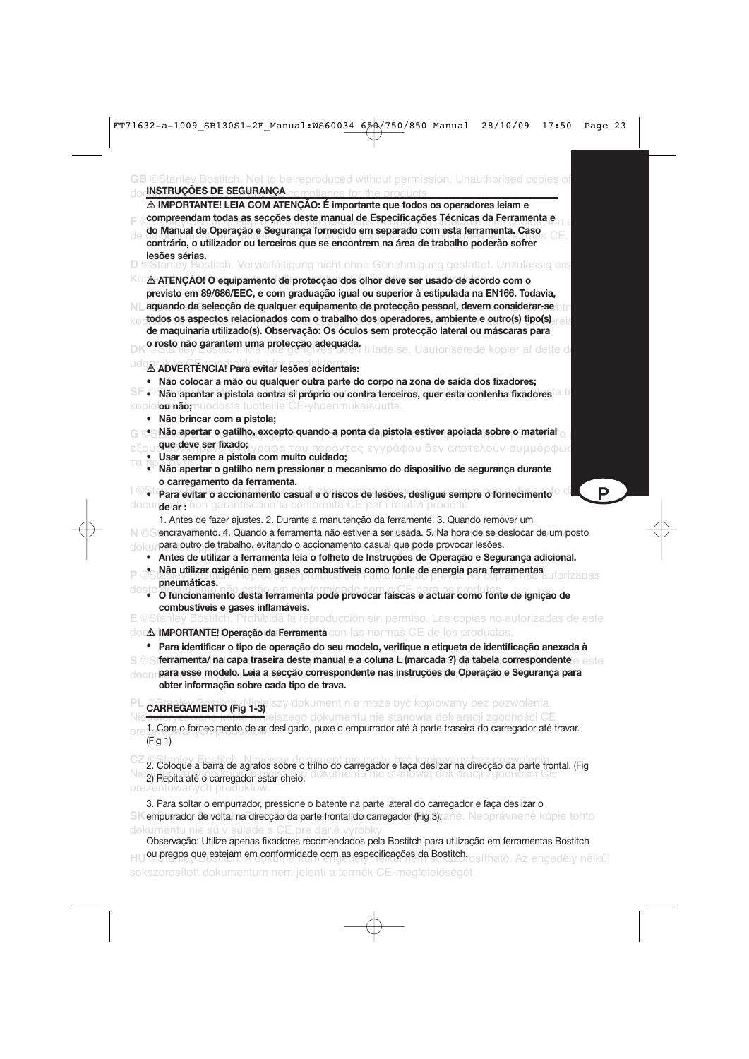|                | <b>INSTRUÇÕES DE SEGURANÇA</b> compliance for the products<br>$\triangle$ IMPORTANTE! LEIA COM ATENÇÃO: É importante que todos os operadores leiam e                                                                                                                                                                                                                                                                                                                                                                                                                          |
|----------------|-------------------------------------------------------------------------------------------------------------------------------------------------------------------------------------------------------------------------------------------------------------------------------------------------------------------------------------------------------------------------------------------------------------------------------------------------------------------------------------------------------------------------------------------------------------------------------|
|                | compreendam todas as secções deste manual de Especificações Técnicas da Ferramenta e                                                                                                                                                                                                                                                                                                                                                                                                                                                                                          |
|                | do Manual de Operação e Segurança fornecido em separado com esta ferramenta. Caso<br>contrário, o utilizador ou terceiros que se encontrem na área de trabalho poderão sofrer                                                                                                                                                                                                                                                                                                                                                                                                 |
| lesões sérias. | D ©Stanley Bostitch. Vervielfältigung nicht ohne Genehmigung gestattet. Unzulässig ers                                                                                                                                                                                                                                                                                                                                                                                                                                                                                        |
|                | <sup>KO</sup> IA ATENÇÃO! O equipamento de protecção dos olhor deve ser usado de acordo com o<br>previsto em 89/686/EEC, e com graduação igual ou superior à estipulada na EN166. Todavia,<br>aquando da selecção de qualquer equipamento de protecção pessoal, devem considerar-se htm<br>todos os aspectos relacionados com o trabalho dos operadores, ambiente e outro(s) tipo(s)<br>de maquinaria utilizado(s). Observação: Os óculos sem protecção lateral ou máscaras para<br>o rosto não garantem uma protecção adequada.<br>lladelse. Uautoriserede kopier af dette d |
|                | A ADVERTENCIA! Para evitar lesões acidentais:                                                                                                                                                                                                                                                                                                                                                                                                                                                                                                                                 |
| $\bullet$      | Não colocar a mão ou qualquer outra parte do corpo na zona de saída dos fixadores;<br>kopiot <b>ou näo;</b> muodosta tuotteille CE-yhdenmukaisuutta.<br>• Não brincar com a pistola;                                                                                                                                                                                                                                                                                                                                                                                          |
|                | $\bullet$ Não apertar o gatilho, excepto quando a ponta da pistola estiver apoiada sobre o material $_\odot$                                                                                                                                                                                                                                                                                                                                                                                                                                                                  |
|                | <mark>que deve ser fixado;</mark> ίγραφα του παρόντος εγγράφου δεν αποτελούν συμμόρφως<br>Usar sempre a pistola com muito cuidado;                                                                                                                                                                                                                                                                                                                                                                                                                                            |
|                | Não apertar o gatilho nem pressionar o mecanismo do dispositivo de segurança durante                                                                                                                                                                                                                                                                                                                                                                                                                                                                                          |
|                | o carregamento da ferramenta.<br>P<br>· Para evitar o accionamento casual e o riscos de lesões, desligue sempre o fornecimento                                                                                                                                                                                                                                                                                                                                                                                                                                                |
|                | docur <b>aeraio, n</b> on garantiscono la contormità CE per i relativi prodotti.                                                                                                                                                                                                                                                                                                                                                                                                                                                                                              |
|                | 1. Antes de fazer ajustes. 2. Durante a manutenção da ferramente. 3. Quando remover um<br>N © Siencravamento. 4. Quando a ferramenta não estiver a ser usada. 5. Na hora de se deslocar de um posto<br>dokunpara outro de trabalho, evitando o accionamento casual que pode provocar lesões.<br>Antes de utilizar a ferramenta leia o folheto de Instruções de Operação e Segurança adicional.<br>Não utilizar oxigénio nem gases combustíveis como fonte de energia para ferramentas                                                                                         |
| pneumáticas.   | O funcionamento desta ferramenta pode provocar faíscas e actuar como fonte de ignição de<br>combustíveis e gases inflamáveis.                                                                                                                                                                                                                                                                                                                                                                                                                                                 |
|                | <b>E</b> ©Stanley Bostitch. Prohibida la reproducción sin permiso. Las copias no autorizadas de este                                                                                                                                                                                                                                                                                                                                                                                                                                                                          |
|                | doc <b>∆r<b>iMPORTANTE! Operação da Ferramenta</b> con las normas CE de los productos.</b>                                                                                                                                                                                                                                                                                                                                                                                                                                                                                    |
| ٠              | Para identificar o tipo de operação do seu modelo, verifique a etiqueta de identificação anexada à<br>S ©S ferramenta/ na capa traseira deste manual e a coluna L (marcada ?) da tabela correspondente e este<br>docur <b>para esse modelo. Leia a secção correspondente nas instruções de Operação e Segurança para</b><br>obter informação sobre cada tipo de trava.                                                                                                                                                                                                        |
|                | CARREGAMENTO (Fig 1-3) szy dokument nie może być kopiowany bez pozwolenia.                                                                                                                                                                                                                                                                                                                                                                                                                                                                                                    |
| (Fig 1)        | jszego dokumentu nie stanowią deklaracji zgodności CE<br>1. Com o fornecimento de ar desligado, puxe o empurrador até à parte traseira do carregador até travar.                                                                                                                                                                                                                                                                                                                                                                                                              |
|                | 2. Coloque a barra de agrafos sobre o trilho do carregador e faça deslizar na direcção da parte frontal. (Fig<br>nie stanowią deklaracji zgodno<br>dokumentu<br>2) Repita até o carregador estar cheio.<br>prezentowanych produktów.                                                                                                                                                                                                                                                                                                                                          |
|                | 3. Para soltar o empurrador, pressione o batente na parte lateral do carregador e faça deslizar o                                                                                                                                                                                                                                                                                                                                                                                                                                                                             |
|                | empurrador de volta, na direcção da parte frontal do carregador (Fig.3) ané. Neoprávnené kópie tohto                                                                                                                                                                                                                                                                                                                                                                                                                                                                          |

dokumentu nie sú v súlade s CE pre dané výrobky. Observação: Utilize apenas fixadores recomendados pela Bostitch para utilização em ferramentas Bostitch HUOU pregos que estejam em conformidade com as especificações da Bostitch. <sub>O SÍtható. Az engedély nélkül</sub> sokszorosított dokumentum nem jelenti a termék CE-megfelelőségét.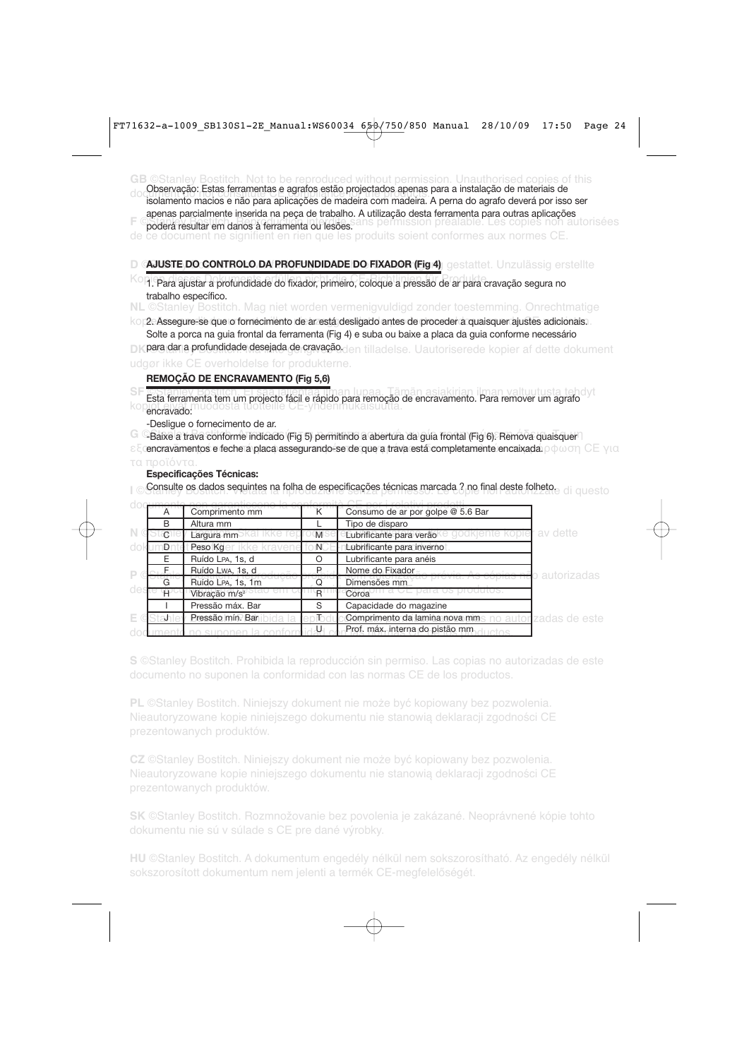**GB** ©Stanley Bostitch. Not to be reproduced without permission. Unauthorised copies of this do constituição. Estas fortamentas e agranos estas projectados apenas para a instalação de mateirais de<br>isolamento macios e não para aplicações de madeira com madeira. A perna do agrafo deverá por isso ser Observação: Estas ferramentas e agrafos estão projectados apenas para a instalação de materiais de

apenas parcialmente inserida na peça de trabalho. A utilização desta ferramenta para outras aplicações

**F** Coderá resultar em danos à ferramenta ou lesões sans permission préalable. Les copies non autorisées de ce document ne signifient en rien que les produits soient conformes aux normes CE.

D *G*LJUSTE DO CONTROLO DA PROFUNDIDADE DO FIXADOR (Fig 4)<sub>,</sub> gestattet. Unzulässig erstellte

- Ko 1. Para ajustar a profundidade do fixador, primeiro, coloque a pressão de ar para cravação segura no trabalho específico.
- **NL** ©Stanley Bostitch. Mag niet worden vermenigvuldigd zonder toestemming. Onrechtmatige
- kop2. Assegure-se que o fornecimento de ar está desligado antes de proceder a quaisquer ajustes adicionais. Solte a porca na guia frontal da ferramenta (Fig 4) e suba ou baixe a placa da guia conforme necessário
- **DK para dar a profundidade desejada de cravação.**den tilladelse. Uautoriserede kopier af dette dokument

udgør ikke CE overholdelse for produkterne.

### **REMOÇÃO DE ENCRAVAMENTO (Fig 5,6)**

**SF** ©Stanley Bostitch. Ei saa jäljentää ilman lupaa. Tämän asiakirjan ilman valtuutusta tehdyt Esta ferramenta tem um projecto fácil e rápido para remoção de encravamento. Para remover um agrafo<br>No encravado: encravado:

-Desligue o fornecimento de ar.

**G** © Baixe a trava conforme indicado (Fig 5) permitindo a abertura da guia frontal (Fig 6). Remova quaisquer

εξ encravamentos e feche a placa assegurando-se de que a trava está completamente encaixada. $\rho \, \phi \, \omega$ ση CE για

#### **Especificações Técnicas:**

**I © <b>Consulte os dados sequintes na folha de especificações técnicas marcada ? no final deste folheto.<br>I** 

| A    | Comprimento mm            | ĸ     | Consumo de ar por golpe @ 5.6 Bar                             |                   |
|------|---------------------------|-------|---------------------------------------------------------------|-------------------|
| B    | Altura mm                 |       | Tipo de disparo                                               |                   |
| -C ' | Largura mm                | M     | Lubrificante para verão                                       | <b>T</b> av dette |
| Dr   | Peso Kg                   | $N^-$ | Lubrificante para inverno                                     |                   |
| E    | Ruído LPA, 1s, d          | ∩     | Lubrificante para anéis                                       |                   |
|      | Ruído Lwa, 1s, d          | P.    | Nome do Fixador                                               | o autorizadas.    |
| G    | Ruído LPA, 1s, 1m         | O     | Dimensões mm                                                  |                   |
| ₩.   | Vibração m/s <sup>2</sup> | R.    | Coroa                                                         |                   |
|      | Pressão máx. Bar          | S     | Capacidade do magazine                                        |                   |
|      | Pressão mín. Bar          | To o  | <b>Comprimento da lamina nova mins no autorizadas de este</b> |                   |
|      |                           | JJ    | Prof. máx. interna do pistão mm                               |                   |

**S** ©Stanley Bostitch. Prohibida la reproducción sin permiso. Las copias no autorizadas de este documento no suponen la conformidad con las normas CE de los productos.

**PL** ©Stanley Bostitch. Niniejszy dokument nie może być kopiowany bez pozwolenia. Nieautoryzowane kopie niniejszego dokumentu nie stanowią deklaracji zgodności CE prezentowanych produktów.

**CZ** ©Stanley Bostitch. Niniejszy dokument nie może być kopiowany bez pozwolenia. Nieautoryzowane kopie niniejszego dokumentu nie stanowią deklaracji zgodności CE

**SK** ©Stanley Bostitch. Rozmnožovanie bez povolenia je zakázané. Neoprávnené kópie tohto dokumentu nie sú v súlade s CE pre dané výrobky.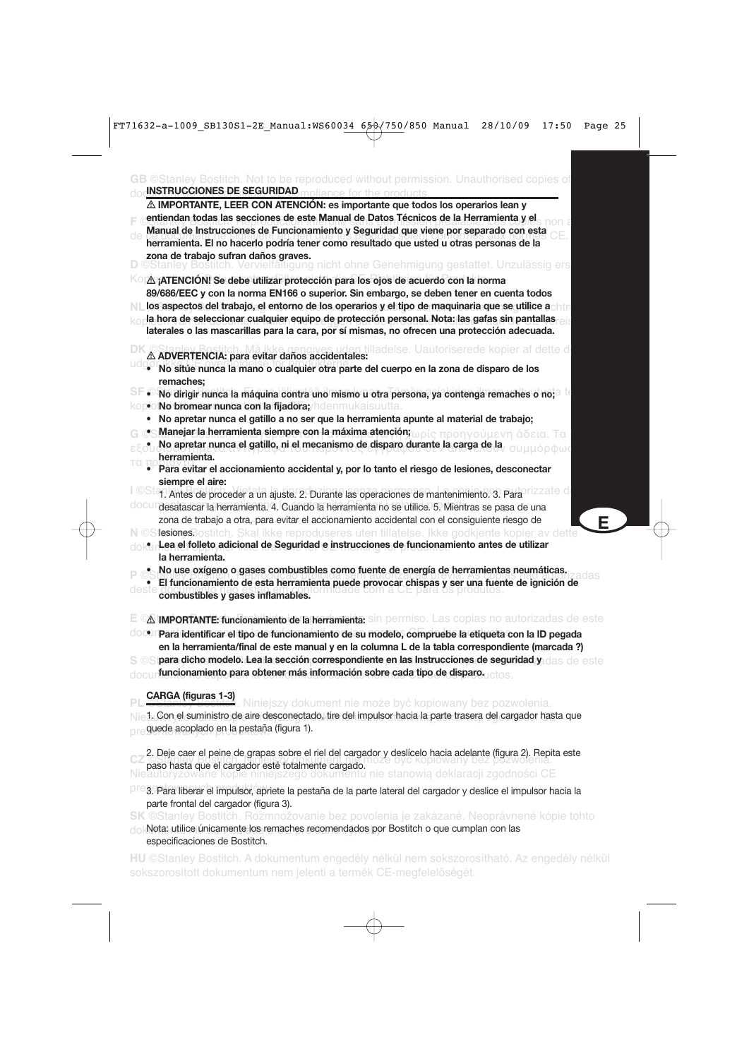| ${\mathbf G}{\mathbf B}$ ©Stanley Bostitch. Not to be reproduced without permission. Unauthorised copies of<br><b>INSTRUCCIONES DE SEGURIDAD.</b> Impliance for the products                                                                                                                                                                                                                                                                                                                                           |   |
|------------------------------------------------------------------------------------------------------------------------------------------------------------------------------------------------------------------------------------------------------------------------------------------------------------------------------------------------------------------------------------------------------------------------------------------------------------------------------------------------------------------------|---|
| $\triangle$ IMPORTANTE, LEER CON ATENCIÓN: es importante que todos los operarios lean y<br>entiendan todas las secciones de este Manual de Datos Técnicos de la Herramienta y el<br>Manual de Instrucciones de Funcionamiento y Seguridad que viene por separado con esta<br>herramienta. El no hacerlo podría tener como resultado que usted u otras personas de la<br>zona de trabajo sufran daños graves.<br>D ©Stanley Bostitch. Vervielfältigung nicht ohne Genehmigung gestattet. Unzulässig ers                 |   |
| KO A ¡ATENCIÓN! Se debe utilizar protección para los ojos de acuerdo con la norma<br>89/686/EEC y con la norma EN166 o superior. Sin embargo, se deben tener en cuenta todos<br>los aspectos del trabajo, el entorno de los operarios y el tipo de maquinaria que se utilice achin<br>la hora de seleccionar cualquier equipo de protección personal. Nota: las gafas sin pantallas<br>laterales o las mascarillas para la cara, por sí mismas, no ofrecen una protección adecuada.                                    |   |
| uden tilladelse. Uautoriserede kopier af dette di<br>A ADVERTENCIA: para evitar daños accidentales:<br>· No sitúe nunca la mano o cualquier otra parte del cuerpo en la zona de disparo de los<br>remaches;                                                                                                                                                                                                                                                                                                            |   |
| • No dirigir nunca la máquina contra uno mismo u otra persona, ya contenga remaches o no; $a$<br>kopol <b>No bromear nunca con la fijadora;</b> /hdenmukaisuutta.                                                                                                                                                                                                                                                                                                                                                      |   |
| • No apretar nunca el gatillo a no ser que la herramienta apunte al material de trabajo;<br>es Manejar la herramienta siempre con la máxima atención; ωρίς προηγούμενη άδεια. Τα<br>No apretar nunca el gatillo, ni el mecanismo de disparo durante la carga de la<br>ιόρφως<br>herramienta.                                                                                                                                                                                                                           |   |
| Para evitar el accionamiento accidental y, por lo tanto el riesgo de lesiones, desconectar<br>siempre el aire:                                                                                                                                                                                                                                                                                                                                                                                                         |   |
| <sup>OSta</sup> l. Antes de proceder a un ajuste. 2. Durante las operaciones de mantenimiento. 3. Para<br>docundesatascar la herramienta. 4. Cuando la herramienta no se utilice. 5. Mientras se pasa de una<br>zona de trabajo a otra, para evitar el accionamiento accidental con el consiguiente riesgo de                                                                                                                                                                                                          | Е |
| N ©SlesionesBostitch. Skal ikke reproduseres uten tillatelse. Ikke godkjente kopier av dette<br>dokur Lea el folleto adicional de Seguridad e instrucciones de funcionamiento antes de utilizar<br>la herramienta.                                                                                                                                                                                                                                                                                                     |   |
| Mo use oxígeno o gases combustibles como fuente de energía de herramientas neumáticas.<br>El funcionamiento de esta herramienta puede provocar chispas y ser una fuente de ignición de<br>deste<br>dade com a c<br>⊏ para os produtos.<br>combustibles y gases inflamables.                                                                                                                                                                                                                                            |   |
| A IMPORTANTE: funcionamiento de la herramienta: sin permiso. Las copias no autorizadas de este<br>docolli Para identificar el tipo de funcionamiento de su modelo, compruebe la etiqueta con la ID pegada<br>en la herramienta/final de este manual y en la columna L de la tabla correspondiente (marcada?)<br>S ©Sipara dicho modelo. Lea la sección correspondiente en las instrucciones de seguridad y das de este<br>funcionamiento para obtener más información sobre cada tipo de disparo, conservado a<br>doct |   |
| CARGA (figuras 1-3)<br>Niniejszy dokument nie może być kopiowany bez pozwolenia.                                                                                                                                                                                                                                                                                                                                                                                                                                       |   |
| Nie1. Con el suministro de aire desconectado, tire del impulsor hacia la parte trasera del cargador hasta que<br>quede acoplado en la pestaña (figura 1).                                                                                                                                                                                                                                                                                                                                                              |   |
| 2. Deje caer el peine de grapas sobre el riel del cargador y deslícelo hacia adelante (figura 2). Repita este<br>caso boota que el corrector está tetalmente correcto                                                                                                                                                                                                                                                                                                                                                  |   |

**E paso hasta que el cargador esté totalmente cargado.**<br>Nieautoryzowane kopie niniejszego dokumentu nie stanowią deklaracji zgodności CE

preg. Para liberar el impulsor, apriete la pestaña de la parte lateral del cargador y deslice el impulsor hacia la parte frontal del cargador (figura 3).

**SK** ©Stanley Bostitch. Rozmnožovanie bez povolenia je zakázané. Neoprávnené kópie tohto

do Mota: utilice únicamente los remaches recomendados por Bostitch o que cumplan con las especificaciones de Bostitch.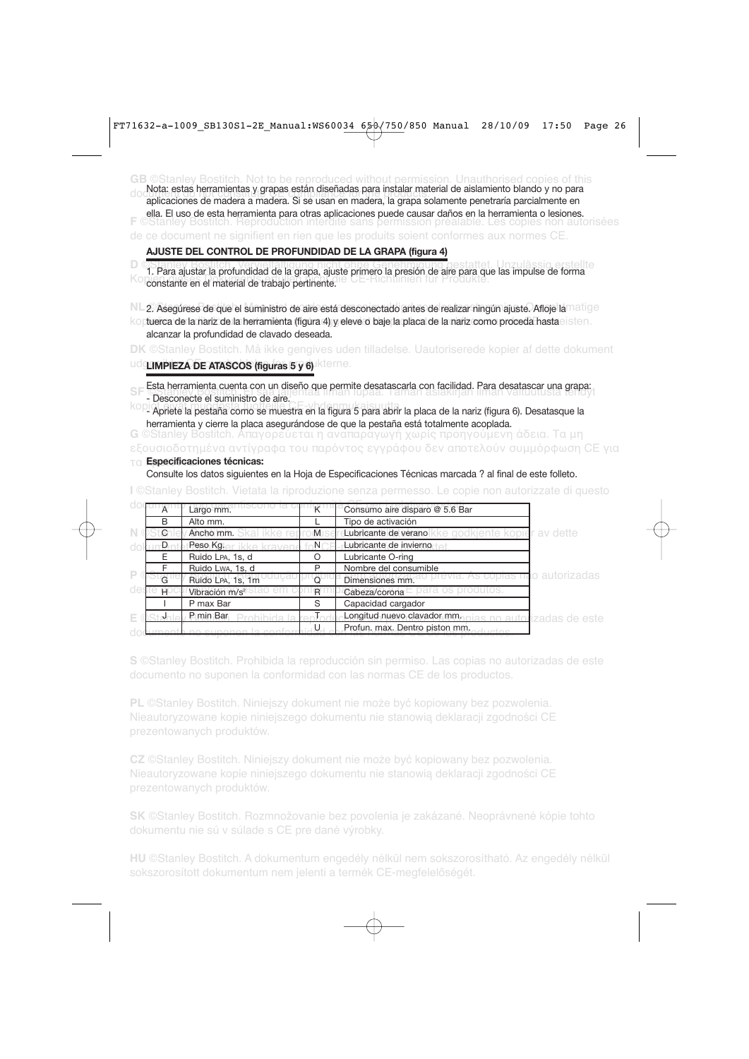**GB** ©Stanley Bostitch. Not to be reproduced without permission. Unauthorised copies of this document do not constitute CE compliance for the products. aplicaciones de madera a madera. Si se usan en madera, la grapa solamente penetraría parcialmente en **F** ©Stanley Bostitch. Reproduction interdite sans permission préalable. Les copies non autorisées de ce document ne signifient en rien que les produits soient conformes aux normes CE. Nota: estas herramientas y grapas están diseñadas para instalar material de aislamiento blando y no para ella. El uso de esta herramienta para otras aplicaciones puede causar daños en la herramienta o lesiones.

#### **AJUSTE DEL CONTROL DE PROFUNDIDAD DE LA GRAPA (figura 4)**

1. Para ajustar la profundidad de la grapa, ajuste primero la presión de aire para que las impulse de forma Kopien die eine Produkte die Ge-Richtlinien für Produkte.

NL 2. Asegúrese de que el suministro de aire está desconectado antes de realizar ningún ajuste. Afloje la <sup>matige</sup>

koptuerca de la nariz de la herramienta (figura 4) y eleve o baje la placa de la nariz como proceda hasta $\circ$ isten. alcanzar la profundidad de clavado deseada.

**DK** ©Stanley Bostitch. Må ikke gengives uden tilladelse. Uautoriserede kopier af dette dokument ud**gør pleza de ATASCOS (figuras 5 y 6)** Ikterne.

SFE Esta herramienta cuenta con un diseño que permite desatascarla con facilidad. Para desatascar una grapa:<br>Esta herramienta cuentationale aire

- Desconecte el suministro de aire.

kopiot ei värsta tuotteille Cervannus<br>- Apriete la pestaña como se muestra en la figura 5 para abrir la placa de la nariz (figura 6). Desatasque la herramienta y cierre la placa asegurándose de que la pestaña está totalmente acoplada.

**G** ©Stanley Bostitch. Απαγορεύεται η αναπαραγωγή χωρίς προηγούμενη άδεια. Τα μη εξουσιοδοτημένα αντίγραφα του παρόντος εγγράφου δεν αποτελούν συμμόρφωση CE για

#### τα προϊόντα. **Especificaciones técnicas:**

Consulte los datos siguientes en la Hoja de Especificaciones Técnicas marcada ? al final de este folleto.

**I** ©Stanley Bostitch. Vietata la riproduzione senza permesso. Le copie non autorizzate di questo

|   | $\overline{A}$ | Largo mm.                  |               | Consumo aire disparo @ 5.6 Bar                       |                           |
|---|----------------|----------------------------|---------------|------------------------------------------------------|---------------------------|
|   | B              | Alto mm.                   |               | Tipo de activación                                   |                           |
|   | $\circ$        | <b>Ancho mm.</b> Skal ikke | $M \succeq$   | ke godkiente kopier av dette<br>Lubricante de verano |                           |
|   | Ð              | Peso Kglar ikke kraver     | $\neg N \cap$ | Lubricante de invierno                               |                           |
|   | Е              | Ruido LPA, 1s, d           | Ω             | Lubricante O-ring                                    |                           |
|   |                | Ruido Lwa, 1s, d           | P             | Nombre del consumible                                |                           |
| P | G              | Ruido LPA, 1s, 1m          |               | Dimensiones mm.                                      | o autorizadas.            |
|   |                | Vibración m/s <sup>2</sup> | R             | Cabeza/corona                                        |                           |
|   |                | P max Bar                  | S             | Capacidad cargador                                   |                           |
| Е |                | P min Bar                  |               | Longitud nuevo clavador mm.                          | is no autorizadas de este |
|   |                |                            |               | Profun, max. Dentro piston mm.<br>unton              |                           |

**S** ©Stanley Bostitch. Prohibida la reproducción sin permiso. Las copias no autorizadas de este documento no suponen la conformidad con las normas CE de los productos.

**PL** ©Stanley Bostitch. Niniejszy dokument nie może być kopiowany bez pozwolenia. Nieautoryzowane kopie niniejszego dokumentu nie stanowią deklaracji zgodności CE prezentowanych produktów.

**CZ** ©Stanley Bostitch. Niniejszy dokument nie może być kopiowany bez pozwolenia. Nieautoryzowane kopie niniejszego dokumentu nie stanowią deklaracji zgodności CE

**SK** ©Stanley Bostitch. Rozmnožovanie bez povolenia je zakázané. Neoprávnené kópie tohto dokumentu nie sú v súlade s CE pre dané výrobky.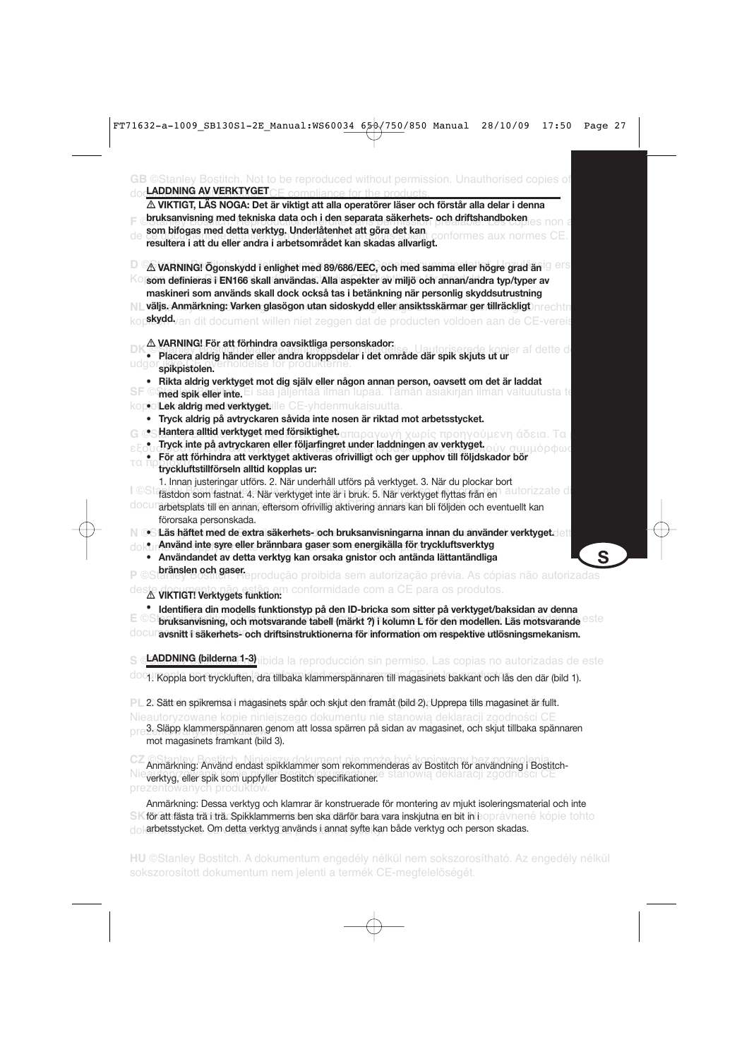| doc <b>LADDNING AV VERKTYGET</b> CF compliance for the products<br>$\triangle$ VIKTIGT, LAS NOGA: Det är viktigt att alla operatörer läser och förstår alla delar i denna |   |
|---------------------------------------------------------------------------------------------------------------------------------------------------------------------------|---|
| bruksanvisning med tekniska data och i den separata säkerhets- och driftshandboken                                                                                        |   |
| som bifogas med detta verktyg. Underlåtenhet att göra det kan                                                                                                             |   |
| onformes aux normes<br>resultera i att du eller andra i arbetsområdet kan skadas allvarligt.                                                                              |   |
| $\Delta$ VARNING! Ogonskydd i enlighet med 89/686/EEC, och med samma eller högre grad än $\mathbb{G}$ er $\mathbb{S}$                                                     |   |
| <sup>K⊙</sup> lsom definieras i EN166 skall användas. Alla aspekter av miljö och annan/andra typ/typer av                                                                 |   |
| maskineri som används skall dock också tas i betänkning när personlig skyddsutrustning                                                                                    |   |
| NL väljs. Anmärkning: Varken glasögon utan sidoskydd eller ansiktsskärmar ger tillräckligt)nrechtn                                                                        |   |
| <b>\$kydd.</b> van dit document willen niet zeggen dat de producten voldoen aan de CE-vereis                                                                              |   |
| $\triangle$ VARNING! För att förhindra oavsiktliga personskador:<br>e kopier af dette d                                                                                   |   |
| · Placera aldrig händer eller andra kroppsdelar i det område där spik skjuts ut ur<br>spikpistolen.                                                                       |   |
| • Rikta aldrig verktyget mot dig själv eller någon annan person, oavsett om det är laddat                                                                                 |   |
| med spik eler inte. Ei saa jäljentää ilman lupaa. Tämän asiakirjan ilman valtuutusta te<br>SF ©                                                                           |   |
| kopio <b>iLek/aldrig/med/verktyget:</b> ille CE-yhdenmukaisuutta.                                                                                                         |   |
| • Tryck aldrig på avtryckaren såvida inte nosen är riktad mot arbetsstycket.                                                                                              |   |
| es Hantera alltid verktyget med försiktighet απαραγωγή χωρίς προηγούμενη άδεια. Τα                                                                                        |   |
| Tryck inte på avtryckaren eller följarfingret under laddningen av verktyget.<br>ύν συμμόρφως                                                                              |   |
| För att förhindra att verktyget aktiveras ofrivilligt och ger upphov till följdskador bör<br>ПU<br>tryckluftstillförseln alltid kopplas ur:                               |   |
| 1. Innan justeringar utförs. 2. När underhåll utförs på verktyget. 3. När du plockar bort                                                                                 |   |
| I OSt fästdon som fastnat. 4. När verktyget inte är i bruk. 5. När verktyget flyttas från en<br>torizzate di                                                              |   |
| docurarbetsplats till en annan, eftersom ofrivillig aktivering annars kan bli följden och eventuellt kan<br>förorsaka personskada.                                        |   |
| N ⊘S Läs häftet med de extra säkerhets- och bruksanvisningarna innan du använder verktyget⊲ett                                                                            |   |
| . Använd inte syre eller brännbara gaser som energikälla för tryckluftsverktyg                                                                                            |   |
| • Användandet av detta verktyg kan orsaka gnistor och antända lättantändliga                                                                                              | S |
| <b>bränslen och gaser.</b><br>Latiley Bostnen: Heprodução proibida sem autorização prévia. As cópias não autorizadas                                                      |   |
| conformidade com a CE para os produtos.<br>△ VIKTIGT! Verktygets funktion:                                                                                                |   |
| Identifiera din modells funktionstyp på den ID-bricka som sitter på verktyget/baksidan av denna                                                                           |   |
| bruksanvisning, och motsvarande tabell (märkt ?) i kolumn L för den modellen. Läs motsvarande <sup>este</sup>                                                             |   |
| 0000 avsnitt i säkerhets- och driftsinstruktionerna för information om respektive utlösningsmekanism.                                                                     |   |
| LADDNING (bilderna 1 <u>-3)</u> nibida la reproducción sin permiso. Las copias no autorizadas de este                                                                     |   |
| <sup>doq</sup> . Koppla bort tryckluften, dra tillbaka klammerspännaren till magasinets bakkant och lås den där (bild 1).                                                 |   |
| PL 2. Sätt en spikremsa i magasinets spår och skjut den framåt (bild 2). Upprepa tills magasinet är fullt.                                                                |   |
| Nieautoryzowane kopie niniejszego dokumentu nie stanowią deklaracji zgodności CE                                                                                          |   |
| 3. Släpp klammerspännaren genom att lossa spärren på sidan av magasinet, och skjut tillbaka spännaren<br>mot magasinets framkant (bild 3).                                |   |
| Anmärkning: Använd endast spikklammer som rekommenderas av Bostitch för användning i Bostitch-                                                                            |   |
| verktyg, eller spik som uppfyller Bostitch specifikationer.<br>prezentowanych produktów.                                                                                  |   |
| Anmärkning: Dessa verktyg och klamrar är konstruerade för montering av mjukt isoleringsmaterial och inte                                                                  |   |
| SK för att fästa trä i trä. Spikklammerns ben ska därför bara vara inskjutna en bit in eoprávnené kópie tohto                                                             |   |

dokarbetsstycket. Om detta verktyg används i annat syfte kan både verktyg och person skadas.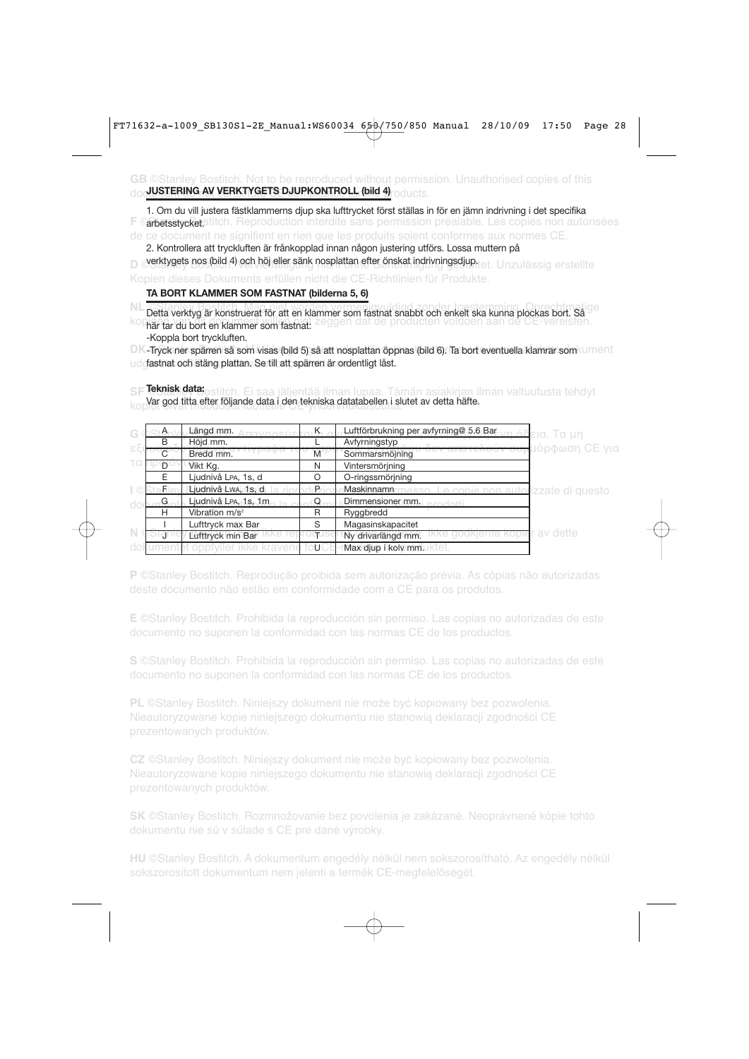**GB** ©Stanley Bostitch. Not to be reproduced without permission. Unauthorised copies of this doc<mark>uustering av Verktygets Djupkontroll (bild 4)</mark><sub>roducts.</sub>

**F ©arbetsstycket.**stitch. Reproduction interdite sans permission préalable. Les copies non autorisées de ce document ne signifient en rien que les produits soient conformes aux normes CE. 1. Om du vill justera fästklammerns djup ska lufttrycket först ställas in för en jämn indrivning i det specifika

**D** Overktygets nos (bild 4) och höj eller sänk nosplattan efter önskat indrivningsdjup.tet. Unzulässig erstellte 2. Kontrollera att tryckluften är frånkopplad innan någon justering utförs. Lossa muttern på

Kopien dieses Dokuments erfüllen nicht die CE-Richtlinien für Produkte.

#### **TA BORT KLAMMER SOM FASTNAT (bilderna 5, 6)**

Detta verktyg är konstruerat för att en klammer som fastnat snabbt och enkelt ska kunna plockas bort. Så <sup>ge</sup> kopieën van bort en klammer som fastnat: zeggen dat de producten voldoen aan de CE-vereisten. -Koppla bort tryckluften.

DK Tryck ner spärren så som visas (bild 5) så att nosplattan öppnas (bild 6). Ta bort eventuella klamrar som ument udgastnat och stäng plattan. Se till att spärren är ordentligt låst.

**SF** ©Stanley Bostitch. Ei saa jäljentää ilman lupaa. Tämän asiakirjan ilman valtuutusta tehdyt **Teknisk data:** Var god titta efter följande data i den tekniska datatabellen i slutet av detta häfte.<br>Kop

| $A_{-}$ | Längd mm.                  |    | Luftförbrukning per avfyrning@ 5.6 Bar.                       | <u>άδ</u> εια. Τα μη |
|---------|----------------------------|----|---------------------------------------------------------------|----------------------|
| B       | Höjd mm.                   |    | Avfyrningstyp                                                 | πμόρφωση CE για      |
|         | Bredd mm.                  | M  | Sommarsmöjning                                                |                      |
| -n      | Vikt Kg.                   | N  | Vintersmörjning                                               |                      |
|         | Ljudnivå LPA, 1s, d        | C  | O-ringssmörjning                                              |                      |
|         | Ljudnivå LwA, 1s, d        | P. | Maskinnamn <sup>®</sup><br>Le copie non autorizzate di questo |                      |
| G       | Ljudnivå LPA, 1s, 1m       |    | Dimmensioner mm, prodotti                                     |                      |
| н       | Vibration m/s <sup>2</sup> | R  | Ryggbredd                                                     |                      |
|         | Lufttryck max Bar          | S  | Magasinskapacitet                                             |                      |
|         | Lufttryck min Bar          |    | Ny drivarlängd mm.                                            | r av dette           |
|         |                            |    | Max djup i kolv mm.                                           |                      |

**P** ©Stanley Bostitch. Reprodução proibida sem autorização prévia. As cópias não autorizadas

**E** ©Stanley Bostitch. Prohibida la reproducción sin permiso. Las copias no autorizadas de este documento no suponen la conformidad con las normas CE de los productos.

**S** ©Stanley Bostitch. Prohibida la reproducción sin permiso. Las copias no autorizadas de este documento no suponen la conformidad con las normas CE de los productos.

**PL** ©Stanley Bostitch. Niniejszy dokument nie może być kopiowany bez pozwolenia. Nieautoryzowane kopie niniejszego dokumentu nie stanowią deklaracji zgodności CE prezentowanych produktów.

**CZ** ©Stanley Bostitch. Niniejszy dokument nie może być kopiowany bez pozwolenia. Nieautoryzowane kopie niniejszego dokumentu nie stanowią deklaracji zgodności CE

**SK** ©Stanley Bostitch. Rozmnožovanie bez povolenia je zakázané. Neoprávnené kópie tohto dokumentu nie sú v súlade s CE pre dané výrobky.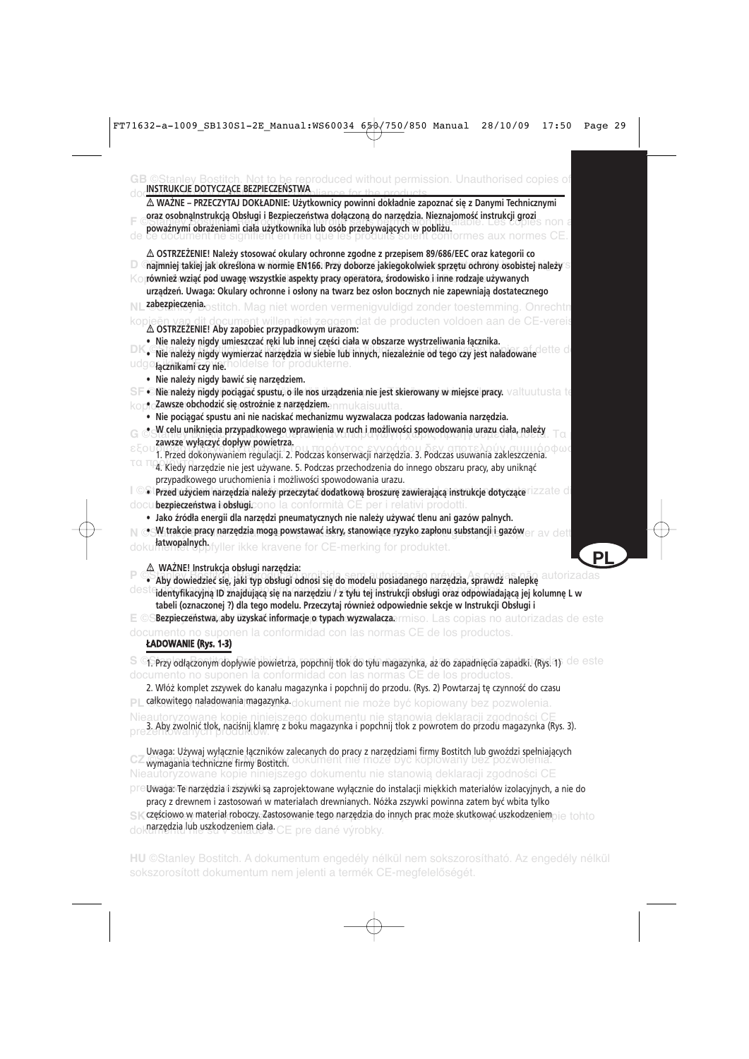|       | <b>B</b> ©Stanley Bostitch. Not to be reproduced without permission. Unauthorised copies of<br>INSTRUKCJE DOTYCZĄCE BEZPIECZEŃSTWA                                                                                                                                                                                                                                                                                                                                                        |
|-------|-------------------------------------------------------------------------------------------------------------------------------------------------------------------------------------------------------------------------------------------------------------------------------------------------------------------------------------------------------------------------------------------------------------------------------------------------------------------------------------------|
|       | △ WAŻNE – PRZECZYTAJ DOKŁADNIE: Użytkownicy powinni dokładnie zapoznać się z Danymi Technicznymi<br>oraz osobnalnstrukcją Obsługi i Bezpieczeństwa dołączoną do narzędzia. Nieznajomość instrukcji grozi<br><b>Spoważnymi obrażeniami ciała użytkownika lub osób przebywających w pobliżu.</b><br>de ce document ne signifient en rien que les produats sole przodu                                                                                                                       |
|       | $\triangle$ OSTRZEŻENIE! Należy stosować okulary ochronne zgodne z przepisem 89/686/EEC oraz kategorii co<br>$\Box$ $\Box$ najmniej takiej jak określona w normie EN166. Przy doborze jakiegokolwiek sprzętu ochrony osobistej należy $\Im$<br>Ko również wziąć pod uwagę wszystkie aspekty pracy operatora, środowisko i inne rodzaje używanych<br>urządzeń. Uwaga: Okulary ochronne i osłony na twarz bez osłon bocznych nie zapewniają dostatecznego                                   |
|       | zabezpierzenia ostitch. Mag niet worden vermenigvuldigd zonder toestemming. Onrechtn                                                                                                                                                                                                                                                                                                                                                                                                      |
|       | kopieën van dit document willen niet zeggen dat de producten voldoen aan de CE-vereis<br>∆ OSTRZEZENIE! Aby zapobiec przypadkowym urazom:<br>· Nie należy nigdy umieszczać ręki lub innej części ciała w obszarze wystrzeliwania łącznika.<br>· Nie należy nigdy wymierzać narzędzia w siebie lub innych, niezależnie od tego czy jest naładowane<br>udgøfacznikami czynie holdelse for produkterne.                                                                                      |
|       | · Nie należy nigdy bawić się narzędziem.<br>SF · Nie należy nigdy pociągać spustu, o ile nos urządzenia nie jest skierowany w miejsce pracy. Valtuutusta te<br>korio <b>Zawsze obchodzić się ostrożnie z narzędziem</b> enmukaisuutta.                                                                                                                                                                                                                                                    |
|       | · Nie pociągać spustu ani nie naciskać mechanizmu wyzwalacza podczas ładowania narzędzia.<br>· W celu uniknięcia przypadkowego wprawienia w ruch i możliwości spowodowania urazu ciała, należy<br>zawsze wyłączyć dopływ powietrza.                                                                                                                                                                                                                                                       |
| τα τι | 4. Kiedy narzędzie nie jest używane. 5. Podczas przechodzenia do innego obszaru pracy, aby uniknąć<br>przypadkowego uruchomienia i możliwości spowodowania urazu.                                                                                                                                                                                                                                                                                                                         |
|       | $\Box$ $\odot$ Przed użyciem narzędzia należy przeczytać dodatkową broszurę zawierającą instrukcje dotyczące <code>rizzate di</code><br>docubezpieczeństwa hobsługicono la conformità CE per i relativi prodotti.                                                                                                                                                                                                                                                                         |
|       | · Jako źródła energii dla narzędzi pneumatycznych nie należy używać tlenu ani gazów palnych.<br>o W trakcie pracy narzędzia mogą powstawać iskry, stanowiące ryzyko zapłonu substancji i gazów.<br>deti                                                                                                                                                                                                                                                                                   |
|       | htwopalnych fyller ikke kravene for CE-merking for produktet.<br>РI                                                                                                                                                                                                                                                                                                                                                                                                                       |
|       | A WAŻNE! Instrukcja obsługi narzędzia:<br>· Aby dowiedzieć się, jaki typ obsługi odnosi się do modelu posiadanego narzędzia, sprawdź nalepkę<br>desteidentyfikacyjną ID znajdującą się na narzędziu / z tyłu tej instrukcji obsługi oraz odpowiadającą jej kolumnę L w<br>tabeli (oznaczonej ?) dla tego modelu. Przeczytaj również odpowiednie sekcje w Instrukcji Obsługi i<br>E © SBezpieczeństwa, aby uzyskać informacje o typach wyzwalaczaermiso. Las copias no autorizadas de este |
|       | documento no suponen la conformidad con las normas CE de los productos.<br>ŁADOWANIE (Rys. 1-3)                                                                                                                                                                                                                                                                                                                                                                                           |
|       | S <sup>o</sup> i. Przy odłączonym dopływie powietrza, popchnij tłok do tylu magazynka, aż do zapadnięcia zapadki. (Rys. 4) de este<br>documento no suponen la conformidad con las normas CE de los productos.                                                                                                                                                                                                                                                                             |
| PI.   | 2. Włóż komplet zszywek do kanału magazynka i popchnij do przodu. (Rys. 2) Powtarzaj tę czynność do czasu<br>całkowitego naładowania magazynka dokument nie może być kopiowany bez pozwolenia.                                                                                                                                                                                                                                                                                            |
|       | Nieautoryzowane kopie niniejszego dokumentu nie stanowią deklaracji zgodności CE<br>3. Aby zwolnić tłok, naciśnij klamrę z boku magazynka i popchnij tłok z powrotem do przodu magazynka (Rys. 3).                                                                                                                                                                                                                                                                                        |
|       | Uwaga: Używaj wyłącznie łączników zalecanych do pracy z narzędziami firmy Bostitch lub gwoździ spełniających<br>- wymagania techniczne firmy Bostitch                                                                                                                                                                                                                                                                                                                                     |

Nieautoryzowane kopie niniejszego dokumentu nie stanowią deklaracji zgodności CE wymagania techniczne firmy Bostitch.

prezentowanych produktów. Uwaga: Te narzędzia i zszywki są zaprojektowane wyłącznie do instalacji miękkich materiałów izolacyjnych, a nie do pracy z drewnem i zastosowań w materiałach drewnianych. Nóżka zszywki powinna zatem być wbita tylko

 $S$ K **częściowo w materiał roboczy. Zastosowanie tego narzędzia do innych prac może skutkować uszkodzeniem** $\circ$ **i** $\in$  **tohto** 

dokurzędzia lub uszkodzeniem ciała. CE pre dané výrobky.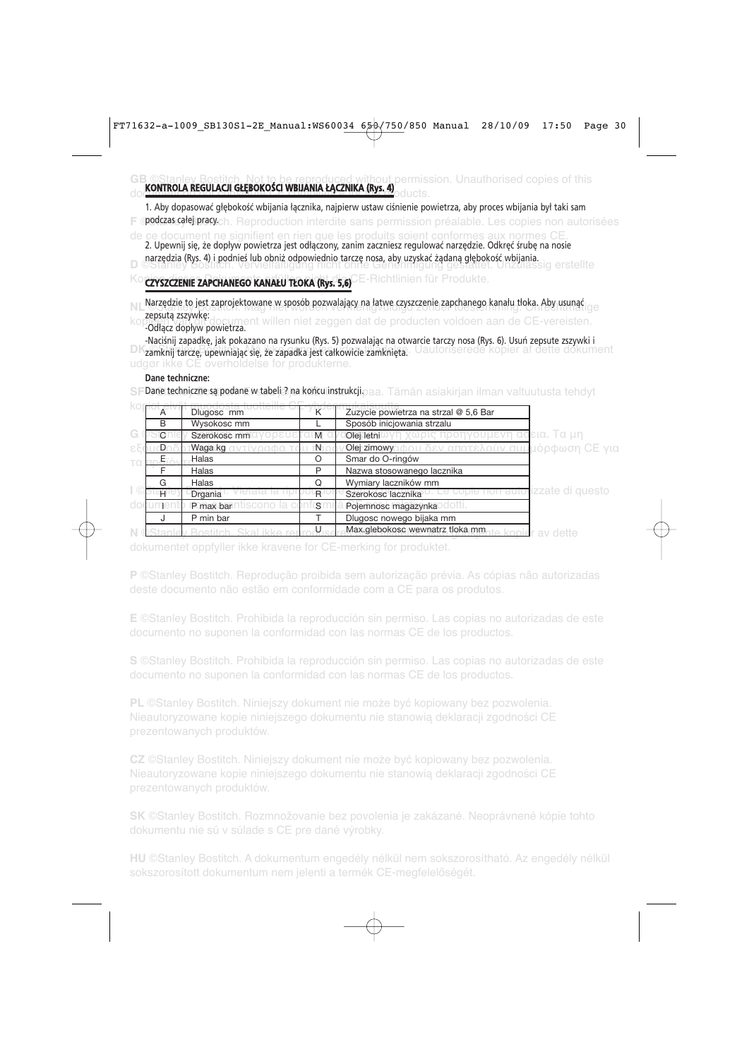#### **GB ©Stanley Bostitch. Not to be reproduced without permission. Unauthorised copies of this** do **kontrola regulacji głębokości wbijania łącznika (Rys. 4)**<br>Odkorzenia

1. Aby dopasować głębokość wbijania łącznika, najpierw ustaw ciśnienie powietrza, aby proces wbijania był taki sam

**F © podczas całej pracy.**ch. Reproduction interdite sans permission préalable. Les copies non autorisées

de ce document ne signifient en rien que les produits soient conformes aux normes CE. narzędzia (Rys. 4) i podnieś lub obniż odpowiednio tarczę nosa, aby uzyskać ządaną głębokość wbijania.<br>Di ©odporta (Rys. 4) i podnieś lub obniż odpowiednio tarczę nosa, aby uzyskać ządaną głębokość wbijania. 2. Upewnij się, że dopływ powietrza jest odłączony, zanim zaczniesz regulować narzędzie. Odkręć śrubę na nosie

# Ko**czyszczenie zapchanego kanału tłoka (Rys. 5,6)** E-Richtlinien für Produkte.

NL Natzguzie to just zaprojektowane w sposob pozwalający na jawie czysczenie zaprojanego kanalu tioka. Aby wyniąt koppsutą zszywkę:<br>kop odacz doplar document willen niet zeggen dat de producten voldoen aan de CE-vereisten. Narzędzie to jest zaprojektowane w sposób pozwalający na łatwe czyszczenie zapchanego kanału tłoka. Aby usunąć

-Odłącz dopływ powietrza. -Naciśnij zapadkę, jak pokazano na rysunku (Rys. 5) pozwalając na otwarcie tarczy nosa (Rys. 6). Usuń zepsute zszywki i

DK zamknij tarczę, upewniając się, że zapadka jest całkowicie zamknięta. Uautoriserede kopier af dette dokument udgør ikke CE overholdelse for produkterne.

#### **Dane techniczne:**

SF**Dane techniczne są podane w tabeli ? na końcu instrukcji. <sub>Daa.</sub> Tämän asiakirjan ilman valtuutusta tehdyt** 

| $\overline{A}$ | Dlugosc mm   |    | Zuzycie powietrza na strzal @ 5,6 Bar                            |
|----------------|--------------|----|------------------------------------------------------------------|
| R              | Wysokosc mm  |    | Sposób inicjowania strzalu                                       |
| C              | Szerokosc mm | M  | δεια. Τα μη<br>Olej letni                                        |
|                | Waga kg      | ⊤N | ιόρφωση CE για<br>Olej zimowy<br><b>CITOTS</b>                   |
|                | Halas        |    | Smar do O-ringów                                                 |
|                | Halas        | P  | Nazwa stosowanego lacznika                                       |
| G              | Halas        | Q  | Wymiary laczników mm                                             |
| н              | Drgania      | R  | <b>Tizzate di questo</b><br>Szerokosc lacznika                   |
|                | P max bar    | S  | Pojemnosc magazynka                                              |
|                | P min bar    |    | Dlugosc nowego bijaka mm                                         |
|                |              |    | Max.glebokosc wewnatrz tloka mm <sub>nte</sub> konic<br>av dette |

dokumentet oppfyller ikke kravene for CE-merking for produktet.

**P** ©Stanley Bostitch. Reprodução proibida sem autorização prévia. As cópias não autorizadas

**E** ©Stanley Bostitch. Prohibida la reproducción sin permiso. Las copias no autorizadas de este documento no suponen la conformidad con las normas CE de los productos.

**S** ©Stanley Bostitch. Prohibida la reproducción sin permiso. Las copias no autorizadas de este

**PL** ©Stanley Bostitch. Niniejszy dokument nie może być kopiowany bez pozwolenia. Nieautoryzowane kopie niniejszego dokumentu nie stanowią deklaracji zgodności CE prezentowanych produktów.

**CZ** ©Stanley Bostitch. Niniejszy dokument nie może być kopiowany bez pozwolenia. Nieautoryzowane kopie niniejszego dokumentu nie stanowią deklaracji zgodności CE

**SK** ©Stanley Bostitch. Rozmnožovanie bez povolenia je zakázané. Neoprávnené kópie tohto dokumentu nie sú v súlade s CE pre dané výrobky.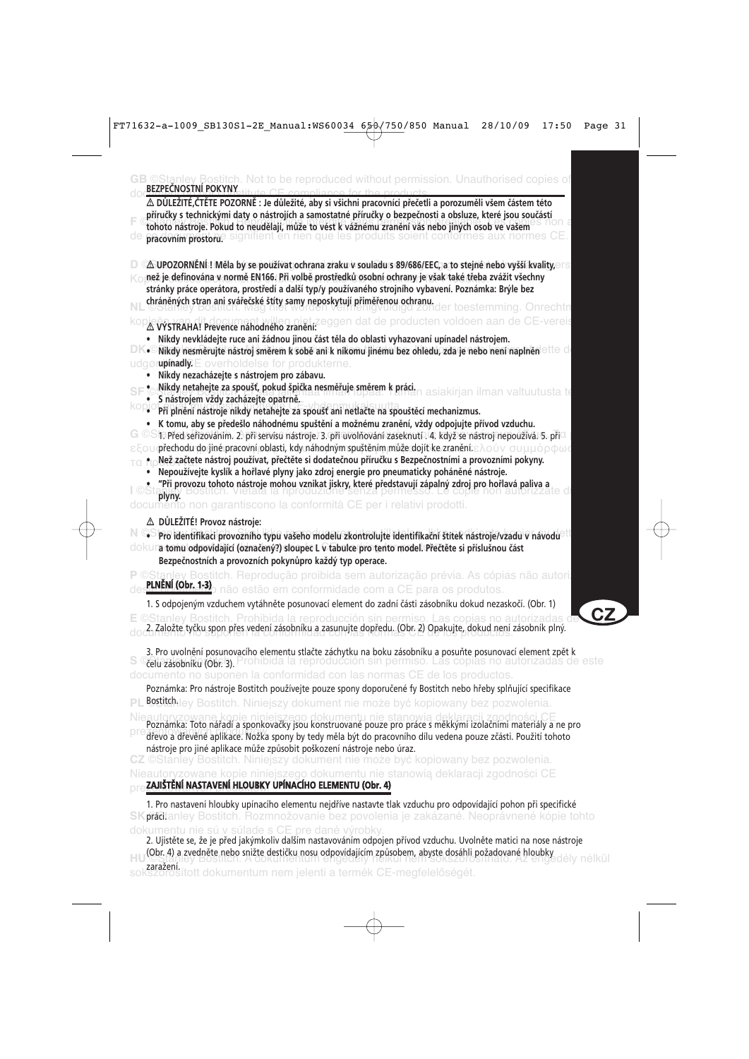| $\Delta$ DŮLEŽITÉ,ČTĚTE POZORNĚ : Je důležité, aby si všichni pracovníci přečetli a porozuměli všem částem této<br>příručky s technickými daty o nástrojích a samostatné příručky o bezpečnosti a obsluze, které jsou součástí<br>tohoto nástroje. Pokud to neudělají, může to vést k vážnému zranění vás nebo jiných osob ve vašem<br>pracovnim prostorue signifient en rien que les produits soient conformes aux<br>ae<br>∆ UPOZORNĚNÍ! Měla by se používat ochrana zraku v souladu s 89/686/EEC, a to stejné nebo vyšší kvality,⊖r s<br>než je definována v normě EN166. Při volbě prostředků osobní ochrany je však také třeba zvážit všechny<br>stránky práce operátora, prostředí a další typ/y používaného strojního vybavení. Poznámka: Brýle bez<br>chráněných stran ani svářečské štíty samy neposkytují přiměřenou ochranu.<br>er toestemming. Onrechtn<br>A VÝSTRAHA! Prevence náhodného zranění: eggen dat de producten voldoen aan de CE-vereis<br>· Nikdy nevkládejte ruce ani žádnou jinou část těla do oblasti vyhazovaní upínadel nástrojem.<br>$\Box$ K $\bullet$ $\Box$ Nikdy nesměrujte nástroj směrem k sobě ani k nikomu jinému bez ohledu, zda je nebo není naplněn $\circ$ tl $\circ$ $\circ$ l<br>udgørupinadl $\nabla$ E overholdelse for produkterne.<br>Nikdy nezacházejte s nástrojem pro zábavu.<br>$\scriptstyle\circ$ Nikdy netahejte za spoušť, pokud špička nesměřuje směrem $\scriptstyle\rm k$ práci.<br>asiakirjan ilman valtuutusta te<br>S nástrojem vždy zacházejte opatrně.<br>Při plnění nástroje nikdy netahejte za spoušť ani netlačte na spouštěcí mechanizmus.<br>K tomu, aby se předešlo náhodnému spuštění a možnému zranění, vždy odpojujte přívod vzduchu.<br>G ©S 1. Před seřizováním. 2. při servisu nástroje. 3. při uvolňování zaseknutí. 4. když se nástroj nepoužívá. 5. přiQ<br>ε ξου <b>φřechodu do jiné pracovní oblasti, kdy náhodným spuštěním může dojít ke zranění.</b> ελούν συμμόρφωσ<br>Než začtete nástroj používat, přečtěte si dodatečnou příručku s Bezpečnostními a provozními pokyny.<br>Nepoužívejte kyslík a hořlavé plyny jako zdroj energie pro pneumaticky poháněné nástroje.<br>Při provozu tohoto nástroje mohou vznikat jiskry, které představují zápalný zdroj pro hořlavá paliva a |
|------------------------------------------------------------------------------------------------------------------------------------------------------------------------------------------------------------------------------------------------------------------------------------------------------------------------------------------------------------------------------------------------------------------------------------------------------------------------------------------------------------------------------------------------------------------------------------------------------------------------------------------------------------------------------------------------------------------------------------------------------------------------------------------------------------------------------------------------------------------------------------------------------------------------------------------------------------------------------------------------------------------------------------------------------------------------------------------------------------------------------------------------------------------------------------------------------------------------------------------------------------------------------------------------------------------------------------------------------------------------------------------------------------------------------------------------------------------------------------------------------------------------------------------------------------------------------------------------------------------------------------------------------------------------------------------------------------------------------------------------------------------------------------------------------------------------------------------------------------------------------------------------------------------------------------------------------------------------------------------------------------------------------------------------------------------------------------------------------------------------------------------------------------------------------------------------------------------------------------------------------------------------|
|                                                                                                                                                                                                                                                                                                                                                                                                                                                                                                                                                                                                                                                                                                                                                                                                                                                                                                                                                                                                                                                                                                                                                                                                                                                                                                                                                                                                                                                                                                                                                                                                                                                                                                                                                                                                                                                                                                                                                                                                                                                                                                                                                                                                                                                                        |
|                                                                                                                                                                                                                                                                                                                                                                                                                                                                                                                                                                                                                                                                                                                                                                                                                                                                                                                                                                                                                                                                                                                                                                                                                                                                                                                                                                                                                                                                                                                                                                                                                                                                                                                                                                                                                                                                                                                                                                                                                                                                                                                                                                                                                                                                        |
|                                                                                                                                                                                                                                                                                                                                                                                                                                                                                                                                                                                                                                                                                                                                                                                                                                                                                                                                                                                                                                                                                                                                                                                                                                                                                                                                                                                                                                                                                                                                                                                                                                                                                                                                                                                                                                                                                                                                                                                                                                                                                                                                                                                                                                                                        |
| oduzione senza permesso. L<br>plyny.<br>documento non garantiscono la conformità CE per i relativi prodotti.                                                                                                                                                                                                                                                                                                                                                                                                                                                                                                                                                                                                                                                                                                                                                                                                                                                                                                                                                                                                                                                                                                                                                                                                                                                                                                                                                                                                                                                                                                                                                                                                                                                                                                                                                                                                                                                                                                                                                                                                                                                                                                                                                           |
| △ DŮLEŽITÉ! Provoz nástroje:<br>· Pro identifikaci provozního typu vašeho modelu zkontrolujte identifikační štítek nástroje/vzadu v návodu <sup>3</sup><br>dokuna tomu odpovídající (označený?) sloupec L v tabulce pro tento model. Přečtěte si příslušnou část<br>Bezpečnostních a provozních pokynůpro každý typ operace.                                                                                                                                                                                                                                                                                                                                                                                                                                                                                                                                                                                                                                                                                                                                                                                                                                                                                                                                                                                                                                                                                                                                                                                                                                                                                                                                                                                                                                                                                                                                                                                                                                                                                                                                                                                                                                                                                                                                           |
| ©Stanley Bostitch. Reprodução proibida sem autorização prévia. As cópias não autori:<br>PLNĚNÍ (Obr. 1-3)                                                                                                                                                                                                                                                                                                                                                                                                                                                                                                                                                                                                                                                                                                                                                                                                                                                                                                                                                                                                                                                                                                                                                                                                                                                                                                                                                                                                                                                                                                                                                                                                                                                                                                                                                                                                                                                                                                                                                                                                                                                                                                                                                              |
| não estão em conformidade com a CE para os produtos.<br>1. S odpojeným vzduchem vytáhněte posunovací element do zadní části zásobníku dokud nezaskočí. (Obr. 1)                                                                                                                                                                                                                                                                                                                                                                                                                                                                                                                                                                                                                                                                                                                                                                                                                                                                                                                                                                                                                                                                                                                                                                                                                                                                                                                                                                                                                                                                                                                                                                                                                                                                                                                                                                                                                                                                                                                                                                                                                                                                                                        |
| E ©Stanley Bostitch. Prohibida la reproducción sin permiso. Las copias no autorizadas d<br>2. Založte tyčku spon přes vedení zásobníku a zasunujte dopředu. (Obr. 2) Opakujte, dokud není zásobník plný.                                                                                                                                                                                                                                                                                                                                                                                                                                                                                                                                                                                                                                                                                                                                                                                                                                                                                                                                                                                                                                                                                                                                                                                                                                                                                                                                                                                                                                                                                                                                                                                                                                                                                                                                                                                                                                                                                                                                                                                                                                                               |
| 3. Pro uvolnění posunovacího elementu stlačte záchytku na boku zásobníku a posuňte posunovací element zpět k<br>celuzasobniku (Obrig). Prohibida la reproducción sin permiso. Las copias no autorizadas de este<br>documento no suponen la conformidad con las normas CE de los productos.                                                                                                                                                                                                                                                                                                                                                                                                                                                                                                                                                                                                                                                                                                                                                                                                                                                                                                                                                                                                                                                                                                                                                                                                                                                                                                                                                                                                                                                                                                                                                                                                                                                                                                                                                                                                                                                                                                                                                                             |
| Poznámka: Pro nástroje Bostitch používejte pouze spony doporučené fy Bostitch nebo hřeby splňující specifikace<br>Bostitchley Bostitch. Niniejszy dokument nie może być kopiowany bez pozwolenia.                                                                                                                                                                                                                                                                                                                                                                                                                                                                                                                                                                                                                                                                                                                                                                                                                                                                                                                                                                                                                                                                                                                                                                                                                                                                                                                                                                                                                                                                                                                                                                                                                                                                                                                                                                                                                                                                                                                                                                                                                                                                      |
| Poznámka: Toto nářadí a sponkovačky jsou konstruované pouze pro práce s měkkými izolačními materiály a ne pro<br>dřevo a dřevěné aplikace. Nožka spony by tedy měla být do pracovního dílu vedena pouze zčásti. Použití tohoto<br>nástroje pro jiné aplikace může způsobit poškození nástroje nebo úraz.<br>CZ ©Stanley Bostitch. Niniejszy dokument nie może być kopiowany bez pozwolenia.                                                                                                                                                                                                                                                                                                                                                                                                                                                                                                                                                                                                                                                                                                                                                                                                                                                                                                                                                                                                                                                                                                                                                                                                                                                                                                                                                                                                                                                                                                                                                                                                                                                                                                                                                                                                                                                                            |
| Nieautoryzowane kopie niniejszego dokumentu nie stanowią deklaracji zgodności CE<br>ZAJIŠTĚNÍ NASTAVENÍ HLOUBKY UPÍNACÍHO ELEMENTU (Obr. 4)                                                                                                                                                                                                                                                                                                                                                                                                                                                                                                                                                                                                                                                                                                                                                                                                                                                                                                                                                                                                                                                                                                                                                                                                                                                                                                                                                                                                                                                                                                                                                                                                                                                                                                                                                                                                                                                                                                                                                                                                                                                                                                                            |
| 1. Pro nastavení hloubky upínacího elementu nejdříve nastavte tlak vzduchu pro odpovídající pohon při specifické<br>SKprádtanley Bostitch. Rozmnožovanie bez povolenia je zakázané. Neoprávnené kópie tohto<br>dokumentu nie sú v súlade s CE pre dané výrobky                                                                                                                                                                                                                                                                                                                                                                                                                                                                                                                                                                                                                                                                                                                                                                                                                                                                                                                                                                                                                                                                                                                                                                                                                                                                                                                                                                                                                                                                                                                                                                                                                                                                                                                                                                                                                                                                                                                                                                                                         |

dokumentu nie sú v súlade s CE pre dané výrobky. 2. Ujistěte se, že je před jakýmkoliv dalším nastavováním odpojen přívod vzduchu. Uvolněte matici na nose nástroje **HU (Obr. 4) a zvedněte nebo snižte destičku nosu odpovídajícím způsobem, abyste dosáhli požadované hloubky<br>HU OSTA, JEY BOSTICH A zvedněte destičku nosu odpovídajícím způsobem, abyste dosáhli požadované hloubky** sokszorosított dokumentum nem jelenti a termék CE-megfelelőségét.

**CZ**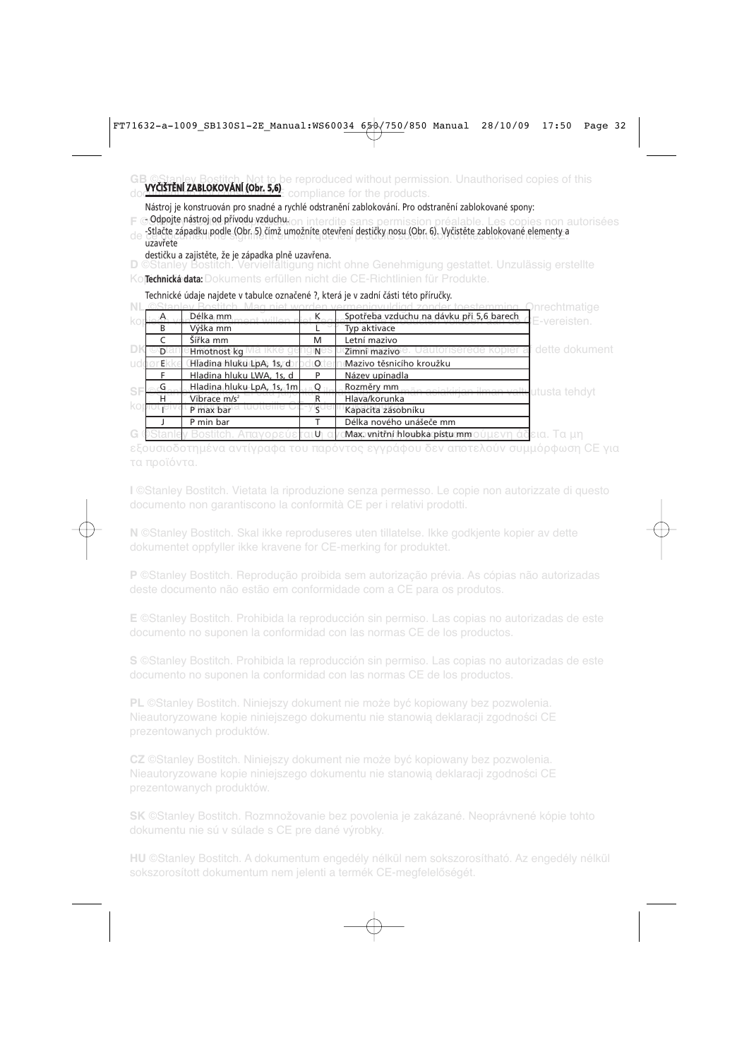#### be reproduced without permission. Unauthorised copies of this **VYČIŠTĚNÍ ZABLOKOVÁNÍ (Obr. 5,6)**

Nástroj je konstruován pro snadné a rychlé odstranění zablokování. Pro odstranění zablokované spony:

**F** © **Odpojte nastroj od privodu vzduchu**lion interdite sans permission préalable. Les copies non autorisées de -Stlačte západku podle (Obr. 5) čímž umožníte otevření destičky nosu (Obr. 6). Vyčistěte zablokované elementy a<br>CE. Vzavřete uzavřete

destičku a zajistěte, že je západka plně uzavřena.

**D** ©Stanley Bostitch. Vervielfältigung nicht ohne Genehmigung gestattet. Unzulässig erstellte

Ko**ßechnická data:** Dokuments erfüllen nicht die CE-Richtlinien für Produkte.

Technické údaje najdete v tabulce označené ?, která je v zadní části této příručky.

|   |    |                           |         |                                                                   | <b>D</b> nrechtmatige |
|---|----|---------------------------|---------|-------------------------------------------------------------------|-----------------------|
|   |    | Délka mm                  |         | Spotřeba vzduchu na dávku při 5,6 barech                          | <b>‡</b> F-vereisten. |
|   | B  | Výška mm                  |         | Typ aktivace                                                      |                       |
|   |    | Šířka mm                  | M       | Letní mazivo                                                      |                       |
|   | D. | Hmotnost kg               | N       | ttoriserede kopier<br>Zimní mazivo                                | dette dokument        |
|   | F  | Hladina hluku LpA, 1s, d  | $\circ$ | Mazivo těsnicího kroužku                                          |                       |
|   |    | Hladina hluku LWA, 1s, d  |         | Název upínadla                                                    |                       |
| s |    | Hladina hluku LpA, 1s, 1m |         | Rozměry mm<br><del>aän asiakirian ilman valtu</del> utusta tehdyt |                       |
|   | н  | Vibrace $m/s2$            |         | Hlava/korunka                                                     |                       |
|   |    | P max bar                 |         | Kapacita zásobníku                                                |                       |
|   |    | P min bar                 |         | Délka nového unášeče mm                                           |                       |
|   |    |                           | ת טו    | Max. vnitřní hloubka pístu mm o                                   | δεια. Τα un           |

εξουσιοδοτημένα αντίγραφα του παρόντος εγγράφου δεν αποτελούν συμμόρφωση CE για τα προϊόντα.

**I** ©Stanley Bostitch. Vietata la riproduzione senza permesso. Le copie non autorizzate di questo documento non garantiscono la conformità CE per i relativi prodotti.

**N** ©Stanley Bostitch. Skal ikke reproduseres uten tillatelse. Ikke godkjente kopier av dette dokumentet oppfyller ikke kravene for CE-merking for produktet.

**P** ©Stanley Bostitch. Reprodução proibida sem autorização prévia. As cópias não autorizadas

**E** ©Stanley Bostitch. Prohibida la reproducción sin permiso. Las copias no autorizadas de este documento no suponen la conformidad con las normas CE de los productos.

**S** ©Stanley Bostitch. Prohibida la reproducción sin permiso. Las copias no autorizadas de este documento no suponen la conformidad con las normas CE de los productos.

**PL** ©Stanley Bostitch. Niniejszy dokument nie może być kopiowany bez pozwolenia. Nieautoryzowane kopie niniejszego dokumentu nie stanowią deklaracji zgodności CE prezentowanych produktów.

**CZ** ©Stanley Bostitch. Niniejszy dokument nie może być kopiowany bez pozwolenia. Nieautoryzowane kopie niniejszego dokumentu nie stanowią deklaracji zgodności CE

**SK** ©Stanley Bostitch. Rozmnožovanie bez povolenia je zakázané. Neoprávnené kópie tohto dokumentu nie sú v súlade s CE pre dané výrobky.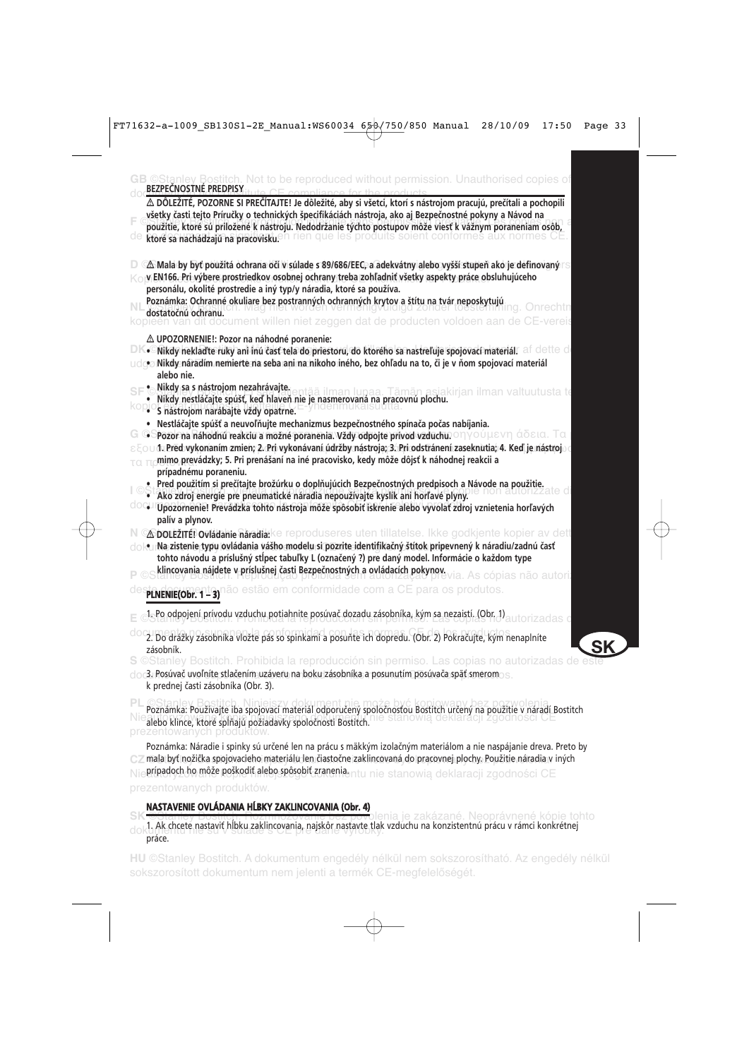| <b>B</b> ©Stanley Bostitch. Not to be reproduced without permission. Unauthorised copies of<br>BEZPEČNOSTNÉ PREDPISY                                                                                                                                                                                                                                                                                                                                                                                                |
|---------------------------------------------------------------------------------------------------------------------------------------------------------------------------------------------------------------------------------------------------------------------------------------------------------------------------------------------------------------------------------------------------------------------------------------------------------------------------------------------------------------------|
| ∆ DÔLEŽITÉ, POZORNE SI PREČÍTAJTE! Je dôležité, aby si všetci, ktorí s nástrojom pracujú, prečítali a pochopili<br>všetky časti tejto Príručky o technických špecifikáciách nástroja, ako aj Bezpečnostné pokyny a Návod na<br>použitie, ktoré sú priložené k nástroju. Nedodržanie týchto postupov môže viesť k vážnym poraneniam osôb,<br>ktore sa hathadzajú na prativistuen rien que les produits soient conformes aux normes<br>de                                                                             |
| Δ Mala by byť použitá ochrana očí v súlade s 89/686/EEC, a adekvátny alebo vyšší stupeň ako je definovaný r s<br>v EN166. Pri výbere prostriedkov osobnej ochrany treba zohľadniť všetky aspekty práce obsluhujúceho<br>personálu, okolité prostredie a iný typ/y náradia, ktoré sa používa.                                                                                                                                                                                                                        |
| Poznámka: Ochranné okuliare bez postranných ochranných krytov a štítu na tvár neposkytujú<br>dostatočnú ochranu.<br>document willen niet zeggen dat de producten voldoen aan de CE                                                                                                                                                                                                                                                                                                                                  |
| △ UPOZORNENIE!: Pozor na náhodné poranenie:                                                                                                                                                                                                                                                                                                                                                                                                                                                                         |
| DK•Mikdy nekladte ruky ani inú časť tela do priestoru, do ktorého sa nastreľuje spojovací materiál. Af dette d<br>udgo Nikdy náradím nemierte na seba ani na hikoho iného, bez ohľadu na to, či je v ňom spojovací materiál<br>alebo nie.                                                                                                                                                                                                                                                                           |
| · Nikdy sa s nástrojom nezahrávajte.<br>SF<br>ilman lupaa. Tämän asiakirjan ilman valtuutusta te<br>Nikdy nestláčajte spúšť, keď hlaveň nie je nasmerovaná na pracovnú plochu.<br>· S nástrojom narábajte vždy opatrne.                                                                                                                                                                                                                                                                                             |
| Nestláčajte spúšť a neuvoľňujte mechanizmus bezpečnostného spínača počas nabíjania.<br>$\bullet$ Pozor na náhodnú reakciu a možné poranenia. Vždy odpojte prívod vzduchu, $\circ$ n $\gamma$ o $\circ$ l lev $\eta$ áð stat. Tat<br>$\varepsilon\in\circ\cup$ 1. Pred vykonaním zmien, 2. Pri vykonávaní údržby nástroja, 3. Pri odstránení zaseknutia, 4. Keď je nástroj $\circ\circ$<br>mimo prevádzky; 5. Pri prenášaní na iné pracovisko, kedy môže dôjsť k náhodnej reakcii a<br>τα π<br>prípadnému poraneniu. |
| e . Pred použitím si prečítajte brožúrku o doplňujúcich Bezpečnostných predpisoch a Návode na použitie.<br>· Ako zdroj energie pre pneumatické náradia nepoužívajte kyslík ani horľavé plyny.<br>OO Upozornenie! Prevádzka tohto nástroja môže spôsobiť iskrenie alebo vyvolať zdroj vznietenia horľavých<br>palív a plynov.                                                                                                                                                                                        |
| N © <b>ODDLEŽITÉ! Ovládanie náradia:</b> ke reproduseres uten tillatelse. Ikke godkjente kopier av dett<br>doku Na zistenie typu ovládania vášho modelu si pozrite identifikačný štítok pripevnený k náradiu/zadnú časť<br>tohto návodu a príslušný stĺpec tabuľky L (označený ?) pre daný model. Informácie o každom type<br>klincovania nájdete v príslušnej časti Bezpečnostných a ovládacích pokynov.                                                                                                           |
| s cópias não autoril<br>conformidade com a CE para os produtos.<br><b>PLNENIE(Obr. 1-3)</b>                                                                                                                                                                                                                                                                                                                                                                                                                         |
| 1. Po odpojení prívodu vzduchu potiahnite posúvač dozadu zásobníka, kým sa nezaistí. (Obr. 1).                                                                                                                                                                                                                                                                                                                                                                                                                      |
| 2. Do drážky zásobníka vložte pás so spinkami a posuňte ich dopredu. (Obr. 2) Pokračujte, kým nenaplníte<br>zásobník.                                                                                                                                                                                                                                                                                                                                                                                               |
| S ©Stanley Bostitch. Prohibida la reproducción sin permiso. Las copias no autorizadas o<br>doc3. Posúvač uvoľníte stlačením uzáveru na boku zásobníka a posunutím posúvača späť smeromos.<br>k prednej časti zásobníka (Obr. 3).                                                                                                                                                                                                                                                                                    |
| Poznámka: Používajte iba spojovací materiál odporučený spoločnosťou Bostitch určený na použitie v náradí Bostitch<br>alebo klince, ktoré spĺňajú požiadavky spoločnosti Bostitch.<br>prezentowanych produktów.                                                                                                                                                                                                                                                                                                      |
| Poznámka: Náradie i spinky sú určené len na prácu s mäkkým izolačným materiálom a nie naspájanie dreva. Preto by<br>mala byť nožička spojovacieho materiálu len čiastočne zaklincovaná do pracovnej plochy. Použitie náradia v iných<br><b>prípadoch ho môže poškodiť alebo spôsobiť zranenia</b> ntu nie stanowią deklaracji zgodności CE                                                                                                                                                                          |
| prezentowanych produktów.                                                                                                                                                                                                                                                                                                                                                                                                                                                                                           |
| NASTAVENIE OVLÁDANIA HĹBKY ZAKLINCOVANIA (Obr. 4)                                                                                                                                                                                                                                                                                                                                                                                                                                                                   |
| plenia je zakázané. Neoprávnené kópie tohto<br>Als cheete nostavit hibleu<br>دیر بادا÷ م±ید<br>aickâr nac<br>dincovania n                                                                                                                                                                                                                                                                                                                                                                                           |

dok<sup>1</sup>. Ak chcete nastaviť hĺbku zaklincovania, najskôr nastavte tlak vzduchu na konzistentnú prácu v rámci konkrétnej<br>Dokazy práce.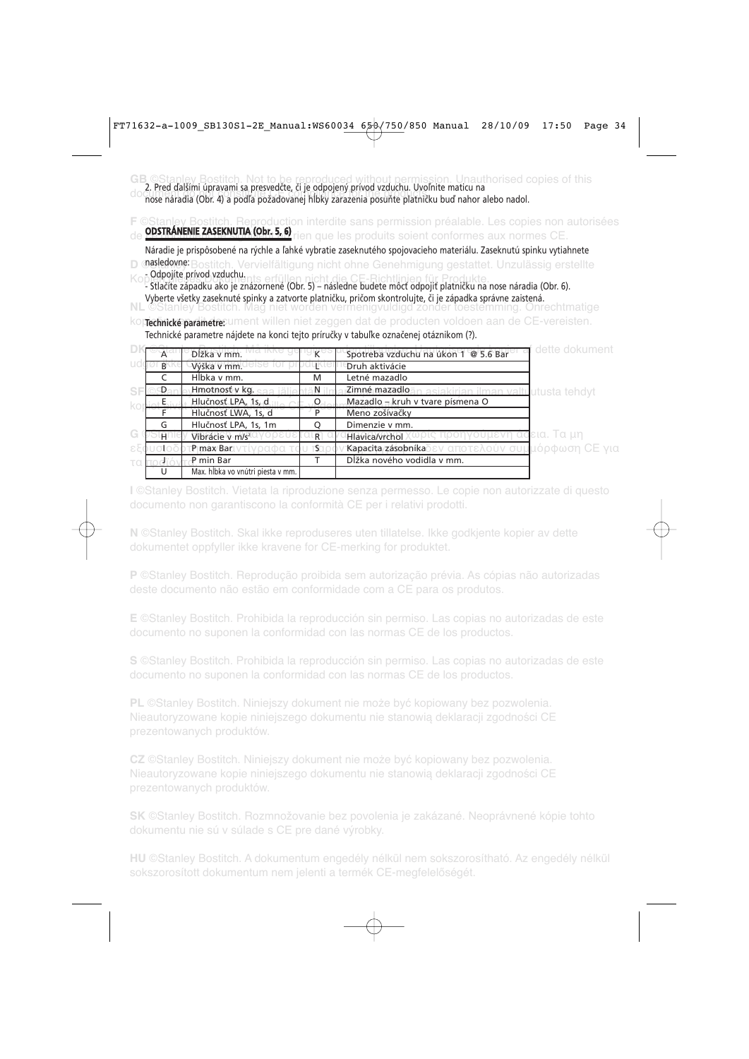**GB** ©Stanley Bostitch. Not to be reproduced without permission. Unauthorised copies of this 2. Pred ďalšími úpravami sa presvedčte, či je odpojený prívod vzduchu. Uvoľnite maticu na do cerement do not constitute CE constitute CE constitute for the products. The products in the products in the products. The products of the products of the products. The products in the products of the products. The prod

**FREPRODUCTION interdite sans permission préalable. Les copies non autorisées** de <mark>ODSTRANENIE ZASEKNUTIA (Obr. 5, 6)</mark> rien que les produits soient conformes aux normes CE.

**D @asledovne:** Bostitch. Vervielfältigung nicht ohne Genehmigung gestattet. Unzulässig erstellte Náradie je prispôsobené na rýchle a ľahké vybratie zaseknutého spojovacieho materiálu. Zaseknutú spinku vytiahnete KonOdpojíte prívod vzduchu.<br>
KonOdpojíte prívod vzduchu.<br>
Internet erfüllen nicht die CE-Richtlinien

Kopien dieses Dokuments erfüllen nicht die CE-Richtlinien für Produkte. - Stlačíte západku ako je znázornené (Obr. 5) – následne budete môcť odpojiť platničku na nose náradia (Obr. 6). Vyberte všetky zaseknuté spinky a zatvorte platničku, pričom skontrolujte, či je západka správne zaistená.

niet worden vermenigvuldigd zonder toestemming. Onrechtmatige kop**rechnické parametre:** ument willen niet zeggen dat de producten voldoen aan de CE-vereisten. Technické parametre nájdete na konci tejto príručky v tabuľke označenej otáznikom (?).

|    | A              | Dĺžka v mm.                       | К             | dette dokument<br>Spotreba vzduchu na úkon 1 @ 5.6 Bar |
|----|----------------|-----------------------------------|---------------|--------------------------------------------------------|
|    | B <sup>1</sup> | Výška v mm.                       |               | Druh aktivácie                                         |
|    |                | Hlbka v mm.                       | M             | Letné mazadlo                                          |
| SF | D              | <b>Hmotnost v kg.</b> saa jälje   | ÄN            | Zimné mazadlo<br>siakirjan ilman valtuutusta tehdyt    |
|    |                | Hlučnosť LPA, 1s, d               | $\circ$ O     | Mazadlo - kruh v tvare písmena O                       |
|    |                | Hlučnosť LWA, 1s, d               | P             | Meno zošívačky                                         |
|    | G              | Hlučnosť LPA, 1s, 1m              | O             | Dimenzie v mm.                                         |
| G  | H.             | Vibrácie v m/s <sup>2</sup>       | LR.           | δεια. Τα μη<br>ιις προηνουμενη αι<br>Hlavica/vrchol    |
|    |                | νοαφα<br>P max Bar                | $\mathsf{TS}$ | Καραcita/zásobníkaδεν αποτελούν συμμόρφωση CE για      |
|    |                | P min Bar                         |               | Dĺžka nového vodidla v mm.                             |
|    |                | Max. hĺbka vo vnútri piesta v mm. |               |                                                        |

**I** ©Stanley Bostitch. Vietata la riproduzione senza permesso. Le copie non autorizzate di questo documento non garantiscono la conformità CE per i relativi prodotti.

**N** ©Stanley Bostitch. Skal ikke reproduseres uten tillatelse. Ikke godkjente kopier av dette dokumentet oppfyller ikke kravene for CE-merking for produktet.

**P** ©Stanley Bostitch. Reprodução proibida sem autorização prévia. As cópias não autorizadas

**E** ©Stanley Bostitch. Prohibida la reproducción sin permiso. Las copias no autorizadas de este documento no suponen la conformidad con las normas CE de los productos.

**S** ©Stanley Bostitch. Prohibida la reproducción sin permiso. Las copias no autorizadas de este documento no suponen la conformidad con las normas CE de los productos.

**PL** ©Stanley Bostitch. Niniejszy dokument nie może być kopiowany bez pozwolenia. Nieautoryzowane kopie niniejszego dokumentu nie stanowią deklaracji zgodności CE prezentowanych produktów.

**CZ** ©Stanley Bostitch. Niniejszy dokument nie może być kopiowany bez pozwolenia. Nieautoryzowane kopie niniejszego dokumentu nie stanowią deklaracji zgodności CE

**SK** ©Stanley Bostitch. Rozmnožovanie bez povolenia je zakázané. Neoprávnené kópie tohto dokumentu nie sú v súlade s CE pre dané výrobky.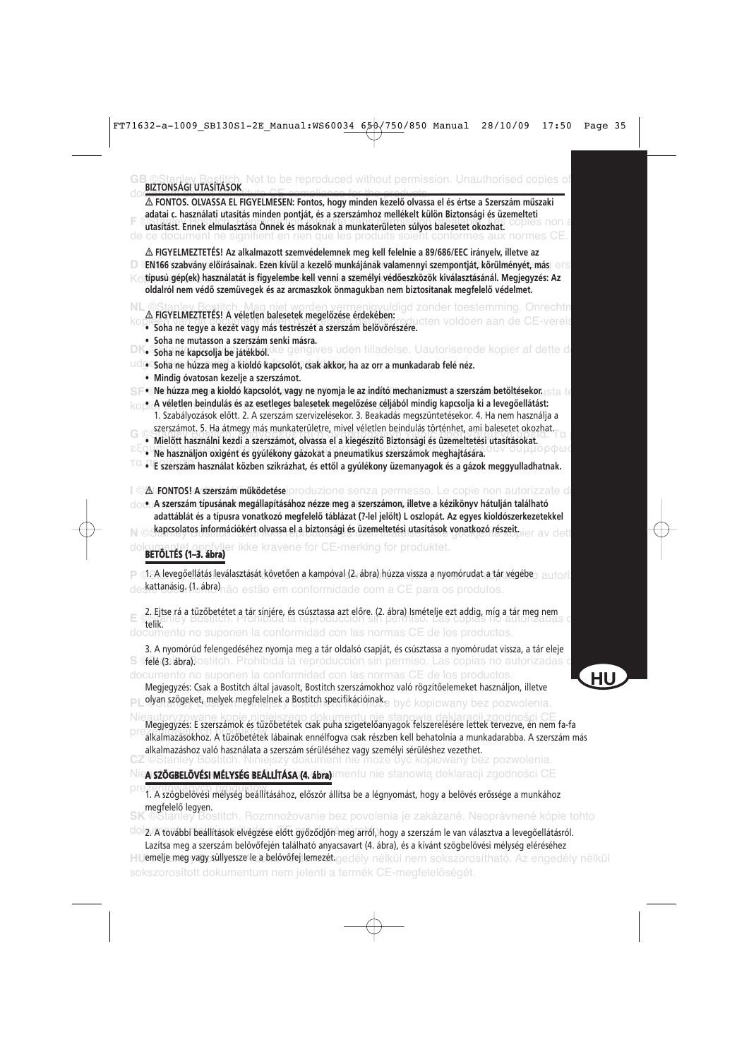| Not to be reproduced without permission. Unauthorised copies of<br><b>BIZTONSÁGI UTASÍTÁSOK</b>                                                                                                                                                                                                                                                                                                                                                                      |    |
|----------------------------------------------------------------------------------------------------------------------------------------------------------------------------------------------------------------------------------------------------------------------------------------------------------------------------------------------------------------------------------------------------------------------------------------------------------------------|----|
| △ FONTOS. OLVASSA EL FIGYELMESEN: Fontos, hogy minden kezelő olvassa el és értse a Szerszám műszaki<br>adatai c. használati utasítás minden pontját, és a szerszámhoz mellékelt külön Biztonsági és üzemelteti<br>utasítást. Ennek elmulasztása Önnek és másoknak a munkaterületen súlyos balesetet okozhat.<br>document ne signifient en rien que les produits soient conformes aux                                                                                 |    |
| △ FIGYELMEZTETÉS! Az alkalmazott szemvédelemnek meg kell felelnie a 89/686/EEC irányelv, illetve az<br>EN166 szabvány előírásainak. Ezen kívül a kezelő munkájának valamennyi szempontját, körülményét, más ers<br>D.<br>típusú gép(ek) használatát is figyelembe kell venni a személyi védőeszközök kiválasztásánál. Megjegyzés: Az<br>Κc<br>oldalról nem védő szemüvegek és az arcmaszkok önmagukban nem biztosítanak megfelelő védelmet.                          |    |
| NL ©Stanley Bostitch. Mag niet worden vermenigvuldigd zonder toestemming. Onrechtn<br>△ FIGYELMEZTETÉS! A véletlen balesetek megelőzése érdekében:<br>ten voldoen aan de CE-vereis<br>· Soha ne tegye a kezét vagy más testrészét a szerszám belövőrészére.                                                                                                                                                                                                          |    |
| • Soha ne mutasson a szerszám senki másra.<br>DK. Soha ne kapcsolja be jatekbol <sup>k</sup> ke gengives uden tilladelse. Uautoriserede kopier af dette d                                                                                                                                                                                                                                                                                                            |    |
| udo Soha'ne húzza meg a kioldó kapcsolót, csak akkor, ha az orr a munkadarab felé néz.                                                                                                                                                                                                                                                                                                                                                                               |    |
| · Mindig óvatosan kezelje a szerszámot.                                                                                                                                                                                                                                                                                                                                                                                                                              |    |
| . Ne húzza meg a kioldó kapcsolót, vagy ne nyomja le az indító mechanizmust a szerszám betöltésekor. Ista te<br>· A véletlen beindulás és az esetleges balesetek megelőzése céljából mindig kapcsolja ki a levegőellátást:<br>ko<br>1. Szabályozások előtt. 2. A szerszám szervizelésekor. 3. Beakadás megszüntetésekor. 4. Ha nem használja a<br>szerszámot. 5. Ha átmegy más munkaterületre, mivel véletlen beindulás történhet, ami balesetet okozhat.<br>$G$ $C$ |    |
| · Mielőtt használni kezdi a szerszámot, olvassa el a kiegészítő Biztonsági és üzemeltetési utasításokat.                                                                                                                                                                                                                                                                                                                                                             |    |
| · Ne használjon oxigént és gyúlékony gázokat a pneumatikus szerszámok meghajtására.<br>$^{\text{\tiny{\textsf{TO}}}}$ $\bullet$ E szerszám használat közben szikrázhat, és ettől a gyúlékony üzemanyagok és a gázok meggyulladhatnak.                                                                                                                                                                                                                                |    |
|                                                                                                                                                                                                                                                                                                                                                                                                                                                                      |    |
| <b>At FONTOS! A szerszám működetése</b> iproduzione senza permesso. Le copie non autorizzate di<br>docuA szerszám típusának megállapításához nézze meg a szerszámon, illetve a kézikönyv hátulján található<br>adattáblát és a típusra vonatkozó megfelelő táblázat (?-lel jelölt) L oszlopát. Az egyes kioldószerkezetekkel<br>kapcsolatos információkért olvassa el a biztonsági és üzemeltetési utasítások vonatkozó részeit.                                     |    |
| fyller ikke kravene for CE-merking for produktet.<br>BETÖLTÉS (1-3. ábra)                                                                                                                                                                                                                                                                                                                                                                                            |    |
| P ci. A levegőellátás leválasztását követően a kampóval (2. ábra) húzza vissza a nyomórudat a tár végébe a autori                                                                                                                                                                                                                                                                                                                                                    |    |
| kattanásig. (leábro) não estão em conformidade com a CE para os produtos.                                                                                                                                                                                                                                                                                                                                                                                            |    |
| 2. Ejtse rá a tűzőbetétet a tár sínjére, és csúsztassa azt előre. (2. ábra) Ismételje ezt addig, míg a tár meg nem<br>**itik LIBY BOSNEG a tármológia a téproducción sín permitisor. Las copias míg automzádas                                                                                                                                                                                                                                                       |    |
| telik.<br>documento no suponen la conformidad con las normas CE de los productos.                                                                                                                                                                                                                                                                                                                                                                                    |    |
| 3. A nyomórúd felengedéséhez nyomja meg a tár oldalsó csapját, és csúsztassa a nyomórudat vissza, a tár eleje<br>S Gile (31 abraBostitch. Prohibida la reproducción sin permiso. Las copias no autorizadas c                                                                                                                                                                                                                                                         |    |
| documento no suponen la conformidad con las normas CE de los productos.<br>Megjegyzés: Csak a Bostitch által javasolt, Bostitch szerszámokhoz való rögzítőelemeket használjon, illetve<br>olyan szögeket, melyek megfelelnek a Bostitch specifikációinak e być kopiowany bez pozwolenia.                                                                                                                                                                             | ΗU |
| Megjegyzés: E szerszámok és tűzőbetétek csak puha szigetelőanyagok felszerelésére lettek tervezve, én nem fa-fa<br>alkalmazásokhoz. A tűzőbetétek lábainak ennélfogya csak részben kell behatolnia a munkadarabba. A szerszám más<br>alkalmazáshoz való használata a szerszám sérüléséhez vagy személyi sérüléshez vezethet.<br>CZ ©Stanley Bostitch. Niniejszy dokument nie może być kopiowany bez pozwolenia.                                                      |    |
| Nie <b>a szögbelövési mélység beállítása (4. ábra)</b> imentu nie stanowią deklaracji zgodności CE                                                                                                                                                                                                                                                                                                                                                                   |    |
| prez en comanyon programa tendiításához, először állítsa be a légnyomást, hogy a belövés erőssége a munkához<br>megfelelő legyen.                                                                                                                                                                                                                                                                                                                                    |    |
| SK CStanley Bostitch. Rozmnožovanie bez povolenia je zakázané. Neoprávnené kópie tohto                                                                                                                                                                                                                                                                                                                                                                               |    |
| <sup>O</sup> O 2. A további beállítások elvégzése előtt győződjön meg arról, hogy a szerszám le van választva a levegőellátásról.<br>Lazítsa meg a szerszám belövőfején található anyacsavart (4. ábra), és a kívánt szögbelövési mélység eléréséhez                                                                                                                                                                                                                 |    |

**HUemelje meg vagy süllyessze le a belövőfej lemezét** gedély nélkül nem sokszorosítható. Az engedély nélkül sokszorosított dokumentum nem jelenti a termék CE-megfelelőségét. emelje meg vagy süllyessze le a belövőfej lemezét.

**HU**